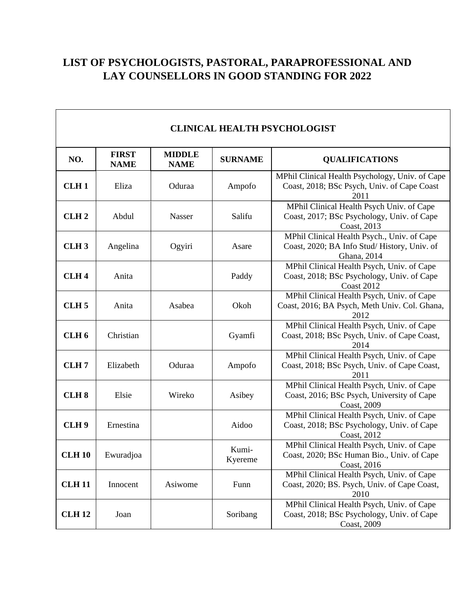# **LIST OF PSYCHOLOGISTS, PASTORAL, PARAPROFESSIONAL AND LAY COUNSELLORS IN GOOD STANDING FOR 2022**

| <b>CLINICAL HEALTH PSYCHOLOGIST</b> |                             |                              |                  |                                                                                                               |  |
|-------------------------------------|-----------------------------|------------------------------|------------------|---------------------------------------------------------------------------------------------------------------|--|
| NO.                                 | <b>FIRST</b><br><b>NAME</b> | <b>MIDDLE</b><br><b>NAME</b> | <b>SURNAME</b>   | <b>QUALIFICATIONS</b>                                                                                         |  |
| CLH <sub>1</sub>                    | Eliza                       | Oduraa                       | Ampofo           | MPhil Clinical Health Psychology, Univ. of Cape<br>Coast, 2018; BSc Psych, Univ. of Cape Coast<br>2011        |  |
| CLH <sub>2</sub>                    | Abdul                       | Nasser                       | Salifu           | MPhil Clinical Health Psych Univ. of Cape<br>Coast, 2017; BSc Psychology, Univ. of Cape<br>Coast, 2013        |  |
| CLH <sub>3</sub>                    | Angelina                    | Ogyiri                       | Asare            | MPhil Clinical Health Psych., Univ. of Cape<br>Coast, 2020; BA Info Stud/History, Univ. of<br>Ghana, 2014     |  |
| CLH <sub>4</sub>                    | Anita                       |                              | Paddy            | MPhil Clinical Health Psych, Univ. of Cape<br>Coast, 2018; BSc Psychology, Univ. of Cape<br><b>Coast 2012</b> |  |
| CLH <sub>5</sub>                    | Anita                       | Asabea                       | Okoh             | MPhil Clinical Health Psych, Univ. of Cape<br>Coast, 2016; BA Psych, Meth Univ. Col. Ghana,<br>2012           |  |
| CLH <sub>6</sub>                    | Christian                   |                              | Gyamfi           | MPhil Clinical Health Psych, Univ. of Cape<br>Coast, 2018; BSc Psych, Univ. of Cape Coast,<br>2014            |  |
| CLH <sub>7</sub>                    | Elizabeth                   | Oduraa                       | Ampofo           | MPhil Clinical Health Psych, Univ. of Cape<br>Coast, 2018; BSc Psych, Univ. of Cape Coast,<br>2011            |  |
| CLH <sub>8</sub>                    | Elsie                       | Wireko                       | Asibey           | MPhil Clinical Health Psych, Univ. of Cape<br>Coast, 2016; BSc Psych, University of Cape<br>Coast, 2009       |  |
| CLH <sub>9</sub>                    | Ernestina                   |                              | Aidoo            | MPhil Clinical Health Psych, Univ. of Cape<br>Coast, 2018; BSc Psychology, Univ. of Cape<br>Coast, 2012       |  |
| <b>CLH 10</b>                       | Ewuradjoa                   |                              | Kumi-<br>Kyereme | MPhil Clinical Health Psych, Univ. of Cape<br>Coast, 2020; BSc Human Bio., Univ. of Cape<br>Coast, 2016       |  |
| <b>CLH 11</b>                       | Innocent                    | Asiwome                      | Funn             | MPhil Clinical Health Psych, Univ. of Cape<br>Coast, 2020; BS. Psych, Univ. of Cape Coast,<br>2010            |  |
| <b>CLH 12</b>                       | Joan                        |                              | Soribang         | MPhil Clinical Health Psych, Univ. of Cape<br>Coast, 2018; BSc Psychology, Univ. of Cape<br>Coast, 2009       |  |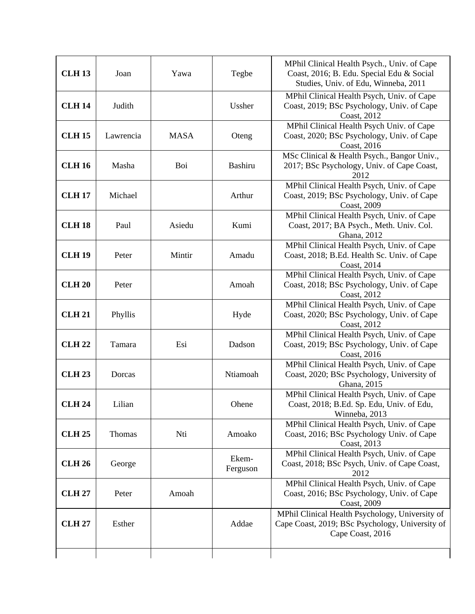| <b>CLH 13</b> | Joan      | Yawa        | Tegbe             | MPhil Clinical Health Psych., Univ. of Cape<br>Coast, 2016; B. Edu. Special Edu & Social<br>Studies, Univ. of Edu, Winneba, 2011 |
|---------------|-----------|-------------|-------------------|----------------------------------------------------------------------------------------------------------------------------------|
| <b>CLH 14</b> | Judith    |             | Ussher            | MPhil Clinical Health Psych, Univ. of Cape<br>Coast, 2019; BSc Psychology, Univ. of Cape<br>Coast, 2012                          |
| <b>CLH 15</b> | Lawrencia | <b>MASA</b> | Oteng             | MPhil Clinical Health Psych Univ. of Cape<br>Coast, 2020; BSc Psychology, Univ. of Cape<br>Coast, 2016                           |
| <b>CLH 16</b> | Masha     | Boi         | Bashiru           | MSc Clinical & Health Psych., Bangor Univ.,<br>2017; BSc Psychology, Univ. of Cape Coast,<br>2012                                |
| <b>CLH 17</b> | Michael   |             | Arthur            | MPhil Clinical Health Psych, Univ. of Cape<br>Coast, 2019; BSc Psychology, Univ. of Cape<br><b>Coast</b> , 2009                  |
| <b>CLH 18</b> | Paul      | Asiedu      | Kumi              | MPhil Clinical Health Psych, Univ. of Cape<br>Coast, 2017; BA Psych., Meth. Univ. Col.<br>Ghana, 2012                            |
| <b>CLH 19</b> | Peter     | Mintir      | Amadu             | MPhil Clinical Health Psych, Univ. of Cape<br>Coast, 2018; B.Ed. Health Sc. Univ. of Cape<br>Coast, 2014                         |
| <b>CLH 20</b> | Peter     |             | Amoah             | MPhil Clinical Health Psych, Univ. of Cape<br>Coast, 2018; BSc Psychology, Univ. of Cape<br>Coast, 2012                          |
| <b>CLH 21</b> | Phyllis   |             | Hyde              | MPhil Clinical Health Psych, Univ. of Cape<br>Coast, 2020; BSc Psychology, Univ. of Cape<br>Coast, 2012                          |
| <b>CLH 22</b> | Tamara    | Esi         | Dadson            | MPhil Clinical Health Psych, Univ. of Cape<br>Coast, 2019; BSc Psychology, Univ. of Cape<br>Coast, 2016                          |
| <b>CLH 23</b> | Dorcas    |             | Ntiamoah          | MPhil Clinical Health Psych, Univ. of Cape<br>Coast, 2020; BSc Psychology, University of<br>Ghana, 2015                          |
| <b>CLH 24</b> | Lilian    |             | Ohene             | MPhil Clinical Health Psych, Univ. of Cape<br>Coast, 2018; B.Ed. Sp. Edu, Univ. of Edu,<br>Winneba, 2013                         |
| <b>CLH 25</b> | Thomas    | Nti         | Amoako            | MPhil Clinical Health Psych, Univ. of Cape<br>Coast, 2016; BSc Psychology Univ. of Cape<br>Coast, 2013                           |
| <b>CLH 26</b> | George    |             | Ekem-<br>Ferguson | MPhil Clinical Health Psych, Univ. of Cape<br>Coast, 2018; BSc Psych, Univ. of Cape Coast,<br>2012                               |
| <b>CLH 27</b> | Peter     | Amoah       |                   | MPhil Clinical Health Psych, Univ. of Cape<br>Coast, 2016; BSc Psychology, Univ. of Cape<br>Coast, 2009                          |
| <b>CLH 27</b> | Esther    |             | Addae             | MPhil Clinical Health Psychology, University of<br>Cape Coast, 2019; BSc Psychology, University of<br>Cape Coast, 2016           |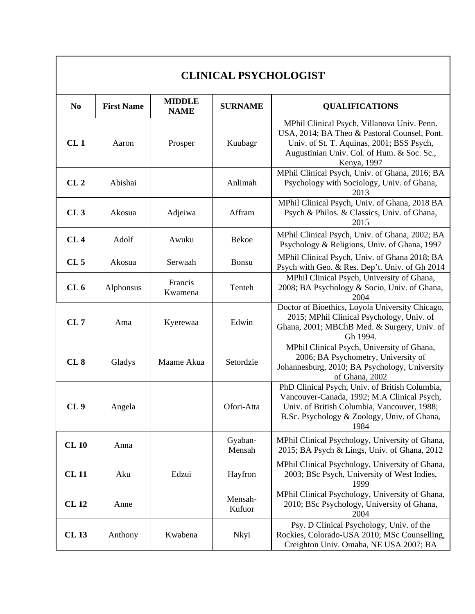| N <sub>0</sub>  | <b>First Name</b> | <b>MIDDLE</b><br><b>NAME</b> | <b>SURNAME</b>    | <b>QUALIFICATIONS</b>                                                                                                                                                                                 |
|-----------------|-------------------|------------------------------|-------------------|-------------------------------------------------------------------------------------------------------------------------------------------------------------------------------------------------------|
| CL1             | Aaron             | Prosper                      | Kuubagr           | MPhil Clinical Psych, Villanova Univ. Penn.<br>USA, 2014; BA Theo & Pastoral Counsel, Pont.<br>Univ. of St. T. Aquinas, 2001; BSS Psych,<br>Augustinian Univ. Col. of Hum. & Soc. Sc.,<br>Kenya, 1997 |
| CL <sub>2</sub> | Abishai           |                              | Anlimah           | MPhil Clinical Psych, Univ. of Ghana, 2016; BA<br>Psychology with Sociology, Univ. of Ghana,<br>2013                                                                                                  |
| CL3             | Akosua            | Adjeiwa                      | Affram            | MPhil Clinical Psych, Univ. of Ghana, 2018 BA<br>Psych & Philos. & Classics, Univ. of Ghana,<br>2015                                                                                                  |
| CL4             | Adolf             | Awuku                        | <b>Bekoe</b>      | MPhil Clinical Psych, Univ. of Ghana, 2002; BA<br>Psychology & Religions, Univ. of Ghana, 1997                                                                                                        |
| CL <sub>5</sub> | Akosua            | Serwaah                      | Bonsu             | MPhil Clinical Psych, Univ. of Ghana 2018; BA<br>Psych with Geo. & Res. Dep't. Univ. of Gh 2014                                                                                                       |
| CL6             | Alphonsus         | Francis<br>Kwamena           | Tenteh            | MPhil Clinical Psych, University of Ghana,<br>2008; BA Psychology & Socio, Univ. of Ghana,<br>2004                                                                                                    |
| CL7             | Ama               | Kyerewaa                     | Edwin             | Doctor of Bioethics, Loyola University Chicago,<br>2015; MPhil Clinical Psychology, Univ. of<br>Ghana, 2001; MBChB Med. & Surgery, Univ. of<br>Gh 1994.                                               |
| CL 8            | Gladys            | Maame Akua                   | Setordzie         | MPhil Clinical Psych, University of Ghana,<br>2006; BA Psychometry, University of<br>Johannesburg, 2010; BA Psychology, University<br>of Ghana, 2002                                                  |
| CL <sub>9</sub> | Angela            |                              | Ofori-Atta        | PhD Clinical Psych, Univ. of British Columbia,<br>Vancouver-Canada, 1992; M.A Clinical Psych,<br>Univ. of British Columbia, Vancouver, 1988;<br>B.Sc. Psychology & Zoology, Univ. of Ghana,<br>1984   |
| <b>CL 10</b>    | Anna              |                              | Gyaban-<br>Mensah | MPhil Clinical Psychology, University of Ghana,<br>2015; BA Psych & Lings, Univ. of Ghana, 2012                                                                                                       |
| <b>CL11</b>     | Aku               | Edzui                        | Hayfron           | MPhil Clinical Psychology, University of Ghana,<br>2003; BSc Psych, University of West Indies,<br>1999                                                                                                |
| <b>CL12</b>     | Anne              |                              | Mensah-<br>Kufuor | MPhil Clinical Psychology, University of Ghana,<br>2010; BSc Psychology, University of Ghana,<br>2004                                                                                                 |
| <b>CL13</b>     | Anthony           | Kwabena                      | Nkyi              | Psy. D Clinical Psychology, Univ. of the<br>Rockies, Colorado-USA 2010; MSc Counselling,<br>Creighton Univ. Omaha, NE USA 2007; BA                                                                    |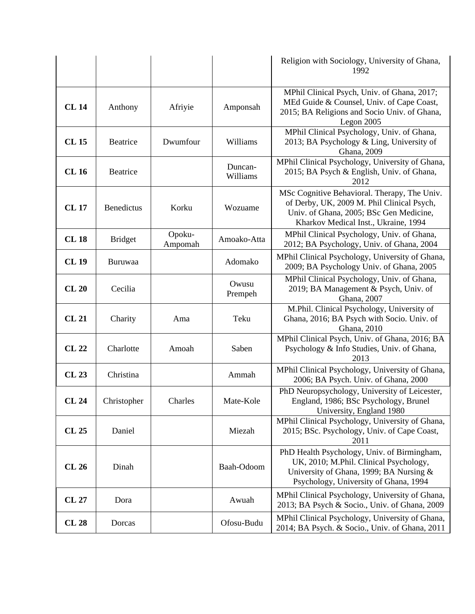|              |                   |                   |                     | Religion with Sociology, University of Ghana,<br>1992                                                                                                                         |
|--------------|-------------------|-------------------|---------------------|-------------------------------------------------------------------------------------------------------------------------------------------------------------------------------|
| <b>CL 14</b> | Anthony           | Afriyie           | Amponsah            | MPhil Clinical Psych, Univ. of Ghana, 2017;<br>MEd Guide & Counsel, Univ. of Cape Coast,<br>2015; BA Religions and Socio Univ. of Ghana,<br>Legon 2005                        |
| <b>CL15</b>  | Beatrice          | Dwumfour          | Williams            | MPhil Clinical Psychology, Univ. of Ghana,<br>2013; BA Psychology & Ling, University of<br>Ghana, 2009                                                                        |
| <b>CL16</b>  | Beatrice          |                   | Duncan-<br>Williams | MPhil Clinical Psychology, University of Ghana,<br>2015; BA Psych & English, Univ. of Ghana,<br>2012                                                                          |
| <b>CL17</b>  | <b>Benedictus</b> | Korku             | Wozuame             | MSc Cognitive Behavioral. Therapy, The Univ.<br>of Derby, UK, 2009 M. Phil Clinical Psych,<br>Univ. of Ghana, 2005; BSc Gen Medicine,<br>Kharkov Medical Inst., Ukraine, 1994 |
| <b>CL18</b>  | <b>Bridget</b>    | Opoku-<br>Ampomah | Amoako-Atta         | MPhil Clinical Psychology, Univ. of Ghana,<br>2012; BA Psychology, Univ. of Ghana, 2004                                                                                       |
| <b>CL 19</b> | Buruwaa           |                   | Adomako             | MPhil Clinical Psychology, University of Ghana,<br>2009; BA Psychology Univ. of Ghana, 2005                                                                                   |
| <b>CL 20</b> | Cecilia           |                   | Owusu<br>Prempeh    | MPhil Clinical Psychology, Univ. of Ghana,<br>2019; BA Management & Psych, Univ. of<br>Ghana, 2007                                                                            |
| <b>CL 21</b> | Charity           | Ama               | Teku                | M.Phil. Clinical Psychology, University of<br>Ghana, 2016; BA Psych with Socio. Univ. of<br>Ghana, 2010                                                                       |
| <b>CL 22</b> | Charlotte         | Amoah             | Saben               | MPhil Clinical Psych, Univ. of Ghana, 2016; BA<br>Psychology & Info Studies, Univ. of Ghana,<br>2013                                                                          |
| <b>CL 23</b> | Christina         |                   | Ammah               | MPhil Clinical Psychology, University of Ghana,<br>2006; BA Psych. Univ. of Ghana, 2000                                                                                       |
| <b>CL 24</b> | Christopher       | Charles           | Mate-Kole           | PhD Neuropsychology, University of Leicester,<br>England, 1986; BSc Psychology, Brunel<br>University, England 1980                                                            |
| <b>CL 25</b> | Daniel            |                   | Miezah              | MPhil Clinical Psychology, University of Ghana,<br>2015; BSc. Psychology, Univ. of Cape Coast,<br>2011                                                                        |
| <b>CL 26</b> | Dinah             |                   | Baah-Odoom          | PhD Health Psychology, Univ. of Birmingham,<br>UK, 2010; M.Phil. Clinical Psychology,<br>University of Ghana, 1999; BA Nursing &<br>Psychology, University of Ghana, 1994     |
| <b>CL 27</b> | Dora              |                   | Awuah               | MPhil Clinical Psychology, University of Ghana,<br>2013; BA Psych & Socio., Univ. of Ghana, 2009                                                                              |
| <b>CL 28</b> | Dorcas            |                   | Ofosu-Budu          | MPhil Clinical Psychology, University of Ghana,<br>2014; BA Psych. & Socio., Univ. of Ghana, 2011                                                                             |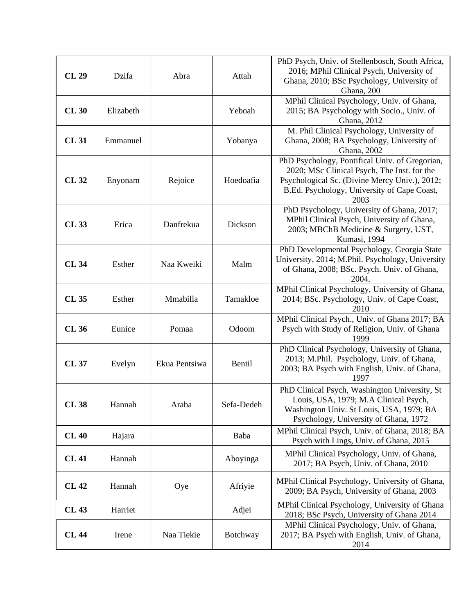| <b>CL 29</b> | Dzifa     | Abra          | Attah           | PhD Psych, Univ. of Stellenbosch, South Africa,<br>2016; MPhil Clinical Psych, University of<br>Ghana, 2010; BSc Psychology, University of<br>Ghana, 200                                              |
|--------------|-----------|---------------|-----------------|-------------------------------------------------------------------------------------------------------------------------------------------------------------------------------------------------------|
| <b>CL 30</b> | Elizabeth |               | Yeboah          | MPhil Clinical Psychology, Univ. of Ghana,<br>2015; BA Psychology with Socio., Univ. of<br>Ghana, 2012                                                                                                |
| <b>CL31</b>  | Emmanuel  |               | Yobanya         | M. Phil Clinical Psychology, University of<br>Ghana, 2008; BA Psychology, University of<br>Ghana, 2002                                                                                                |
| <b>CL32</b>  | Enyonam   | Rejoice       | Hoedoafia       | PhD Psychology, Pontifical Univ. of Gregorian,<br>2020; MSc Clinical Psych, The Inst. for the<br>Psychological Sc. (Divine Mercy Univ.), 2012;<br>B.Ed. Psychology, University of Cape Coast,<br>2003 |
| <b>CL33</b>  | Erica     | Danfrekua     | Dickson         | PhD Psychology, University of Ghana, 2017;<br>MPhil Clinical Psych, University of Ghana,<br>2003; MBChB Medicine & Surgery, UST,<br>Kumasi, 1994                                                      |
| <b>CL34</b>  | Esther    | Naa Kweiki    | Malm            | PhD Developmental Psychology, Georgia State<br>University, 2014; M.Phil. Psychology, University<br>of Ghana, 2008; BSc. Psych. Univ. of Ghana,<br>2004.                                               |
| <b>CL35</b>  | Esther    | Mmabilla      | Tamakloe        | MPhil Clinical Psychology, University of Ghana,<br>2014; BSc. Psychology, Univ. of Cape Coast,<br>2010                                                                                                |
| <b>CL 36</b> | Eunice    | Pomaa         | Odoom           | MPhil Clinical Psych., Univ. of Ghana 2017; BA<br>Psych with Study of Religion, Univ. of Ghana<br>1999                                                                                                |
| <b>CL 37</b> | Evelyn    | Ekua Pentsiwa | Bentil          | PhD Clinical Psychology, University of Ghana,<br>2013; M.Phil. Psychology, Univ. of Ghana,<br>2003; BA Psych with English, Univ. of Ghana,<br>1997                                                    |
| <b>CL38</b>  | Hannah    | Araba         | Sefa-Dedeh      | PhD Clinical Psych, Washington University, St<br>Louis, USA, 1979; M.A Clinical Psych,<br>Washington Univ. St Louis, USA, 1979; BA<br>Psychology, University of Ghana, 1972                           |
| <b>CL 40</b> | Hajara    |               | Baba            | MPhil Clinical Psych, Univ. of Ghana, 2018; BA<br>Psych with Lings, Univ. of Ghana, 2015                                                                                                              |
| <b>CL 41</b> | Hannah    |               | Aboyinga        | MPhil Clinical Psychology, Univ. of Ghana,<br>2017; BA Psych, Univ. of Ghana, 2010                                                                                                                    |
| <b>CL 42</b> | Hannah    | Oye           | Afriyie         | MPhil Clinical Psychology, University of Ghana,<br>2009; BA Psych, University of Ghana, 2003                                                                                                          |
| <b>CL 43</b> | Harriet   |               | Adjei           | MPhil Clinical Psychology, University of Ghana<br>2018; BSc Psych, University of Ghana 2014                                                                                                           |
| <b>CL 44</b> | Irene     | Naa Tiekie    | <b>Botchway</b> | MPhil Clinical Psychology, Univ. of Ghana,<br>2017; BA Psych with English, Univ. of Ghana,<br>2014                                                                                                    |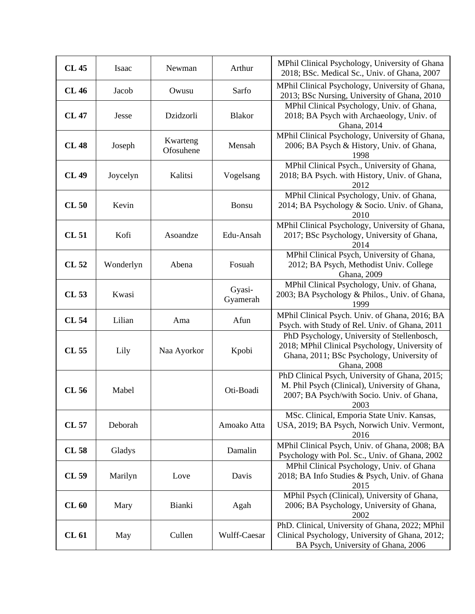| <b>CL 45</b> | Isaac     | Newman                | Arthur             | MPhil Clinical Psychology, University of Ghana<br>2018; BSc. Medical Sc., Univ. of Ghana, 2007                                                             |
|--------------|-----------|-----------------------|--------------------|------------------------------------------------------------------------------------------------------------------------------------------------------------|
| <b>CL 46</b> | Jacob     | Owusu                 | Sarfo              | MPhil Clinical Psychology, University of Ghana,<br>2013; BSc Nursing, University of Ghana, 2010                                                            |
| <b>CL 47</b> | Jesse     | Dzidzorli             | <b>Blakor</b>      | MPhil Clinical Psychology, Univ. of Ghana,<br>2018; BA Psych with Archaeology, Univ. of<br>Ghana, 2014                                                     |
| <b>CL 48</b> | Joseph    | Kwarteng<br>Ofosuhene | Mensah             | MPhil Clinical Psychology, University of Ghana,<br>2006; BA Psych & History, Univ. of Ghana,<br>1998                                                       |
| <b>CL 49</b> | Joycelyn  | Kalitsi               | Vogelsang          | MPhil Clinical Psych., University of Ghana,<br>2018; BA Psych. with History, Univ. of Ghana,<br>2012                                                       |
| <b>CL 50</b> | Kevin     |                       | Bonsu              | MPhil Clinical Psychology, Univ. of Ghana,<br>2014; BA Psychology & Socio. Univ. of Ghana,<br>2010                                                         |
| <b>CL 51</b> | Kofi      | Asoandze              | Edu-Ansah          | MPhil Clinical Psychology, University of Ghana,<br>2017; BSc Psychology, University of Ghana,<br>2014                                                      |
| CL 52        | Wonderlyn | Abena                 | Fosuah             | MPhil Clinical Psych, University of Ghana,<br>2012; BA Psych, Methodist Univ. College<br>Ghana, 2009                                                       |
| CL 53        | Kwasi     |                       | Gyasi-<br>Gyamerah | MPhil Clinical Psychology, Univ. of Ghana,<br>2003; BA Psychology & Philos., Univ. of Ghana,<br>1999                                                       |
| <b>CL 54</b> | Lilian    | Ama                   | Afun               | MPhil Clinical Psych. Univ. of Ghana, 2016; BA<br>Psych. with Study of Rel. Univ. of Ghana, 2011                                                           |
| CL 55        | Lily      | Naa Ayorkor           | Kpobi              | PhD Psychology, University of Stellenbosch,<br>2018; MPhil Clinical Psychology, University of<br>Ghana, 2011; BSc Psychology, University of<br>Ghana, 2008 |
| CL 56        | Mabel     |                       | Oti-Boadi          | PhD Clinical Psych, University of Ghana, 2015;<br>M. Phil Psych (Clinical), University of Ghana,<br>2007; BA Psych/with Socio. Univ. of Ghana,<br>2003     |
| <b>CL 57</b> | Deborah   |                       | Amoako Atta        | MSc. Clinical, Emporia State Univ. Kansas,<br>USA, 2019; BA Psych, Norwich Univ. Vermont,<br>2016                                                          |
| CL 58        | Gladys    |                       | Damalin            | MPhil Clinical Psych, Univ. of Ghana, 2008; BA<br>Psychology with Pol. Sc., Univ. of Ghana, 2002                                                           |
| CL 59        | Marilyn   | Love                  | Davis              | MPhil Clinical Psychology, Univ. of Ghana<br>2018; BA Info Studies & Psych, Univ. of Ghana<br>2015                                                         |
| CL60         | Mary      | Bianki                | Agah               | MPhil Psych (Clinical), University of Ghana,<br>2006; BA Psychology, University of Ghana,<br>2002                                                          |
| <b>CL 61</b> | May       | Cullen                | Wulff-Caesar       | PhD. Clinical, University of Ghana, 2022; MPhil<br>Clinical Psychology, University of Ghana, 2012;<br>BA Psych, University of Ghana, 2006                  |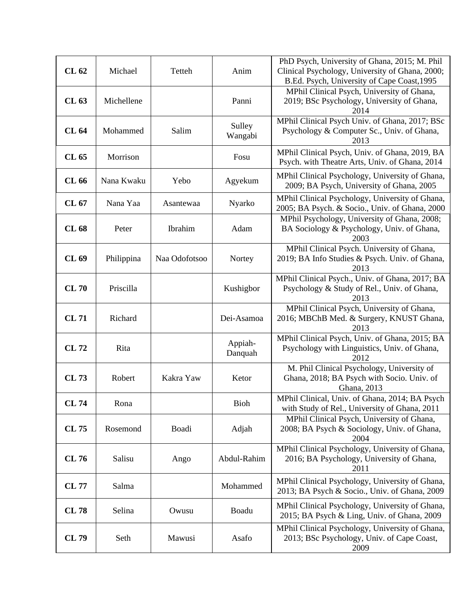| <b>CL 62</b> | Michael    | Tetteh        | Anim               | PhD Psych, University of Ghana, 2015; M. Phil<br>Clinical Psychology, University of Ghana, 2000;<br>B.Ed. Psych, University of Cape Coast, 1995 |
|--------------|------------|---------------|--------------------|-------------------------------------------------------------------------------------------------------------------------------------------------|
| CL 63        | Michellene |               | Panni              | MPhil Clinical Psych, University of Ghana,<br>2019; BSc Psychology, University of Ghana,<br>2014                                                |
| <b>CL 64</b> | Mohammed   | Salim         | Sulley<br>Wangabi  | MPhil Clinical Psych Univ. of Ghana, 2017; BSc<br>Psychology & Computer Sc., Univ. of Ghana,<br>2013                                            |
| CL 65        | Morrison   |               | Fosu               | MPhil Clinical Psych, Univ. of Ghana, 2019, BA<br>Psych. with Theatre Arts, Univ. of Ghana, 2014                                                |
| CL 66        | Nana Kwaku | Yebo          | Agyekum            | MPhil Clinical Psychology, University of Ghana,<br>2009; BA Psych, University of Ghana, 2005                                                    |
| CL 67        | Nana Yaa   | Asantewaa     | Nyarko             | MPhil Clinical Psychology, University of Ghana,<br>2005; BA Psych. & Socio., Univ. of Ghana, 2000                                               |
| <b>CL 68</b> | Peter      | Ibrahim       | Adam               | MPhil Psychology, University of Ghana, 2008;<br>BA Sociology & Psychology, Univ. of Ghana,<br>2003                                              |
| CL 69        | Philippina | Naa Odofotsoo | Nortey             | MPhil Clinical Psych. University of Ghana,<br>2019; BA Info Studies & Psych. Univ. of Ghana,<br>2013                                            |
| <b>CL 70</b> | Priscilla  |               | Kushigbor          | MPhil Clinical Psych., Univ. of Ghana, 2017; BA<br>Psychology & Study of Rel., Univ. of Ghana,<br>2013                                          |
| <b>CL71</b>  | Richard    |               | Dei-Asamoa         | MPhil Clinical Psych, University of Ghana,<br>2016; MBChB Med. & Surgery, KNUST Ghana,<br>2013                                                  |
| <b>CL72</b>  | Rita       |               | Appiah-<br>Danquah | MPhil Clinical Psych, Univ. of Ghana, 2015; BA<br>Psychology with Linguistics, Univ. of Ghana,<br>2012                                          |
| CL 73        | Robert     | Kakra Yaw     | Ketor              | M. Phil Clinical Psychology, University of<br>Ghana, 2018; BA Psych with Socio. Univ. of<br>Ghana, 2013                                         |
| <b>CL 74</b> | Rona       |               | <b>Bioh</b>        | MPhil Clinical, Univ. of Ghana, 2014; BA Psych<br>with Study of Rel., University of Ghana, 2011                                                 |
| CL 75        | Rosemond   | Boadi         | Adjah              | MPhil Clinical Psych, University of Ghana,<br>2008; BA Psych & Sociology, Univ. of Ghana,<br>2004                                               |
| CL 76        | Salisu     | Ango          | Abdul-Rahim        | MPhil Clinical Psychology, University of Ghana,<br>2016; BA Psychology, University of Ghana,<br>2011                                            |
| <b>CL 77</b> | Salma      |               | Mohammed           | MPhil Clinical Psychology, University of Ghana,<br>2013; BA Psych & Socio., Univ. of Ghana, 2009                                                |
| <b>CL78</b>  | Selina     | Owusu         | Boadu              | MPhil Clinical Psychology, University of Ghana,<br>2015; BA Psych & Ling, Univ. of Ghana, 2009                                                  |
| CL 79        | Seth       | Mawusi        | Asafo              | MPhil Clinical Psychology, University of Ghana,<br>2013; BSc Psychology, Univ. of Cape Coast,<br>2009                                           |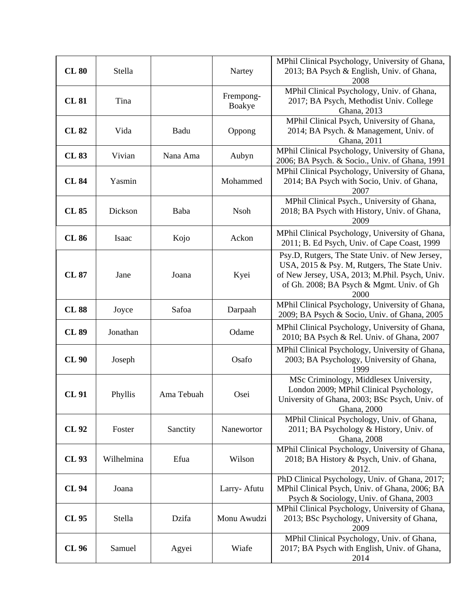| <b>CL 80</b> | Stella     |            | Nartey              | MPhil Clinical Psychology, University of Ghana,<br>2013; BA Psych & English, Univ. of Ghana,                                                                                                          |
|--------------|------------|------------|---------------------|-------------------------------------------------------------------------------------------------------------------------------------------------------------------------------------------------------|
|              |            |            |                     | 2008                                                                                                                                                                                                  |
| <b>CL 81</b> | Tina       |            | Frempong-<br>Boakye | MPhil Clinical Psychology, Univ. of Ghana,<br>2017; BA Psych, Methodist Univ. College<br>Ghana, 2013                                                                                                  |
| <b>CL 82</b> | Vida       | Badu       | Oppong              | MPhil Clinical Psych, University of Ghana,<br>2014; BA Psych. & Management, Univ. of<br>Ghana, 2011                                                                                                   |
| <b>CL 83</b> | Vivian     | Nana Ama   | Aubyn               | MPhil Clinical Psychology, University of Ghana,<br>2006; BA Psych. & Socio., Univ. of Ghana, 1991                                                                                                     |
| <b>CL 84</b> | Yasmin     |            | Mohammed            | MPhil Clinical Psychology, University of Ghana,<br>2014; BA Psych with Socio, Univ. of Ghana,<br>2007                                                                                                 |
| <b>CL 85</b> | Dickson    | Baba       | <b>Nsoh</b>         | MPhil Clinical Psych., University of Ghana,<br>2018; BA Psych with History, Univ. of Ghana,<br>2009                                                                                                   |
| <b>CL 86</b> | Isaac      | Kojo       | Ackon               | MPhil Clinical Psychology, University of Ghana,<br>2011; B. Ed Psych, Univ. of Cape Coast, 1999                                                                                                       |
| <b>CL 87</b> | Jane       | Joana      | Kyei                | Psy.D, Rutgers, The State Univ. of New Jersey,<br>USA, 2015 & Psy. M, Rutgers, The State Univ.<br>of New Jersey, USA, 2013; M.Phil. Psych, Univ.<br>of Gh. 2008; BA Psych & Mgmt. Univ. of Gh<br>2000 |
| <b>CL 88</b> | Joyce      | Safoa      | Darpaah             | MPhil Clinical Psychology, University of Ghana,<br>2009; BA Psych & Socio, Univ. of Ghana, 2005                                                                                                       |
| <b>CL 89</b> | Jonathan   |            | Odame               | MPhil Clinical Psychology, University of Ghana,<br>2010; BA Psych & Rel. Univ. of Ghana, 2007                                                                                                         |
| <b>CL 90</b> | Joseph     |            | Osafo               | MPhil Clinical Psychology, University of Ghana,<br>2003; BA Psychology, University of Ghana,<br>1999                                                                                                  |
| <b>CL 91</b> | Phyllis    | Ama Tebuah | Osei                | MSc Criminology, Middlesex University,<br>London 2009; MPhil Clinical Psychology,<br>University of Ghana, 2003; BSc Psych, Univ. of<br>Ghana, 2000                                                    |
| CL 92        | Foster     | Sanctity   | Nanewortor          | MPhil Clinical Psychology, Univ. of Ghana,<br>2011; BA Psychology & History, Univ. of<br>Ghana, 2008                                                                                                  |
| CL 93        | Wilhelmina | Efua       | Wilson              | MPhil Clinical Psychology, University of Ghana,<br>2018; BA History & Psych, Univ. of Ghana,<br>2012.                                                                                                 |
| <b>CL 94</b> | Joana      |            | Larry-Afutu         | PhD Clinical Psychology, Univ. of Ghana, 2017;<br>MPhil Clinical Psych, Univ. of Ghana, 2006; BA<br>Psych & Sociology, Univ. of Ghana, 2003                                                           |
| CL 95        | Stella     | Dzifa      | Monu Awudzi         | MPhil Clinical Psychology, University of Ghana,<br>2013; BSc Psychology, University of Ghana,<br>2009                                                                                                 |
| CL 96        | Samuel     | Agyei      | Wiafe               | MPhil Clinical Psychology, Univ. of Ghana,<br>2017; BA Psych with English, Univ. of Ghana,<br>2014                                                                                                    |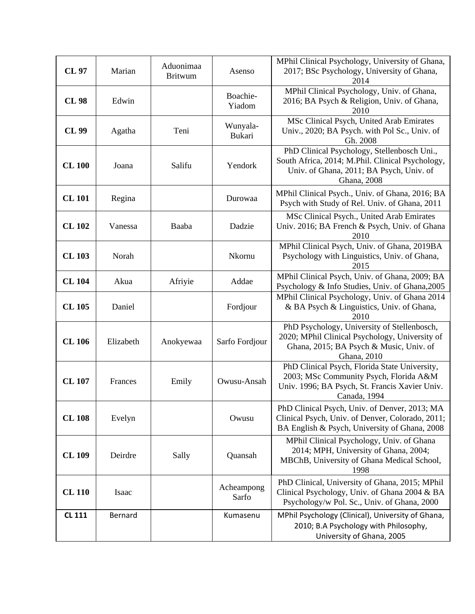| <b>CL 97</b>  | Marian    | Aduonimaa<br><b>Britwum</b> | Asenso                    | MPhil Clinical Psychology, University of Ghana,<br>2017; BSc Psychology, University of Ghana,<br>2014                                                      |
|---------------|-----------|-----------------------------|---------------------------|------------------------------------------------------------------------------------------------------------------------------------------------------------|
| <b>CL 98</b>  | Edwin     |                             | Boachie-<br>Yiadom        | MPhil Clinical Psychology, Univ. of Ghana,<br>2016; BA Psych & Religion, Univ. of Ghana,<br>2010                                                           |
| CL 99         | Agatha    | Teni                        | Wunyala-<br><b>Bukari</b> | MSc Clinical Psych, United Arab Emirates<br>Univ., 2020; BA Psych. with Pol Sc., Univ. of<br>Gh. 2008                                                      |
| <b>CL 100</b> | Joana     | Salifu                      | Yendork                   | PhD Clinical Psychology, Stellenbosch Uni.,<br>South Africa, 2014; M.Phil. Clinical Psychology,<br>Univ. of Ghana, 2011; BA Psych, Univ. of<br>Ghana, 2008 |
| <b>CL 101</b> | Regina    |                             | Durowaa                   | MPhil Clinical Psych., Univ. of Ghana, 2016; BA<br>Psych with Study of Rel. Univ. of Ghana, 2011                                                           |
| <b>CL 102</b> | Vanessa   | Baaba                       | Dadzie                    | MSc Clinical Psych., United Arab Emirates<br>Univ. 2016; BA French & Psych, Univ. of Ghana<br>2010                                                         |
| <b>CL103</b>  | Norah     |                             | Nkornu                    | MPhil Clinical Psych, Univ. of Ghana, 2019BA<br>Psychology with Linguistics, Univ. of Ghana,<br>2015                                                       |
| <b>CL104</b>  | Akua      | Afriyie                     | Addae                     | MPhil Clinical Psych, Univ. of Ghana, 2009; BA<br>Psychology & Info Studies, Univ. of Ghana, 2005                                                          |
| <b>CL 105</b> | Daniel    |                             | Fordjour                  | MPhil Clinical Psychology, Univ. of Ghana 2014<br>& BA Psych & Linguistics, Univ. of Ghana,<br>2010                                                        |
| <b>CL 106</b> | Elizabeth | Anokyewaa                   | Sarfo Fordjour            | PhD Psychology, University of Stellenbosch,<br>2020; MPhil Clinical Psychology, University of<br>Ghana, 2015; BA Psych & Music, Univ. of<br>Ghana, 2010    |
| <b>CL 107</b> | Frances   | Emily                       | Owusu-Ansah               | PhD Clinical Psych, Florida State University,<br>2003; MSc Community Psych, Florida A&M<br>Univ. 1996; BA Psych, St. Francis Xavier Univ.<br>Canada, 1994  |
| <b>CL108</b>  | Evelyn    |                             | Owusu                     | PhD Clinical Psych, Univ. of Denver, 2013; MA<br>Clinical Psych, Univ. of Denver, Colorado, 2011;<br>BA English & Psych, University of Ghana, 2008         |
| <b>CL 109</b> | Deirdre   | Sally                       | Quansah                   | MPhil Clinical Psychology, Univ. of Ghana<br>2014; MPH, University of Ghana, 2004;<br>MBChB, University of Ghana Medical School,<br>1998                   |
| <b>CL 110</b> | Isaac     |                             | Acheampong<br>Sarfo       | PhD Clinical, University of Ghana, 2015; MPhil<br>Clinical Psychology, Univ. of Ghana 2004 & BA<br>Psychology/w Pol. Sc., Univ. of Ghana, 2000             |
| <b>CL 111</b> | Bernard   |                             | Kumasenu                  | MPhil Psychology (Clinical), University of Ghana,<br>2010; B.A Psychology with Philosophy,<br>University of Ghana, 2005                                    |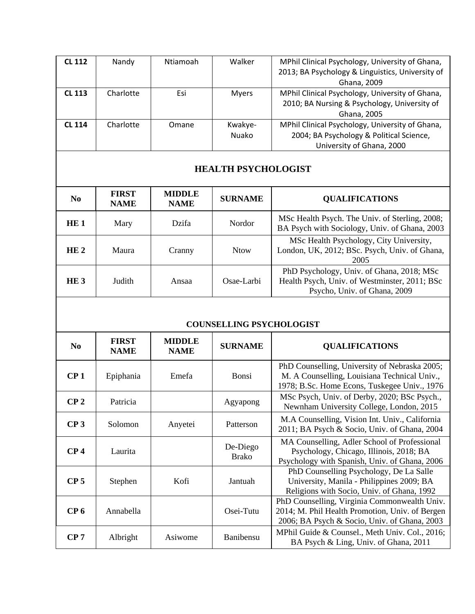| <b>CL 112</b> | Nandy     | Ntiamoah | Walker       | MPhil Clinical Psychology, University of Ghana,  |
|---------------|-----------|----------|--------------|--------------------------------------------------|
|               |           |          |              | 2013; BA Psychology & Linguistics, University of |
|               |           |          |              | Ghana, 2009                                      |
| <b>CL 113</b> | Charlotte | Esi      | <b>Myers</b> | MPhil Clinical Psychology, University of Ghana,  |
|               |           |          |              | 2010; BA Nursing & Psychology, University of     |
|               |           |          |              | Ghana, 2005                                      |
| <b>CL 114</b> | Charlotte | Omane    | Kwakye-      | MPhil Clinical Psychology, University of Ghana,  |
|               |           |          | Nuako        | 2004; BA Psychology & Political Science,         |
|               |           |          |              | University of Ghana, 2000                        |

#### **HEALTH PSYCHOLOGIST**

| N <sub>0</sub>  | <b>FIRST</b><br><b>NAME</b> | <b>MIDDLE</b><br><b>NAME</b> | <b>SURNAME</b> | <b>QUALIFICATIONS</b>                                                                                                      |
|-----------------|-----------------------------|------------------------------|----------------|----------------------------------------------------------------------------------------------------------------------------|
| HE1             | Mary                        | <b>Dzifa</b>                 | Nordor         | MSc Health Psych. The Univ. of Sterling, 2008;<br>BA Psych with Sociology, Univ. of Ghana, 2003                            |
| HE <sub>2</sub> | Maura                       | Cranny                       | <b>Ntow</b>    | MSc Health Psychology, City University,<br>London, UK, 2012; BSc. Psych, Univ. of Ghana,<br>2005                           |
| HE3             | Judith                      | Ansaa                        | Osae-Larbi     | PhD Psychology, Univ. of Ghana, 2018; MSc<br>Health Psych, Univ. of Westminster, 2011; BSc<br>Psycho, Univ. of Ghana, 2009 |

#### **COUNSELLING PSYCHOLOGIST**

| N <sub>0</sub>  | <b>FIRST</b><br><b>NAME</b> | <b>MIDDLE</b><br><b>NAME</b> | <b>SURNAME</b>           | <b>QUALIFICATIONS</b>                                                                                                                           |
|-----------------|-----------------------------|------------------------------|--------------------------|-------------------------------------------------------------------------------------------------------------------------------------------------|
| CP <sub>1</sub> | Epiphania                   | Emefa                        | Bonsi                    | PhD Counselling, University of Nebraska 2005;<br>M. A Counselling, Louisiana Technical Univ.,<br>1978; B.Sc. Home Econs, Tuskegee Univ., 1976   |
| CP <sub>2</sub> | Patricia                    |                              | Agyapong                 | MSc Psych, Univ. of Derby, 2020; BSc Psych.,<br>Newnham University College, London, 2015                                                        |
| CP <sub>3</sub> | Solomon                     | Anyetei                      | Patterson                | M.A Counselling, Vision Int. Univ., California<br>2011; BA Psych & Socio, Univ. of Ghana, 2004                                                  |
| CP <sub>4</sub> | Laurita                     |                              | De-Diego<br><b>Brako</b> | MA Counselling, Adler School of Professional<br>Psychology, Chicago, Illinois, 2018; BA<br>Psychology with Spanish, Univ. of Ghana, 2006        |
| CP <sub>5</sub> | Stephen                     | Kofi                         | Jantuah                  | PhD Counselling Psychology, De La Salle<br>University, Manila - Philippines 2009; BA<br>Religions with Socio, Univ. of Ghana, 1992              |
| CP <sub>6</sub> | Annabella                   |                              | Osei-Tutu                | PhD Counselling, Virginia Commonwealth Univ.<br>2014; M. Phil Health Promotion, Univ. of Bergen<br>2006; BA Psych & Socio, Univ. of Ghana, 2003 |
| CP <sub>7</sub> | Albright                    | Asiwome                      | <b>Banibensu</b>         | MPhil Guide & Counsel., Meth Univ. Col., 2016;<br>BA Psych & Ling, Univ. of Ghana, 2011                                                         |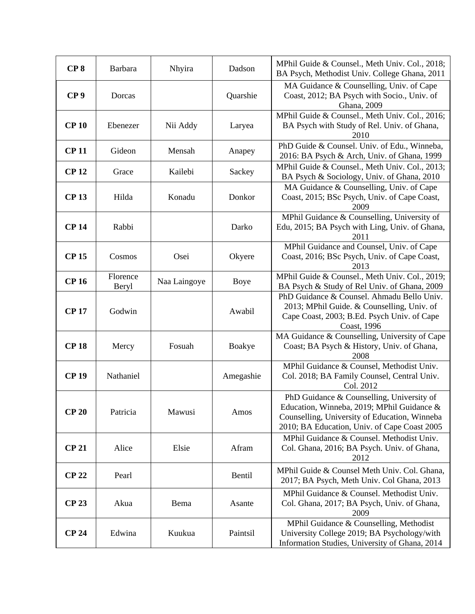| CP <sub>8</sub> | Barbara           | Nhyira       | Dadson    | MPhil Guide & Counsel., Meth Univ. Col., 2018;<br>BA Psych, Methodist Univ. College Ghana, 2011                                                                                          |
|-----------------|-------------------|--------------|-----------|------------------------------------------------------------------------------------------------------------------------------------------------------------------------------------------|
| CP <sub>9</sub> | Dorcas            |              | Quarshie  | MA Guidance & Counselling, Univ. of Cape<br>Coast, 2012; BA Psych with Socio., Univ. of<br>Ghana, 2009                                                                                   |
| <b>CP 10</b>    | Ebenezer          | Nii Addy     | Laryea    | MPhil Guide & Counsel., Meth Univ. Col., 2016;<br>BA Psych with Study of Rel. Univ. of Ghana,<br>2010                                                                                    |
| <b>CP11</b>     | Gideon            | Mensah       | Anapey    | PhD Guide & Counsel. Univ. of Edu., Winneba,<br>2016: BA Psych & Arch, Univ. of Ghana, 1999                                                                                              |
| <b>CP12</b>     | Grace             | Kailebi      | Sackey    | MPhil Guide & Counsel., Meth Univ. Col., 2013;<br>BA Psych & Sociology, Univ. of Ghana, 2010                                                                                             |
| <b>CP13</b>     | Hilda             | Konadu       | Donkor    | MA Guidance & Counselling, Univ. of Cape<br>Coast, 2015; BSc Psych, Univ. of Cape Coast,<br>2009                                                                                         |
| <b>CP14</b>     | Rabbi             |              | Darko     | MPhil Guidance & Counselling, University of<br>Edu, 2015; BA Psych with Ling, Univ. of Ghana,<br>2011                                                                                    |
| <b>CP15</b>     | Cosmos            | Osei         | Okyere    | MPhil Guidance and Counsel, Univ. of Cape<br>Coast, 2016; BSc Psych, Univ. of Cape Coast,<br>2013                                                                                        |
| <b>CP16</b>     | Florence<br>Beryl | Naa Laingoye | Boye      | MPhil Guide & Counsel., Meth Univ. Col., 2019;<br>BA Psych & Study of Rel Univ. of Ghana, 2009                                                                                           |
| <b>CP17</b>     | Godwin            |              | Awabil    | PhD Guidance & Counsel. Ahmadu Bello Univ.<br>2013; MPhil Guide. & Counselling, Univ. of<br>Cape Coast, 2003; B.Ed. Psych Univ. of Cape<br>Coast, 1996                                   |
| <b>CP18</b>     | Mercy             | Fosuah       | Boakye    | MA Guidance & Counselling, University of Cape<br>Coast; BA Psych & History, Univ. of Ghana,<br>2008                                                                                      |
| <b>CP 19</b>    | Nathaniel         |              | Amegashie | MPhil Guidance & Counsel, Methodist Univ.<br>Col. 2018; BA Family Counsel, Central Univ.<br>Col. 2012                                                                                    |
| <b>CP 20</b>    | Patricia          | Mawusi       | Amos      | PhD Guidance & Counselling, University of<br>Education, Winneba, 2019; MPhil Guidance &<br>Counselling, University of Education, Winneba<br>2010; BA Education, Univ. of Cape Coast 2005 |
| <b>CP 21</b>    | Alice             | Elsie        | Afram     | MPhil Guidance & Counsel. Methodist Univ.<br>Col. Ghana, 2016; BA Psych. Univ. of Ghana,<br>2012                                                                                         |
| <b>CP 22</b>    | Pearl             |              | Bentil    | MPhil Guide & Counsel Meth Univ. Col. Ghana,<br>2017; BA Psych, Meth Univ. Col Ghana, 2013                                                                                               |
| <b>CP 23</b>    | Akua              | Bema         | Asante    | MPhil Guidance & Counsel. Methodist Univ.<br>Col. Ghana, 2017; BA Psych, Univ. of Ghana,<br>2009                                                                                         |
| <b>CP 24</b>    | Edwina            | Kuukua       | Paintsil  | MPhil Guidance & Counselling, Methodist<br>University College 2019; BA Psychology/with<br>Information Studies, University of Ghana, 2014                                                 |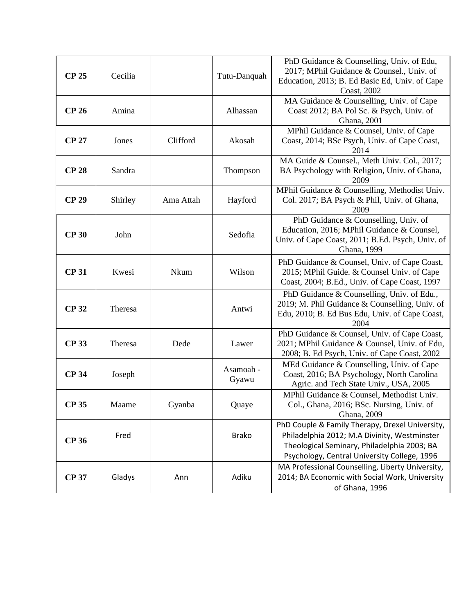| <b>CP 25</b> | Cecilia |           | Tutu-Danquah       | PhD Guidance & Counselling, Univ. of Edu,<br>2017; MPhil Guidance & Counsel., Univ. of<br>Education, 2013; B. Ed Basic Ed, Univ. of Cape<br>Coast, 2002                                        |
|--------------|---------|-----------|--------------------|------------------------------------------------------------------------------------------------------------------------------------------------------------------------------------------------|
| <b>CP 26</b> | Amina   |           | Alhassan           | MA Guidance & Counselling, Univ. of Cape<br>Coast 2012; BA Pol Sc. & Psych, Univ. of<br>Ghana, 2001                                                                                            |
| <b>CP 27</b> | Jones   | Clifford  | Akosah             | MPhil Guidance & Counsel, Univ. of Cape<br>Coast, 2014; BSc Psych, Univ. of Cape Coast,<br>2014                                                                                                |
| <b>CP 28</b> | Sandra  |           | Thompson           | MA Guide & Counsel., Meth Univ. Col., 2017;<br>BA Psychology with Religion, Univ. of Ghana,<br>2009                                                                                            |
| <b>CP 29</b> | Shirley | Ama Attah | Hayford            | MPhil Guidance & Counselling, Methodist Univ.<br>Col. 2017; BA Psych & Phil, Univ. of Ghana,<br>2009                                                                                           |
| <b>CP 30</b> | John    |           | Sedofia            | PhD Guidance & Counselling, Univ. of<br>Education, 2016; MPhil Guidance & Counsel,<br>Univ. of Cape Coast, 2011; B.Ed. Psych, Univ. of<br>Ghana, 1999                                          |
| <b>CP31</b>  | Kwesi   | Nkum      | Wilson             | PhD Guidance & Counsel, Univ. of Cape Coast,<br>2015; MPhil Guide. & Counsel Univ. of Cape<br>Coast, 2004; B.Ed., Univ. of Cape Coast, 1997                                                    |
| <b>CP 32</b> | Theresa |           | Antwi              | PhD Guidance & Counselling, Univ. of Edu.,<br>2019; M. Phil Guidance & Counselling, Univ. of<br>Edu, 2010; B. Ed Bus Edu, Univ. of Cape Coast,<br>2004                                         |
| <b>CP 33</b> | Theresa | Dede      | Lawer              | PhD Guidance & Counsel, Univ. of Cape Coast,<br>2021; MPhil Guidance & Counsel, Univ. of Edu,<br>2008; B. Ed Psych, Univ. of Cape Coast, 2002                                                  |
| <b>CP 34</b> | Joseph  |           | Asamoah -<br>Gyawu | MEd Guidance & Counselling, Univ. of Cape<br>Coast, 2016; BA Psychology, North Carolina<br>Agric. and Tech State Univ., USA, 2005                                                              |
| <b>CP 35</b> | Maame   | Gyanba    | Quaye              | MPhil Guidance & Counsel, Methodist Univ.<br>Col., Ghana, 2016; BSc. Nursing, Univ. of<br>Ghana, 2009                                                                                          |
| <b>CP 36</b> | Fred    |           | <b>Brako</b>       | PhD Couple & Family Therapy, Drexel University,<br>Philadelphia 2012; M.A Divinity, Westminster<br>Theological Seminary, Philadelphia 2003; BA<br>Psychology, Central University College, 1996 |
| <b>CP 37</b> | Gladys  | Ann       | Adiku              | MA Professional Counselling, Liberty University,<br>2014; BA Economic with Social Work, University<br>of Ghana, 1996                                                                           |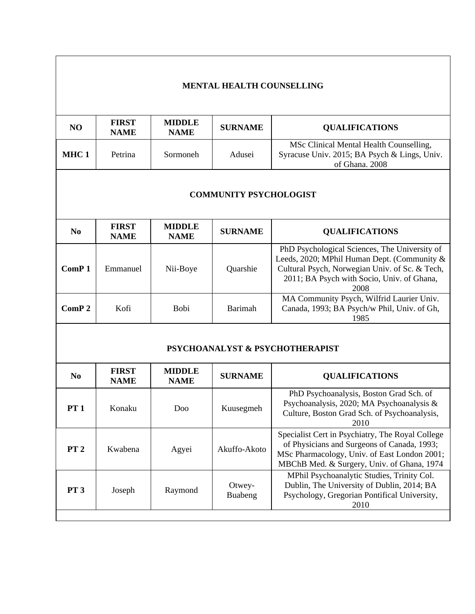## **MENTAL HEALTH COUNSELLING**

| N <sub>O</sub> | <b>FIRST</b><br><b>NAME</b> | <b>MIDDLE</b><br><b>NAME</b> | <b>SURNAME</b> | <b>QUALIFICATIONS</b>                                                                                     |
|----------------|-----------------------------|------------------------------|----------------|-----------------------------------------------------------------------------------------------------------|
| MHC 1          | Petrina                     | Sormoneh                     | Adusei         | MSc Clinical Mental Health Counselling,<br>Syracuse Univ. 2015; BA Psych & Lings, Univ.<br>of Ghana. 2008 |

### **COMMUNITY PSYCHOLOGIST**

| No.               | <b>FIRST</b><br><b>NAME</b> | <b>MIDDLE</b><br><b>NAME</b> | <b>SURNAME</b> | <b>QUALIFICATIONS</b>                                                                                                                                                                                |
|-------------------|-----------------------------|------------------------------|----------------|------------------------------------------------------------------------------------------------------------------------------------------------------------------------------------------------------|
| ComP <sub>1</sub> | Emmanuel                    | Nii-Boye                     | Quarshie       | PhD Psychological Sciences, The University of<br>Leeds, 2020; MPhil Human Dept. (Community &<br>Cultural Psych, Norwegian Univ. of Sc. & Tech,<br>2011; BA Psych with Socio, Univ. of Ghana,<br>2008 |
| ComP <sub>2</sub> | Kofi                        | <b>Bobi</b>                  | <b>Barimah</b> | MA Community Psych, Wilfrid Laurier Univ.<br>Canada, 1993; BA Psych/w Phil, Univ. of Gh,<br>1985                                                                                                     |

## **PSYCHOANALYST & PSYCHOTHERAPIST**

| No.             | <b>FIRST</b><br><b>NAME</b> | <b>MIDDLE</b><br><b>NAME</b> | <b>SURNAME</b>    | <b>QUALIFICATIONS</b>                                                                                                                                                                         |
|-----------------|-----------------------------|------------------------------|-------------------|-----------------------------------------------------------------------------------------------------------------------------------------------------------------------------------------------|
| <b>PT 1</b>     | Konaku                      | Doo                          | Kuusegmeh         | PhD Psychoanalysis, Boston Grad Sch. of<br>Psychoanalysis, 2020; MA Psychoanalysis &<br>Culture, Boston Grad Sch. of Psychoanalysis,<br>2010                                                  |
| PT <sub>2</sub> | Kwabena                     | Agyei                        | Akuffo-Akoto      | Specialist Cert in Psychiatry, The Royal College<br>of Physicians and Surgeons of Canada, 1993;<br>MSc Pharmacology, Univ. of East London 2001;<br>MBChB Med. & Surgery, Univ. of Ghana, 1974 |
| <b>PT 3</b>     | Joseph                      | Raymond                      | Otwey-<br>Buabeng | MPhil Psychoanalytic Studies, Trinity Col.<br>Dublin, The University of Dublin, 2014; BA<br>Psychology, Gregorian Pontifical University,<br>2010                                              |
|                 |                             |                              |                   |                                                                                                                                                                                               |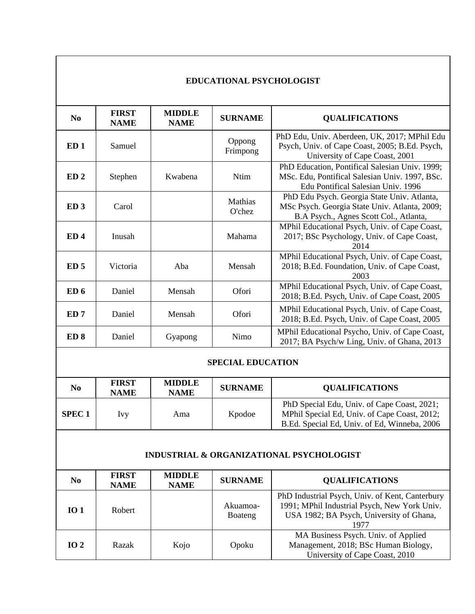#### **EDUCATIONAL PSYCHOLOGIST**

| N <sub>0</sub>           | <b>FIRST</b><br><b>NAME</b> | <b>MIDDLE</b><br><b>NAME</b> | <b>SURNAME</b>       | <b>QUALIFICATIONS</b>                                                                                                                  |
|--------------------------|-----------------------------|------------------------------|----------------------|----------------------------------------------------------------------------------------------------------------------------------------|
| ED <sub>1</sub>          | Samuel                      |                              | Oppong<br>Frimpong   | PhD Edu, Univ. Aberdeen, UK, 2017; MPhil Edu<br>Psych, Univ. of Cape Coast, 2005; B.Ed. Psych,<br>University of Cape Coast, 2001       |
| ED <sub>2</sub>          | Stephen                     | Kwabena                      | <b>Ntim</b>          | PhD Education, Pontifical Salesian Univ. 1999;<br>MSc. Edu, Pontifical Salesian Univ. 1997, BSc.<br>Edu Pontifical Salesian Univ. 1996 |
| ED <sub>3</sub>          | Carol                       |                              | Mathias<br>$O$ 'chez | PhD Edu Psych. Georgia State Univ. Atlanta,<br>MSc Psych. Georgia State Univ. Atlanta, 2009;<br>B.A Psych., Agnes Scott Col., Atlanta, |
| ED <sub>4</sub>          | Inusah                      |                              | Mahama               | MPhil Educational Psych, Univ. of Cape Coast,<br>2017; BSc Psychology, Univ. of Cape Coast,<br>2014                                    |
| ED <sub>5</sub>          | Victoria                    | Aba                          | Mensah               | MPhil Educational Psych, Univ. of Cape Coast,<br>2018; B.Ed. Foundation, Univ. of Cape Coast,<br>2003                                  |
| ED 6                     | Daniel                      | Mensah                       | Ofori                | MPhil Educational Psych, Univ. of Cape Coast,<br>2018; B.Ed. Psych, Univ. of Cape Coast, 2005                                          |
| ED <sub>7</sub>          | Daniel                      | Mensah                       | Ofori                | MPhil Educational Psych, Univ. of Cape Coast,<br>2018; B.Ed. Psych, Univ. of Cape Coast, 2005                                          |
| ED <sub>8</sub>          | Daniel                      | Gyapong                      | Nimo                 | MPhil Educational Psycho, Univ. of Cape Coast,<br>2017; BA Psych/w Ling, Univ. of Ghana, 2013                                          |
| <b>SPECIAL EDUCATION</b> |                             |                              |                      |                                                                                                                                        |

| No            | <b>FIRST</b><br><b>NAME</b> | <b>MIDDLE</b><br><b>NAME</b> | <b>SURNAME</b> | <b>QUALIFICATIONS</b>                                                                                                                       |
|---------------|-----------------------------|------------------------------|----------------|---------------------------------------------------------------------------------------------------------------------------------------------|
| <b>SPEC 1</b> | Ivv                         | Ama                          | Kpodoe         | PhD Special Edu, Univ. of Cape Coast, 2021;<br>MPhil Special Ed, Univ. of Cape Coast, 2012;<br>B.Ed. Special Ed, Univ. of Ed, Winneba, 2006 |

## **INDUSTRIAL & ORGANIZATIONAL PSYCHOLOGIST**

| No              | <b>FIRST</b><br><b>NAME</b> | <b>MIDDLE</b><br><b>NAME</b> | <b>SURNAME</b>      | <b>QUALIFICATIONS</b>                                                                                                                               |
|-----------------|-----------------------------|------------------------------|---------------------|-----------------------------------------------------------------------------------------------------------------------------------------------------|
| IO <sub>1</sub> | Robert                      |                              | Akuamoa-<br>Boateng | PhD Industrial Psych, Univ. of Kent, Canterbury<br>1991; MPhil Industrial Psych, New York Univ.<br>USA 1982; BA Psych, University of Ghana,<br>1977 |
| IO $2$          | Razak                       | Kojo                         | Opoku               | MA Business Psych. Univ. of Applied<br>Management, 2018; BSc Human Biology,<br>University of Cape Coast, 2010                                       |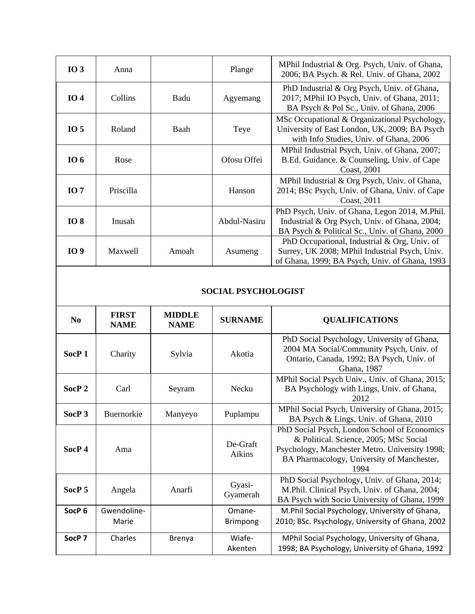| $IO$ 3          | Anna      |       | Plange       | MPhil Industrial & Org. Psych, Univ. of Ghana,<br>2006; BA Psych. & Rel. Univ. of Ghana, 2002                                                     |
|-----------------|-----------|-------|--------------|---------------------------------------------------------------------------------------------------------------------------------------------------|
| IO <sub>4</sub> | Collins   | Badu  | Agyemang     | PhD Industrial & Org Psych, Univ. of Ghana,<br>2017; MPhil IO Psych, Univ. of Ghana, 2011;<br>BA Psych & Pol Sc., Univ. of Ghana, 2006            |
| IO <sub>5</sub> | Roland    | Baah  | Teye         | MSc Occupational & Organizational Psychology,<br>University of East London, UK, 2009; BA Psych<br>with Info Studies, Univ. of Ghana, 2006         |
| <b>IO</b> 6     | Rose      |       | Ofosu Offei  | MPhil Industrial Psych, Univ. of Ghana, 2007;<br>B.Ed. Guidance. & Counseling, Univ. of Cape<br>Coast, 2001                                       |
| IO 7            | Priscilla |       | Hanson       | MPhil Industrial & Org Psych, Univ. of Ghana,<br>2014; BSc Psych, Univ. of Ghana, Univ. of Cape<br>Coast, 2011                                    |
| <b>IO8</b>      | Inusah    |       | Abdul-Nasiru | PhD Psych, Univ. of Ghana, Legon 2014, M.Phil.<br>Industrial & Org Psych, Univ. of Ghana, 2004;<br>BA Psych & Political Sc., Univ. of Ghana, 2000 |
| <b>IO9</b>      | Maxwell   | Amoah | Asumeng      | PhD Occupational, Industrial & Org, Univ. of<br>Surrey, UK 2008; MPhil Industrial Psych, Univ.<br>of Ghana, 1999; BA Psych, Univ. of Ghana, 1993  |

#### **SOCIAL PSYCHOLOGIST**

| N <sub>0</sub>    | <b>FIRST</b><br><b>NAME</b> | <b>MIDDLE</b><br><b>NAME</b> | <b>SURNAME</b>            | <b>QUALIFICATIONS</b>                                                                                                                                                                          |
|-------------------|-----------------------------|------------------------------|---------------------------|------------------------------------------------------------------------------------------------------------------------------------------------------------------------------------------------|
| SocP <sub>1</sub> | Charity                     | Sylvia                       | Akotia                    | PhD Social Psychology, University of Ghana,<br>2004 MA Social/Community Psych, Univ. of<br>Ontario, Canada, 1992; BA Psych, Univ. of<br>Ghana, 1987                                            |
| SocP <sub>2</sub> | Carl                        | Seyram                       | Necku                     | MPhil Social Psych Univ., Univ. of Ghana, 2015;<br>BA Psychology with Lings, Univ. of Ghana,<br>2012                                                                                           |
| SocP <sub>3</sub> | Buernorkie                  | Manyeyo                      | Puplampu                  | MPhil Social Psych, University of Ghana, 2015;<br>BA Psych & Lings, Univ. of Ghana, 2010                                                                                                       |
| SocP <sub>4</sub> | Ama                         |                              | De-Graft<br>Aikins        | PhD Social Psych, London School of Economics<br>& Political. Science, 2005; MSc Social<br>Psychology, Manchester Metro. University 1998;<br>BA Pharmacology, University of Manchester,<br>1994 |
| SocP <sub>5</sub> | Angela                      | Anarfi                       | Gyasi-<br>Gyamerah        | PhD Social Psychology, Univ. of Ghana, 2014;<br>M.Phil. Clinical Psych, Univ. of Ghana, 2004;<br>BA Psych with Socio University of Ghana, 1999                                                 |
| SocP <sub>6</sub> | Gwendoline-<br>Marie        |                              | Omane-<br><b>Brimpong</b> | M.Phil Social Psychology, University of Ghana,<br>2010; BSc. Psychology, University of Ghana, 2002                                                                                             |
| SocP <sub>7</sub> | Charles                     | Brenya                       | Wiafe-<br>Akenten         | MPhil Social Psychology, University of Ghana,<br>1998; BA Psychology, University of Ghana, 1992                                                                                                |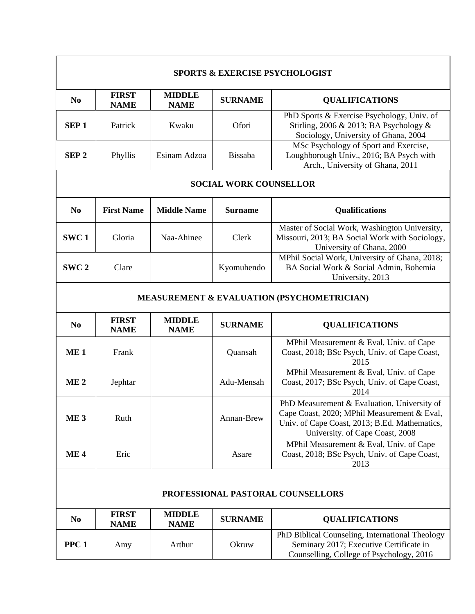|                               |                             |                                                       |                | <b>SPORTS &amp; EXERCISE PSYCHOLOGIST</b>                                                                                                                                      |  |  |
|-------------------------------|-----------------------------|-------------------------------------------------------|----------------|--------------------------------------------------------------------------------------------------------------------------------------------------------------------------------|--|--|
| N <sub>0</sub>                | <b>FIRST</b><br><b>NAME</b> | <b>MIDDLE</b><br><b>NAME</b>                          | <b>SURNAME</b> | <b>QUALIFICATIONS</b>                                                                                                                                                          |  |  |
| SEP <sub>1</sub>              | Patrick                     | Kwaku                                                 | Ofori          | PhD Sports & Exercise Psychology, Univ. of<br>Stirling, 2006 & 2013; BA Psychology &<br>Sociology, University of Ghana, 2004                                                   |  |  |
| SEP <sub>2</sub>              | Phyllis                     | Esinam Adzoa                                          | <b>Bissaba</b> | MSc Psychology of Sport and Exercise,<br>Loughborough Univ., 2016; BA Psych with<br>Arch., University of Ghana, 2011                                                           |  |  |
| <b>SOCIAL WORK COUNSELLOR</b> |                             |                                                       |                |                                                                                                                                                                                |  |  |
| N <sub>0</sub>                | <b>First Name</b>           | <b>Middle Name</b>                                    | <b>Surname</b> | <b>Qualifications</b>                                                                                                                                                          |  |  |
| SWC <sub>1</sub>              | Gloria                      | Naa-Ahinee                                            | Clerk          | Master of Social Work, Washington University,<br>Missouri, 2013; BA Social Work with Sociology,<br>University of Ghana, 2000                                                   |  |  |
| SWC <sub>2</sub>              | Clare                       |                                                       | Kyomuhendo     | MPhil Social Work, University of Ghana, 2018;<br>BA Social Work & Social Admin, Bohemia<br>University, 2013                                                                    |  |  |
|                               |                             | <b>MEASUREMENT &amp; EVALUATION (PSYCHOMETRICIAN)</b> |                |                                                                                                                                                                                |  |  |
|                               |                             |                                                       |                |                                                                                                                                                                                |  |  |
| N <sub>0</sub>                | <b>FIRST</b><br><b>NAME</b> | <b>MIDDLE</b><br><b>NAME</b>                          | <b>SURNAME</b> | <b>QUALIFICATIONS</b>                                                                                                                                                          |  |  |
| ME <sub>1</sub>               | Frank                       |                                                       | Quansah        | MPhil Measurement & Eval, Univ. of Cape<br>Coast, 2018; BSc Psych, Univ. of Cape Coast,<br>2015                                                                                |  |  |
| ME <sub>2</sub>               | Jephtar                     |                                                       | Adu-Mensah     | MPhil Measurement & Eval, Univ. of Cape<br>Coast, 2017; BSc Psych, Univ. of Cape Coast,<br>2014                                                                                |  |  |
| ME <sub>3</sub>               | Ruth                        |                                                       | Annan-Brew     | PhD Measurement & Evaluation, University of<br>Cape Coast, 2020; MPhil Measurement & Eval,<br>Univ. of Cape Coast, 2013; B.Ed. Mathematics,<br>University. of Cape Coast, 2008 |  |  |
| ME <sub>4</sub>               | Eric                        |                                                       | Asare          | MPhil Measurement & Eval, Univ. of Cape<br>Coast, 2018; BSc Psych, Univ. of Cape Coast,<br>2013                                                                                |  |  |
|                               |                             |                                                       |                | PROFESSIONAL PASTORAL COUNSELLORS                                                                                                                                              |  |  |
| N <sub>0</sub>                | <b>FIRST</b><br><b>NAME</b> | <b>MIDDLE</b><br><b>NAME</b>                          | <b>SURNAME</b> | <b>QUALIFICATIONS</b>                                                                                                                                                          |  |  |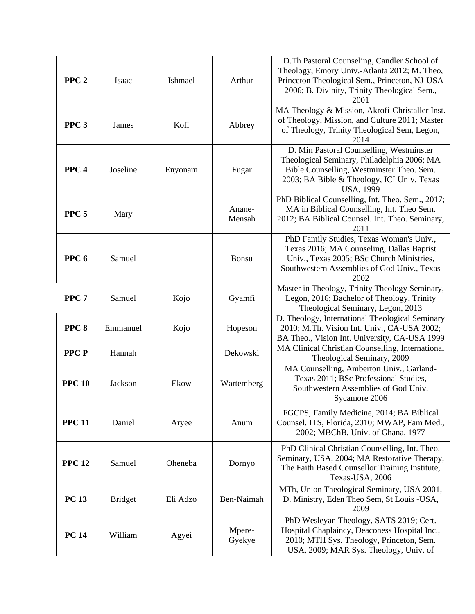| PPC <sub>2</sub> | Isaac          | Ishmael  | Arthur           | D. Th Pastoral Counseling, Candler School of<br>Theology, Emory Univ.-Atlanta 2012; M. Theo,<br>Princeton Theological Sem., Princeton, NJ-USA<br>2006; B. Divinity, Trinity Theological Sem.,<br>2001  |
|------------------|----------------|----------|------------------|--------------------------------------------------------------------------------------------------------------------------------------------------------------------------------------------------------|
| PPC <sub>3</sub> | James          | Kofi     | Abbrey           | MA Theology & Mission, Akrofi-Christaller Inst.<br>of Theology, Mission, and Culture 2011; Master<br>of Theology, Trinity Theological Sem, Legon,<br>2014                                              |
| PPC <sub>4</sub> | Joseline       | Enyonam  | Fugar            | D. Min Pastoral Counselling, Westminster<br>Theological Seminary, Philadelphia 2006; MA<br>Bible Counselling, Westminster Theo. Sem.<br>2003; BA Bible & Theology, ICI Univ. Texas<br><b>USA, 1999</b> |
| PPC <sub>5</sub> | Mary           |          | Anane-<br>Mensah | PhD Biblical Counselling, Int. Theo. Sem., 2017;<br>MA in Biblical Counselling, Int. Theo Sem.<br>2012; BA Biblical Counsel. Int. Theo. Seminary,<br>2011                                              |
| PPC <sub>6</sub> | Samuel         |          | Bonsu            | PhD Family Studies, Texas Woman's Univ.,<br>Texas 2016; MA Counseling, Dallas Baptist<br>Univ., Texas 2005; BSc Church Ministries,<br>Southwestern Assemblies of God Univ., Texas<br>2002              |
| PPC <sub>7</sub> | Samuel         | Kojo     | Gyamfi           | Master in Theology, Trinity Theology Seminary,<br>Legon, 2016; Bachelor of Theology, Trinity<br>Theological Seminary, Legon, 2013                                                                      |
| PPC <sub>8</sub> | Emmanuel       | Kojo     | Hopeson          | D. Theology, International Theological Seminary<br>2010; M.Th. Vision Int. Univ., CA-USA 2002;<br>BA Theo., Vision Int. University, CA-USA 1999                                                        |
| <b>PPCP</b>      | Hannah         |          | Dekowski         | MA Clinical Christian Counselling, International<br>Theological Seminary, 2009                                                                                                                         |
| <b>PPC 10</b>    | Jackson        | Ekow     | Wartemberg       | MA Counselling, Amberton Univ., Garland-<br>Texas 2011; BSc Professional Studies,<br>Southwestern Assemblies of God Univ.<br>Sycamore 2006                                                             |
| <b>PPC 11</b>    | Daniel         | Aryee    | Anum             | FGCPS, Family Medicine, 2014; BA Biblical<br>Counsel. ITS, Florida, 2010; MWAP, Fam Med.,<br>2002; MBChB, Univ. of Ghana, 1977                                                                         |
| <b>PPC 12</b>    | Samuel         | Oheneba  | Dornyo           | PhD Clinical Christian Counselling, Int. Theo.<br>Seminary, USA, 2004; MA Restorative Therapy,<br>The Faith Based Counsellor Training Institute,<br>Texas-USA, 2006                                    |
| <b>PC 13</b>     | <b>Bridget</b> | Eli Adzo | Ben-Naimah       | MTh, Union Theological Seminary, USA 2001,<br>D. Ministry, Eden Theo Sem, St Louis -USA,<br>2009                                                                                                       |
| <b>PC 14</b>     | William        | Agyei    | Mpere-<br>Gyekye | PhD Wesleyan Theology, SATS 2019; Cert.<br>Hospital Chaplaincy, Deaconess Hospital Inc.,<br>2010; MTH Sys. Theology, Princeton, Sem.<br>USA, 2009; MAR Sys. Theology, Univ. of                         |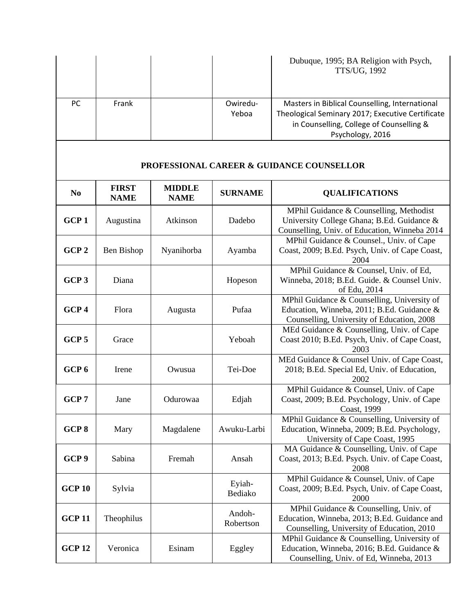|     |       |          | Dubuque, 1995; BA Religion with Psych,<br>TTS/UG, 1992 |
|-----|-------|----------|--------------------------------------------------------|
| PC. | Frank | Owiredu- | Masters in Biblical Counselling, International         |
|     |       | Yeboa    | Theological Seminary 2017; Executive Certificate       |
|     |       |          | in Counselling, College of Counselling &               |
|     |       |          | Psychology, 2016                                       |

#### **PROFESSIONAL CAREER & GUIDANCE COUNSELLOR**

| N <sub>0</sub>   | <b>FIRST</b><br><b>NAME</b> | <b>MIDDLE</b><br><b>NAME</b> | <b>SURNAME</b>      | <b>QUALIFICATIONS</b>                                                                                                                   |
|------------------|-----------------------------|------------------------------|---------------------|-----------------------------------------------------------------------------------------------------------------------------------------|
| GCP <sub>1</sub> | Augustina                   | Atkinson                     | Dadebo              | MPhil Guidance & Counselling, Methodist<br>University College Ghana; B.Ed. Guidance &<br>Counselling, Univ. of Education, Winneba 2014  |
| GCP <sub>2</sub> | Ben Bishop                  | Nyanihorba                   | Ayamba              | MPhil Guidance & Counsel., Univ. of Cape<br>Coast, 2009; B.Ed. Psych, Univ. of Cape Coast,<br>2004                                      |
| GCP <sub>3</sub> | Diana                       |                              | Hopeson             | MPhil Guidance & Counsel, Univ. of Ed,<br>Winneba, 2018; B.Ed. Guide. & Counsel Univ.<br>of Edu, 2014                                   |
| GCP <sub>4</sub> | Flora                       | Augusta                      | Pufaa               | MPhil Guidance & Counselling, University of<br>Education, Winneba, 2011; B.Ed. Guidance &<br>Counselling, University of Education, 2008 |
| GCP <sub>5</sub> | Grace                       |                              | Yeboah              | MEd Guidance & Counselling, Univ. of Cape<br>Coast 2010; B.Ed. Psych, Univ. of Cape Coast,<br>2003                                      |
| GCP <sub>6</sub> | Irene                       | Owusua                       | Tei-Doe             | MEd Guidance & Counsel Univ. of Cape Coast,<br>2018; B.Ed. Special Ed, Univ. of Education,<br>2002                                      |
| GCP <sub>7</sub> | Jane                        | Odurowaa                     | Edjah               | MPhil Guidance & Counsel, Univ. of Cape<br>Coast, 2009; B.Ed. Psychology, Univ. of Cape<br>Coast, 1999                                  |
| GCP <sub>8</sub> | Mary                        | Magdalene                    | Awuku-Larbi         | MPhil Guidance & Counselling, University of<br>Education, Winneba, 2009; B.Ed. Psychology,<br>University of Cape Coast, 1995            |
| GCP <sub>9</sub> | Sabina                      | Fremah                       | Ansah               | MA Guidance & Counselling, Univ. of Cape<br>Coast, 2013; B.Ed. Psych. Univ. of Cape Coast,<br>2008                                      |
| <b>GCP 10</b>    | Sylvia                      |                              | Eyiah-<br>Bediako   | MPhil Guidance & Counsel, Univ. of Cape<br>Coast, 2009; B.Ed. Psych, Univ. of Cape Coast,<br>2000                                       |
| <b>GCP 11</b>    | Theophilus                  |                              | Andoh-<br>Robertson | MPhil Guidance & Counselling, Univ. of<br>Education, Winneba, 2013; B.Ed. Guidance and<br>Counselling, University of Education, 2010    |
| <b>GCP 12</b>    | Veronica                    | Esinam                       | Eggley              | MPhil Guidance & Counselling, University of<br>Education, Winneba, 2016; B.Ed. Guidance &<br>Counselling, Univ. of Ed, Winneba, 2013    |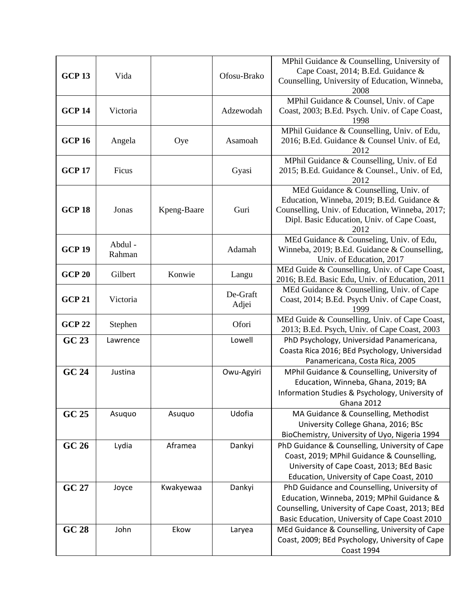| <b>GCP 13</b> | Vida              |             | Ofosu-Brako       | MPhil Guidance & Counselling, University of<br>Cape Coast, 2014; B.Ed. Guidance &<br>Counselling, University of Education, Winneba,<br>2008                                                     |
|---------------|-------------------|-------------|-------------------|-------------------------------------------------------------------------------------------------------------------------------------------------------------------------------------------------|
| <b>GCP 14</b> | Victoria          |             | Adzewodah         | MPhil Guidance & Counsel, Univ. of Cape<br>Coast, 2003; B.Ed. Psych. Univ. of Cape Coast,<br>1998                                                                                               |
| <b>GCP 16</b> | Angela            | Oye         | Asamoah           | MPhil Guidance & Counselling, Univ. of Edu,<br>2016; B.Ed. Guidance & Counsel Univ. of Ed,<br>2012                                                                                              |
| <b>GCP 17</b> | Ficus             |             | Gyasi             | MPhil Guidance & Counselling, Univ. of Ed<br>2015; B.Ed. Guidance & Counsel., Univ. of Ed,<br>2012                                                                                              |
| <b>GCP 18</b> | Jonas             | Kpeng-Baare | Guri              | MEd Guidance & Counselling, Univ. of<br>Education, Winneba, 2019; B.Ed. Guidance &<br>Counselling, Univ. of Education, Winneba, 2017;<br>Dipl. Basic Education, Univ. of Cape Coast,<br>2012    |
| <b>GCP 19</b> | Abdul -<br>Rahman |             | Adamah            | MEd Guidance & Counseling, Univ. of Edu,<br>Winneba, 2019; B.Ed. Guidance & Counselling,<br>Univ. of Education, 2017                                                                            |
| <b>GCP 20</b> | Gilbert           | Konwie      | Langu             | MEd Guide & Counselling, Univ. of Cape Coast,<br>2016; B.Ed. Basic Edu, Univ. of Education, 2011                                                                                                |
| <b>GCP 21</b> | Victoria          |             | De-Graft<br>Adjei | MEd Guidance & Counselling, Univ. of Cape<br>Coast, 2014; B.Ed. Psych Univ. of Cape Coast,<br>1999                                                                                              |
| <b>GCP 22</b> | Stephen           |             | Ofori             | MEd Guide & Counselling, Univ. of Cape Coast,<br>2013; B.Ed. Psych, Univ. of Cape Coast, 2003                                                                                                   |
| GC 23         | Lawrence          |             | Lowell            | PhD Psychology, Universidad Panamericana,<br>Coasta Rica 2016; BEd Psychology, Universidad<br>Panamericana, Costa Rica, 2005                                                                    |
| <b>GC 24</b>  | Justina           |             | Owu-Agyiri        | MPhil Guidance & Counselling, University of<br>Education, Winneba, Ghana, 2019; BA<br>Information Studies & Psychology, University of<br>Ghana 2012                                             |
| GC 25         | Asuquo            | Asuquo      | Udofia            | MA Guidance & Counselling, Methodist<br>University College Ghana, 2016; BSc<br>BioChemistry, University of Uyo, Nigeria 1994                                                                    |
| GC 26         | Lydia             | Aframea     | Dankyi            | PhD Guidance & Counselling, University of Cape<br>Coast, 2019; MPhil Guidance & Counselling,<br>University of Cape Coast, 2013; BEd Basic<br>Education, University of Cape Coast, 2010          |
| GC 27         | Joyce             | Kwakyewaa   | Dankyi            | PhD Guidance and Counselling, University of<br>Education, Winneba, 2019; MPhil Guidance &<br>Counselling, University of Cape Coast, 2013; BEd<br>Basic Education, University of Cape Coast 2010 |
| GC 28         | John              | Ekow        | Laryea            | MEd Guidance & Counselling, University of Cape<br>Coast, 2009; BEd Psychology, University of Cape<br><b>Coast 1994</b>                                                                          |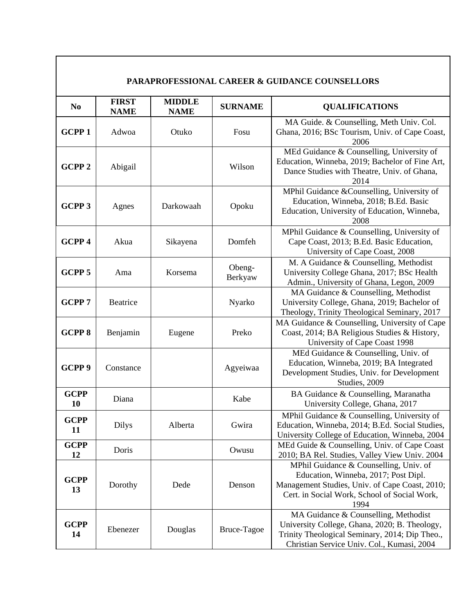|                   | <b>PARAPROFESSIONAL CAREER &amp; GUIDANCE COUNSELLORS</b> |                              |                   |                                                                                                                                                                                          |  |  |
|-------------------|-----------------------------------------------------------|------------------------------|-------------------|------------------------------------------------------------------------------------------------------------------------------------------------------------------------------------------|--|--|
| N <sub>0</sub>    | <b>FIRST</b><br><b>NAME</b>                               | <b>MIDDLE</b><br><b>NAME</b> | <b>SURNAME</b>    | <b>QUALIFICATIONS</b>                                                                                                                                                                    |  |  |
| <b>GCPP1</b>      | Adwoa                                                     | Otuko                        | Fosu              | MA Guide. & Counselling, Meth Univ. Col.<br>Ghana, 2016; BSc Tourism, Univ. of Cape Coast,<br>2006                                                                                       |  |  |
| <b>GCPP2</b>      | Abigail                                                   |                              | Wilson            | MEd Guidance & Counselling, University of<br>Education, Winneba, 2019; Bachelor of Fine Art,<br>Dance Studies with Theatre, Univ. of Ghana,<br>2014                                      |  |  |
| <b>GCPP 3</b>     | Agnes                                                     | Darkowaah                    | Opoku             | MPhil Guidance &Counselling, University of<br>Education, Winneba, 2018; B.Ed. Basic<br>Education, University of Education, Winneba,<br>2008                                              |  |  |
| GCPP 4            | Akua                                                      | Sikayena                     | Domfeh            | MPhil Guidance & Counselling, University of<br>Cape Coast, 2013; B.Ed. Basic Education,<br>University of Cape Coast, 2008                                                                |  |  |
| GCPP <sub>5</sub> | Ama                                                       | Korsema                      | Obeng-<br>Berkyaw | M. A Guidance & Counselling, Methodist<br>University College Ghana, 2017; BSc Health<br>Admin., University of Ghana, Legon, 2009                                                         |  |  |
| <b>GCPP7</b>      | Beatrice                                                  |                              | Nyarko            | MA Guidance & Counselling, Methodist<br>University College, Ghana, 2019; Bachelor of<br>Theology, Trinity Theological Seminary, 2017                                                     |  |  |
| <b>GCPP8</b>      | Benjamin                                                  | Eugene                       | Preko             | MA Guidance & Counselling, University of Cape<br>Coast, 2014; BA Religious Studies & History,<br>University of Cape Coast 1998                                                           |  |  |
| GCPP <sub>9</sub> | Constance                                                 |                              | Agyeiwaa          | MEd Guidance & Counselling, Univ. of<br>Education, Winneba, 2019; BA Integrated<br>Development Studies, Univ. for Development<br>Studies, 2009                                           |  |  |
| <b>GCPP</b><br>10 | Diana                                                     |                              | Kabe              | BA Guidance & Counselling, Maranatha<br>University College, Ghana, 2017                                                                                                                  |  |  |
| <b>GCPP</b><br>11 | <b>Dilys</b>                                              | Alberta                      | Gwira             | MPhil Guidance & Counselling, University of<br>Education, Winneba, 2014; B.Ed. Social Studies,<br>University College of Education, Winneba, 2004                                         |  |  |
| <b>GCPP</b><br>12 | Doris                                                     |                              | Owusu             | MEd Guide & Counselling, Univ. of Cape Coast<br>2010; BA Rel. Studies, Valley View Univ. 2004                                                                                            |  |  |
| <b>GCPP</b><br>13 | Dorothy                                                   | Dede                         | Denson            | MPhil Guidance & Counselling, Univ. of<br>Education, Winneba, 2017; Post Dipl.<br>Management Studies, Univ. of Cape Coast, 2010;<br>Cert. in Social Work, School of Social Work,<br>1994 |  |  |
| <b>GCPP</b><br>14 | Ebenezer                                                  | Douglas                      | Bruce-Tagoe       | MA Guidance & Counselling, Methodist<br>University College, Ghana, 2020; B. Theology,<br>Trinity Theological Seminary, 2014; Dip Theo.,<br>Christian Service Univ. Col., Kumasi, 2004    |  |  |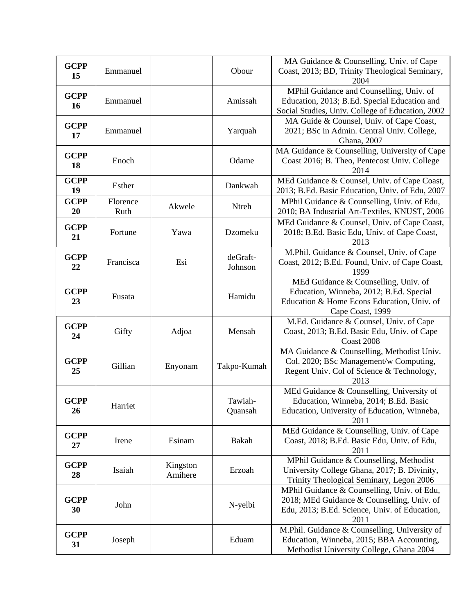| <b>GCPP</b><br>15 | Emmanuel         |                     | Obour               | MA Guidance & Counselling, Univ. of Cape<br>Coast, 2013; BD, Trinity Theological Seminary,<br>2004                                                 |
|-------------------|------------------|---------------------|---------------------|----------------------------------------------------------------------------------------------------------------------------------------------------|
| <b>GCPP</b><br>16 | Emmanuel         |                     | Amissah             | MPhil Guidance and Counselling, Univ. of<br>Education, 2013; B.Ed. Special Education and<br>Social Studies, Univ. College of Education, 2002       |
| <b>GCPP</b><br>17 | Emmanuel         |                     | Yarquah             | MA Guide & Counsel, Univ. of Cape Coast,<br>2021; BSc in Admin. Central Univ. College,<br>Ghana, 2007                                              |
| <b>GCPP</b><br>18 | Enoch            |                     | Odame               | MA Guidance & Counselling, University of Cape<br>Coast 2016; B. Theo, Pentecost Univ. College<br>2014                                              |
| <b>GCPP</b><br>19 | Esther           |                     | Dankwah             | MEd Guidance & Counsel, Univ. of Cape Coast,<br>2013; B.Ed. Basic Education, Univ. of Edu, 2007                                                    |
| <b>GCPP</b><br>20 | Florence<br>Ruth | Akwele              | Ntreh               | MPhil Guidance & Counselling, Univ. of Edu,<br>2010; BA Industrial Art-Textiles, KNUST, 2006                                                       |
| <b>GCPP</b><br>21 | Fortune          | Yawa                | Dzomeku             | MEd Guidance & Counsel, Univ. of Cape Coast,<br>2018; B.Ed. Basic Edu, Univ. of Cape Coast,<br>2013                                                |
| <b>GCPP</b><br>22 | Francisca        | Esi                 | deGraft-<br>Johnson | M.Phil. Guidance & Counsel, Univ. of Cape<br>Coast, 2012; B.Ed. Found, Univ. of Cape Coast,<br>1999                                                |
| <b>GCPP</b><br>23 | Fusata           |                     | Hamidu              | MEd Guidance & Counselling, Univ. of<br>Education, Winneba, 2012; B.Ed. Special<br>Education & Home Econs Education, Univ. of<br>Cape Coast, 1999  |
| <b>GCPP</b><br>24 | Gifty            | Adjoa               | Mensah              | M.Ed. Guidance & Counsel, Univ. of Cape<br>Coast, 2013; B.Ed. Basic Edu, Univ. of Cape<br>Coast 2008                                               |
| <b>GCPP</b><br>25 | Gillian          | Enyonam             | Takpo-Kumah         | MA Guidance & Counselling, Methodist Univ.<br>Col. 2020; BSc Management/w Computing,<br>Regent Univ. Col of Science & Technology,<br>2013          |
| <b>GCPP</b><br>26 | Harriet          |                     | Tawiah-<br>Quansah  | MEd Guidance & Counselling, University of<br>Education, Winneba, 2014; B.Ed. Basic<br>Education, University of Education, Winneba,<br>2011         |
| <b>GCPP</b><br>27 | Irene            | Esinam              | Bakah               | MEd Guidance & Counselling, Univ. of Cape<br>Coast, 2018; B.Ed. Basic Edu, Univ. of Edu,<br>2011                                                   |
| <b>GCPP</b><br>28 | Isaiah           | Kingston<br>Amihere | Erzoah              | MPhil Guidance & Counselling, Methodist<br>University College Ghana, 2017; B. Divinity,<br>Trinity Theological Seminary, Legon 2006                |
| <b>GCPP</b><br>30 | John             |                     | N-yelbi             | MPhil Guidance & Counselling, Univ. of Edu,<br>2018; MEd Guidance & Counselling, Univ. of<br>Edu, 2013; B.Ed. Science, Univ. of Education,<br>2011 |
| <b>GCPP</b><br>31 | Joseph           |                     | Eduam               | M.Phil. Guidance & Counselling, University of<br>Education, Winneba, 2015; BBA Accounting,<br>Methodist University College, Ghana 2004             |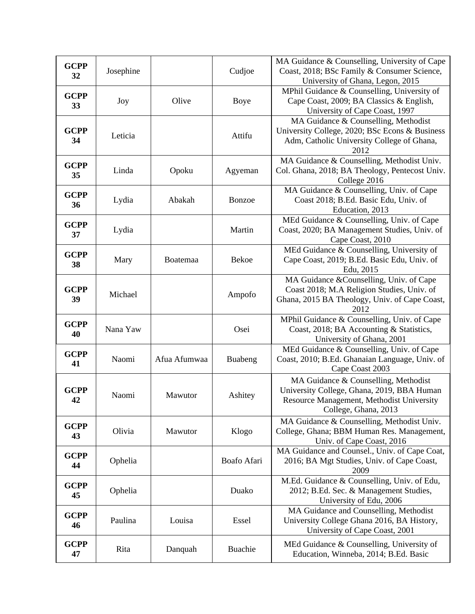| <b>GCPP</b><br>32 | Josephine |                 | Cudjoe         | MA Guidance & Counselling, University of Cape<br>Coast, 2018; BSc Family & Consumer Science,<br>University of Ghana, Legon, 2015                        |
|-------------------|-----------|-----------------|----------------|---------------------------------------------------------------------------------------------------------------------------------------------------------|
| <b>GCPP</b><br>33 | Joy       | Olive           | Boye           | MPhil Guidance & Counselling, University of<br>Cape Coast, 2009; BA Classics & English,<br>University of Cape Coast, 1997                               |
| <b>GCPP</b><br>34 | Leticia   |                 | Attifu         | MA Guidance & Counselling, Methodist<br>University College, 2020; BSc Econs & Business<br>Adm, Catholic University College of Ghana,<br>2012            |
| <b>GCPP</b><br>35 | Linda     | Opoku           | Agyeman        | MA Guidance & Counselling, Methodist Univ.<br>Col. Ghana, 2018; BA Theology, Pentecost Univ.<br>College 2016                                            |
| <b>GCPP</b><br>36 | Lydia     | Abakah          | Bonzoe         | MA Guidance & Counselling, Univ. of Cape<br>Coast 2018; B.Ed. Basic Edu, Univ. of<br>Education, 2013                                                    |
| <b>GCPP</b><br>37 | Lydia     |                 | Martin         | MEd Guidance & Counselling, Univ. of Cape<br>Coast, 2020; BA Management Studies, Univ. of<br>Cape Coast, 2010                                           |
| <b>GCPP</b><br>38 | Mary      | <b>Boatemaa</b> | <b>Bekoe</b>   | MEd Guidance & Counselling, University of<br>Cape Coast, 2019; B.Ed. Basic Edu, Univ. of<br>Edu, 2015                                                   |
| <b>GCPP</b><br>39 | Michael   |                 | Ampofo         | MA Guidance &Counselling, Univ. of Cape<br>Coast 2018; M.A Religion Studies, Univ. of<br>Ghana, 2015 BA Theology, Univ. of Cape Coast,<br>2012          |
| <b>GCPP</b><br>40 | Nana Yaw  |                 | Osei           | MPhil Guidance & Counselling, Univ. of Cape<br>Coast, 2018; BA Accounting & Statistics,<br>University of Ghana, 2001                                    |
| <b>GCPP</b><br>41 | Naomi     | Afua Afumwaa    | Buabeng        | MEd Guidance & Counselling, Univ. of Cape<br>Coast, 2010; B.Ed. Ghanaian Language, Univ. of<br>Cape Coast 2003                                          |
| <b>GCPP</b><br>42 | Naomi     | Mawutor         | Ashitey        | MA Guidance & Counselling, Methodist<br>University College, Ghana, 2019, BBA Human<br>Resource Management, Methodist University<br>College, Ghana, 2013 |
| <b>GCPP</b><br>43 | Olivia    | Mawutor         | Klogo          | MA Guidance & Counselling, Methodist Univ.<br>College, Ghana; BBM Human Res. Management,<br>Univ. of Cape Coast, 2016                                   |
| <b>GCPP</b><br>44 | Ophelia   |                 | Boafo Afari    | MA Guidance and Counsel., Univ. of Cape Coat,<br>2016; BA Mgt Studies, Univ. of Cape Coast,<br>2009                                                     |
| <b>GCPP</b><br>45 | Ophelia   |                 | Duako          | M.Ed. Guidance & Counselling, Univ. of Edu,<br>2012; B.Ed. Sec. & Management Studies,<br>University of Edu, 2006                                        |
| <b>GCPP</b><br>46 | Paulina   | Louisa          | Essel          | MA Guidance and Counselling, Methodist<br>University College Ghana 2016, BA History,<br>University of Cape Coast, 2001                                  |
| <b>GCPP</b><br>47 | Rita      | Danquah         | <b>Buachie</b> | MEd Guidance & Counselling, University of<br>Education, Winneba, 2014; B.Ed. Basic                                                                      |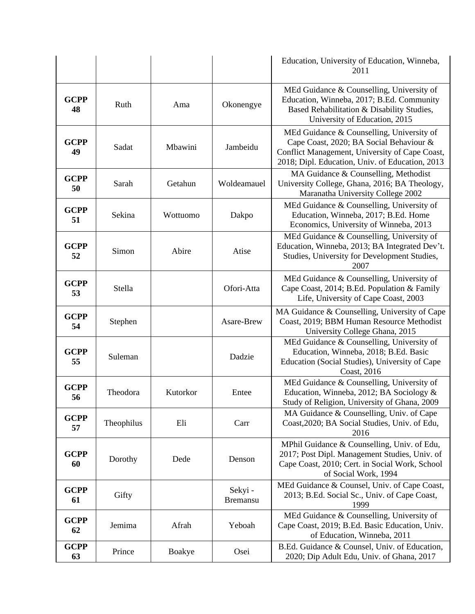|                   |            |          |                           | Education, University of Education, Winneba,<br>2011                                                                                                                                      |
|-------------------|------------|----------|---------------------------|-------------------------------------------------------------------------------------------------------------------------------------------------------------------------------------------|
| <b>GCPP</b><br>48 | Ruth       | Ama      | Okonengye                 | MEd Guidance & Counselling, University of<br>Education, Winneba, 2017; B.Ed. Community<br>Based Rehabilitation & Disability Studies,<br>University of Education, 2015                     |
| <b>GCPP</b><br>49 | Sadat      | Mbawini  | Jambeidu                  | MEd Guidance & Counselling, University of<br>Cape Coast, 2020; BA Social Behaviour &<br>Conflict Management, University of Cape Coast,<br>2018; Dipl. Education, Univ. of Education, 2013 |
| <b>GCPP</b><br>50 | Sarah      | Getahun  | Woldeamauel               | MA Guidance & Counselling, Methodist<br>University College, Ghana, 2016; BA Theology,<br>Maranatha University College 2002                                                                |
| <b>GCPP</b><br>51 | Sekina     | Wottuomo | Dakpo                     | MEd Guidance & Counselling, University of<br>Education, Winneba, 2017; B.Ed. Home<br>Economics, University of Winneba, 2013                                                               |
| <b>GCPP</b><br>52 | Simon      | Abire    | Atise                     | MEd Guidance & Counselling, University of<br>Education, Winneba, 2013; BA Integrated Dev't.<br>Studies, University for Development Studies,<br>2007                                       |
| <b>GCPP</b><br>53 | Stella     |          | Ofori-Atta                | MEd Guidance & Counselling, University of<br>Cape Coast, 2014; B.Ed. Population & Family<br>Life, University of Cape Coast, 2003                                                          |
| <b>GCPP</b><br>54 | Stephen    |          | Asare-Brew                | MA Guidance & Counselling, University of Cape<br>Coast, 2019; BBM Human Resource Methodist<br>University College Ghana, 2015                                                              |
| <b>GCPP</b><br>55 | Suleman    |          | Dadzie                    | MEd Guidance & Counselling, University of<br>Education, Winneba, 2018; B.Ed. Basic<br>Education (Social Studies), University of Cape<br>Coast, 2016                                       |
| <b>GCPP</b><br>56 | Theodora   | Kutorkor | Entee                     | MEd Guidance & Counselling, University of<br>Education, Winneba, 2012; BA Sociology &<br>Study of Religion, University of Ghana, 2009                                                     |
| <b>GCPP</b><br>57 | Theophilus | Eli      | Carr                      | MA Guidance & Counselling, Univ. of Cape<br>Coast, 2020; BA Social Studies, Univ. of Edu,<br>2016                                                                                         |
| <b>GCPP</b><br>60 | Dorothy    | Dede     | Denson                    | MPhil Guidance & Counselling, Univ. of Edu,<br>2017; Post Dipl. Management Studies, Univ. of<br>Cape Coast, 2010; Cert. in Social Work, School<br>of Social Work, 1994                    |
| <b>GCPP</b><br>61 | Gifty      |          | Sekyi-<br><b>Bremansu</b> | MEd Guidance & Counsel, Univ. of Cape Coast,<br>2013; B.Ed. Social Sc., Univ. of Cape Coast,<br>1999                                                                                      |
| <b>GCPP</b><br>62 | Jemima     | Afrah    | Yeboah                    | MEd Guidance & Counselling, University of<br>Cape Coast, 2019; B.Ed. Basic Education, Univ.<br>of Education, Winneba, 2011                                                                |
| <b>GCPP</b><br>63 | Prince     | Boakye   | Osei                      | B.Ed. Guidance & Counsel, Univ. of Education,<br>2020; Dip Adult Edu, Univ. of Ghana, 2017                                                                                                |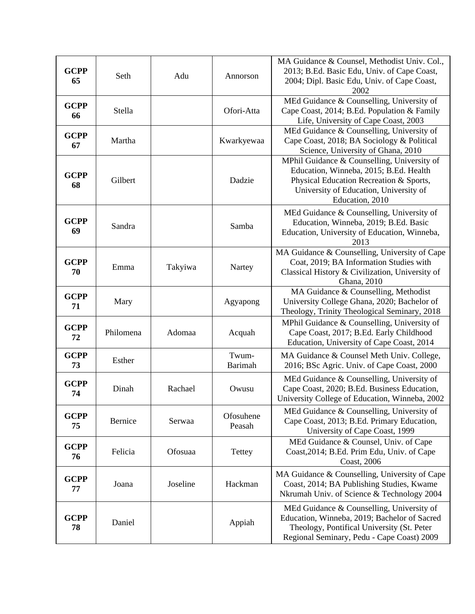| <b>GCPP</b><br>65 | Seth      | Adu      | Annorson            | MA Guidance & Counsel, Methodist Univ. Col.,<br>2013; B.Ed. Basic Edu, Univ. of Cape Coast,<br>2004; Dipl. Basic Edu, Univ. of Cape Coast,<br>2002                                            |
|-------------------|-----------|----------|---------------------|-----------------------------------------------------------------------------------------------------------------------------------------------------------------------------------------------|
| <b>GCPP</b><br>66 | Stella    |          | Ofori-Atta          | MEd Guidance & Counselling, University of<br>Cape Coast, 2014; B.Ed. Population & Family<br>Life, University of Cape Coast, 2003                                                              |
| <b>GCPP</b><br>67 | Martha    |          | Kwarkyewaa          | MEd Guidance & Counselling, University of<br>Cape Coast, 2018; BA Sociology & Political<br>Science, University of Ghana, 2010                                                                 |
| <b>GCPP</b><br>68 | Gilbert   |          | Dadzie              | MPhil Guidance & Counselling, University of<br>Education, Winneba, 2015; B.Ed. Health<br>Physical Education Recreation & Sports,<br>University of Education, University of<br>Education, 2010 |
| <b>GCPP</b><br>69 | Sandra    |          | Samba               | MEd Guidance & Counselling, University of<br>Education, Winneba, 2019; B.Ed. Basic<br>Education, University of Education, Winneba,<br>2013                                                    |
| <b>GCPP</b><br>70 | Emma      | Takyiwa  | Nartey              | MA Guidance & Counselling, University of Cape<br>Coat, 2019; BA Information Studies with<br>Classical History & Civilization, University of<br>Ghana, 2010                                    |
| <b>GCPP</b><br>71 | Mary      |          | Agyapong            | MA Guidance & Counselling, Methodist<br>University College Ghana, 2020; Bachelor of<br>Theology, Trinity Theological Seminary, 2018                                                           |
| <b>GCPP</b><br>72 | Philomena | Adomaa   | Acquah              | MPhil Guidance & Counselling, University of<br>Cape Coast, 2017; B.Ed. Early Childhood<br>Education, University of Cape Coast, 2014                                                           |
| <b>GCPP</b><br>73 | Esther    |          | Twum-<br>Barimah    | MA Guidance & Counsel Meth Univ. College,<br>2016; BSc Agric. Univ. of Cape Coast, 2000                                                                                                       |
| <b>GCPP</b><br>74 | Dinah     | Rachael  | Owusu               | MEd Guidance & Counselling, University of<br>Cape Coast, 2020; B.Ed. Business Education,<br>University College of Education, Winneba, 2002                                                    |
| <b>GCPP</b><br>75 | Bernice   | Serwaa   | Ofosuhene<br>Peasah | MEd Guidance & Counselling, University of<br>Cape Coast, 2013; B.Ed. Primary Education,<br>University of Cape Coast, 1999                                                                     |
| <b>GCPP</b><br>76 | Felicia   | Ofosuaa  | Tettey              | MEd Guidance & Counsel, Univ. of Cape<br>Coast, 2014; B.Ed. Prim Edu, Univ. of Cape<br>Coast, 2006                                                                                            |
| <b>GCPP</b><br>77 | Joana     | Joseline | Hackman             | MA Guidance & Counselling, University of Cape<br>Coast, 2014; BA Publishing Studies, Kwame<br>Nkrumah Univ. of Science & Technology 2004                                                      |
| <b>GCPP</b><br>78 | Daniel    |          | Appiah              | MEd Guidance & Counselling, University of<br>Education, Winneba, 2019; Bachelor of Sacred<br>Theology, Pontifical University (St. Peter<br>Regional Seminary, Pedu - Cape Coast) 2009         |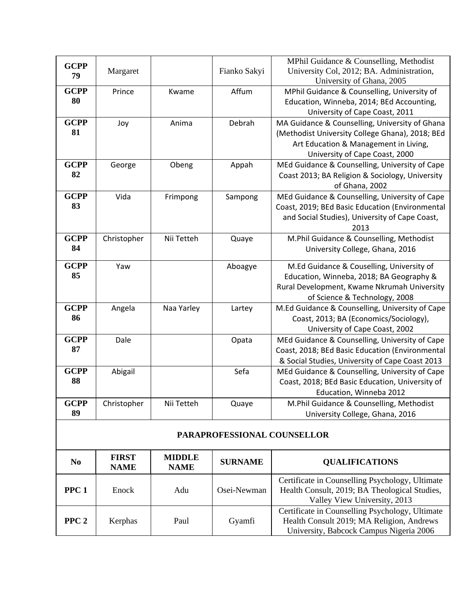| <b>GCPP</b><br>79 | Margaret    |            | Fianko Sakyi                | MPhil Guidance & Counselling, Methodist<br>University Col, 2012; BA. Administration,<br>University of Ghana, 2005                                                            |
|-------------------|-------------|------------|-----------------------------|------------------------------------------------------------------------------------------------------------------------------------------------------------------------------|
| <b>GCPP</b><br>80 | Prince      | Kwame      | Affum                       | MPhil Guidance & Counselling, University of<br>Education, Winneba, 2014; BEd Accounting,<br>University of Cape Coast, 2011                                                   |
| <b>GCPP</b><br>81 | Joy         | Anima      | Debrah                      | MA Guidance & Counselling, University of Ghana<br>(Methodist University College Ghana), 2018; BEd<br>Art Education & Management in Living,<br>University of Cape Coast, 2000 |
| <b>GCPP</b><br>82 | George      | Obeng      | Appah                       | MEd Guidance & Counselling, University of Cape<br>Coast 2013; BA Religion & Sociology, University<br>of Ghana, 2002                                                          |
| <b>GCPP</b><br>83 | Vida        | Frimpong   | Sampong                     | MEd Guidance & Counselling, University of Cape<br>Coast, 2019; BEd Basic Education (Environmental<br>and Social Studies), University of Cape Coast,<br>2013                  |
| <b>GCPP</b><br>84 | Christopher | Nii Tetteh | Quaye                       | M.Phil Guidance & Counselling, Methodist<br>University College, Ghana, 2016                                                                                                  |
| <b>GCPP</b><br>85 | Yaw         |            | Aboagye                     | M.Ed Guidance & Couselling, University of<br>Education, Winneba, 2018; BA Geography &<br>Rural Development, Kwame Nkrumah University<br>of Science & Technology, 2008        |
| <b>GCPP</b><br>86 | Angela      | Naa Yarley | Lartey                      | M.Ed Guidance & Counselling, University of Cape<br>Coast, 2013; BA (Economics/Sociology),<br>University of Cape Coast, 2002                                                  |
| <b>GCPP</b><br>87 | Dale        |            | Opata                       | MEd Guidance & Counselling, University of Cape<br>Coast, 2018; BEd Basic Education (Environmental<br>& Social Studies, University of Cape Coast 2013                         |
| <b>GCPP</b><br>88 | Abigail     |            | Sefa                        | MEd Guidance & Counselling, University of Cape<br>Coast, 2018; BEd Basic Education, University of<br>Education, Winneba 2012                                                 |
| <b>GCPP</b><br>89 | Christopher | Nii Tetteh | Quaye                       | M.Phil Guidance & Counselling, Methodist<br>University College, Ghana, 2016                                                                                                  |
|                   |             |            | PARAPROFESSIONAL COUNSELLOR |                                                                                                                                                                              |

| N <sub>0</sub>   | <b>FIRST</b><br><b>NAME</b> | <b>MIDDLE</b><br><b>NAME</b> | <b>SURNAME</b> | <b>QUALIFICATIONS</b>                                                                                                                   |
|------------------|-----------------------------|------------------------------|----------------|-----------------------------------------------------------------------------------------------------------------------------------------|
| PPC <sub>1</sub> | Enock                       | Adu                          | Osei-Newman    | Certificate in Counselling Psychology, Ultimate<br>Health Consult, 2019; BA Theological Studies,<br>Valley View University, 2013        |
| PPC <sub>2</sub> | Kerphas                     | Paul                         | Gyamfi         | Certificate in Counselling Psychology, Ultimate<br>Health Consult 2019; MA Religion, Andrews<br>University, Babcock Campus Nigeria 2006 |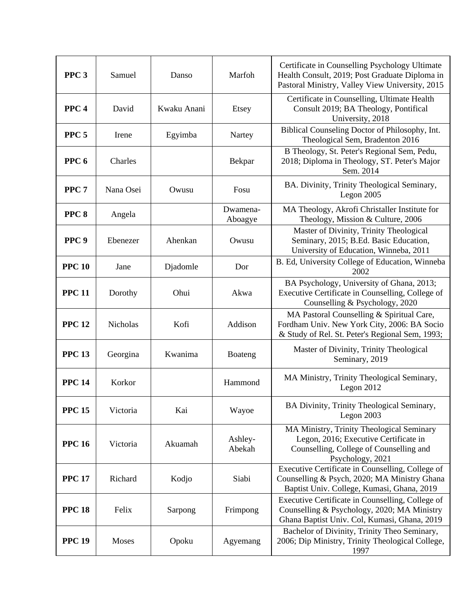| PPC <sub>3</sub> | Samuel    | Danso       | Marfoh              | Certificate in Counselling Psychology Ultimate<br>Health Consult, 2019; Post Graduate Diploma in<br>Pastoral Ministry, Valley View University, 2015 |
|------------------|-----------|-------------|---------------------|-----------------------------------------------------------------------------------------------------------------------------------------------------|
| PPC <sub>4</sub> | David     | Kwaku Anani | Etsey               | Certificate in Counselling, Ultimate Health<br>Consult 2019; BA Theology, Pontifical<br>University, 2018                                            |
| PPC <sub>5</sub> | Irene     | Egyimba     | Nartey              | Biblical Counseling Doctor of Philosophy, Int.<br>Theological Sem, Bradenton 2016                                                                   |
| PPC <sub>6</sub> | Charles   |             | Bekpar              | B Theology, St. Peter's Regional Sem, Pedu,<br>2018; Diploma in Theology, ST. Peter's Major<br>Sem. 2014                                            |
| PPC <sub>7</sub> | Nana Osei | Owusu       | Fosu                | BA. Divinity, Trinity Theological Seminary,<br>Legon $2005$                                                                                         |
| PPC <sub>8</sub> | Angela    |             | Dwamena-<br>Aboagye | MA Theology, Akrofi Christaller Institute for<br>Theology, Mission & Culture, 2006                                                                  |
| PPC <sub>9</sub> | Ebenezer  | Ahenkan     | Owusu               | Master of Divinity, Trinity Theological<br>Seminary, 2015; B.Ed. Basic Education,<br>University of Education, Winneba, 2011                         |
| <b>PPC 10</b>    | Jane      | Djadomle    | Dor                 | B. Ed, University College of Education, Winneba<br>2002                                                                                             |
| <b>PPC 11</b>    | Dorothy   | Ohui        | Akwa                | BA Psychology, University of Ghana, 2013;<br>Executive Certificate in Counselling, College of<br>Counselling & Psychology, 2020                     |
| <b>PPC 12</b>    | Nicholas  | Kofi        | Addison             | MA Pastoral Counselling & Spiritual Care,<br>Fordham Univ. New York City, 2006: BA Socio<br>& Study of Rel. St. Peter's Regional Sem, 1993;         |
| <b>PPC 13</b>    | Georgina  | Kwanima     | Boateng             | Master of Divinity, Trinity Theological<br>Seminary, 2019                                                                                           |
| <b>PPC 14</b>    | Korkor    |             | Hammond             | MA Ministry, Trinity Theological Seminary,<br>Legon 2012                                                                                            |
| <b>PPC 15</b>    | Victoria  | Kai         | Wayoe               | BA Divinity, Trinity Theological Seminary,<br>Legon $2003$                                                                                          |
| <b>PPC 16</b>    | Victoria  | Akuamah     | Ashley-<br>Abekah   | MA Ministry, Trinity Theological Seminary<br>Legon, 2016; Executive Certificate in<br>Counselling, College of Counselling and<br>Psychology, 2021   |
| <b>PPC 17</b>    | Richard   | Kodjo       | Siabi               | Executive Certificate in Counselling, College of<br>Counselling & Psych, 2020; MA Ministry Ghana<br>Baptist Univ. College, Kumasi, Ghana, 2019      |
| <b>PPC 18</b>    | Felix     | Sarpong     | Frimpong            | Executive Certificate in Counselling, College of<br>Counselling & Psychology, 2020; MA Ministry<br>Ghana Baptist Univ. Col, Kumasi, Ghana, 2019     |
| <b>PPC 19</b>    | Moses     | Opoku       | Agyemang            | Bachelor of Divinity, Trinity Theo Seminary,<br>2006; Dip Ministry, Trinity Theological College,<br>1997                                            |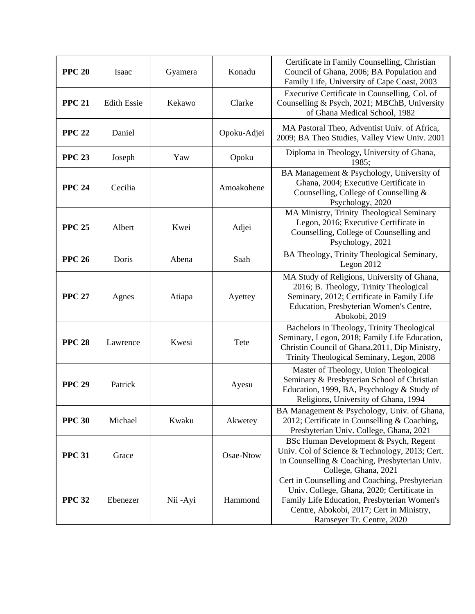| <b>PPC 20</b> | Isaac              | Gyamera  | Konadu      | Certificate in Family Counselling, Christian<br>Council of Ghana, 2006; BA Population and<br>Family Life, University of Cape Coast, 2003                                                                             |
|---------------|--------------------|----------|-------------|----------------------------------------------------------------------------------------------------------------------------------------------------------------------------------------------------------------------|
| <b>PPC 21</b> | <b>Edith Essie</b> | Kekawo   | Clarke      | Executive Certificate in Counselling, Col. of<br>Counselling & Psych, 2021; MBChB, University<br>of Ghana Medical School, 1982                                                                                       |
| <b>PPC 22</b> | Daniel             |          | Opoku-Adjei | MA Pastoral Theo, Adventist Univ. of Africa,<br>2009; BA Theo Studies, Valley View Univ. 2001                                                                                                                        |
| <b>PPC 23</b> | Joseph             | Yaw      | Opoku       | Diploma in Theology, University of Ghana,<br>1985:                                                                                                                                                                   |
| <b>PPC 24</b> | Cecilia            |          | Amoakohene  | BA Management & Psychology, University of<br>Ghana, 2004; Executive Certificate in<br>Counselling, College of Counselling &<br>Psychology, 2020                                                                      |
| <b>PPC 25</b> | Albert             | Kwei     | Adjei       | MA Ministry, Trinity Theological Seminary<br>Legon, 2016; Executive Certificate in<br>Counselling, College of Counselling and<br>Psychology, 2021                                                                    |
| <b>PPC 26</b> | Doris              | Abena    | Saah        | BA Theology, Trinity Theological Seminary,<br>Legon $2012$                                                                                                                                                           |
| <b>PPC 27</b> | Agnes              | Atiapa   | Ayettey     | MA Study of Religions, University of Ghana,<br>2016; B. Theology, Trinity Theological<br>Seminary, 2012; Certificate in Family Life<br>Education, Presbyterian Women's Centre,<br>Abokobi, 2019                      |
| <b>PPC 28</b> | Lawrence           | Kwesi    | Tete        | Bachelors in Theology, Trinity Theological<br>Seminary, Legon, 2018; Family Life Education,<br>Christin Council of Ghana, 2011, Dip Ministry,<br>Trinity Theological Seminary, Legon, 2008                           |
| <b>PPC 29</b> | Patrick            |          | Ayesu       | Master of Theology, Union Theological<br>Seminary & Presbyterian School of Christian<br>Education, 1999, BA, Psychology & Study of<br>Religions, University of Ghana, 1994                                           |
| <b>PPC 30</b> | Michael            | Kwaku    | Akwetey     | BA Management & Psychology, Univ. of Ghana,<br>2012; Certificate in Counselling & Coaching,<br>Presbyterian Univ. College, Ghana, 2021                                                                               |
| <b>PPC 31</b> | Grace              |          | Osae-Ntow   | BSc Human Development & Psych, Regent<br>Univ. Col of Science & Technology, 2013; Cert.<br>in Counselling & Coaching, Presbyterian Univ.<br>College, Ghana, 2021                                                     |
| <b>PPC 32</b> | Ebenezer           | Nii -Ayi | Hammond     | Cert in Counselling and Coaching, Presbyterian<br>Univ. College, Ghana, 2020; Certificate in<br>Family Life Education, Presbyterian Women's<br>Centre, Abokobi, 2017; Cert in Ministry,<br>Ramseyer Tr. Centre, 2020 |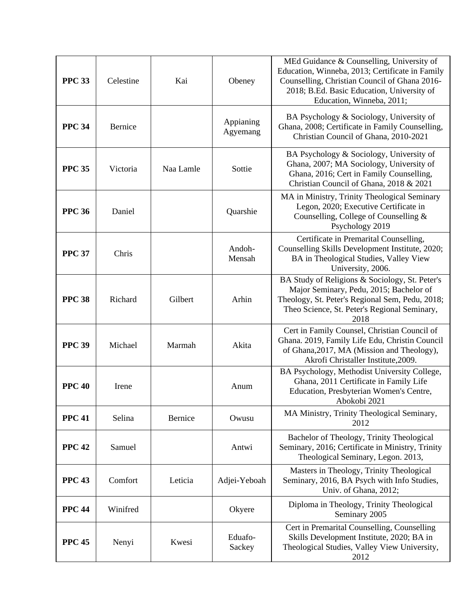| <b>PPC 33</b> | Celestine | Kai       | Obeney                | MEd Guidance & Counselling, University of<br>Education, Winneba, 2013; Certificate in Family<br>Counselling, Christian Council of Ghana 2016-<br>2018; B.Ed. Basic Education, University of<br>Education, Winneba, 2011; |
|---------------|-----------|-----------|-----------------------|--------------------------------------------------------------------------------------------------------------------------------------------------------------------------------------------------------------------------|
| <b>PPC 34</b> | Bernice   |           | Appianing<br>Agyemang | BA Psychology & Sociology, University of<br>Ghana, 2008; Certificate in Family Counselling,<br>Christian Council of Ghana, 2010-2021                                                                                     |
| <b>PPC 35</b> | Victoria  | Naa Lamle | Sottie                | BA Psychology & Sociology, University of<br>Ghana, 2007; MA Sociology, University of<br>Ghana, 2016; Cert in Family Counselling,<br>Christian Council of Ghana, 2018 & 2021                                              |
| <b>PPC 36</b> | Daniel    |           | Quarshie              | MA in Ministry, Trinity Theological Seminary<br>Legon, 2020; Executive Certificate in<br>Counselling, College of Counselling &<br>Psychology 2019                                                                        |
| <b>PPC 37</b> | Chris     |           | Andoh-<br>Mensah      | Certificate in Premarital Counselling,<br>Counselling Skills Development Institute, 2020;<br>BA in Theological Studies, Valley View<br>University, 2006.                                                                 |
| <b>PPC 38</b> | Richard   | Gilbert   | Arhin                 | BA Study of Religions & Sociology, St. Peter's<br>Major Seminary, Pedu, 2015; Bachelor of<br>Theology, St. Peter's Regional Sem, Pedu, 2018;<br>Theo Science, St. Peter's Regional Seminary,<br>2018                     |
| <b>PPC 39</b> | Michael   | Marmah    | Akita                 | Cert in Family Counsel, Christian Council of<br>Ghana. 2019, Family Life Edu, Christin Council<br>of Ghana, 2017, MA (Mission and Theology),<br>Akrofi Christaller Institute, 2009.                                      |
| <b>PPC 40</b> | Irene     |           | Anum                  | BA Psychology, Methodist University College,<br>Ghana, 2011 Certificate in Family Life<br>Education, Presbyterian Women's Centre,<br>Abokobi 2021                                                                        |
| <b>PPC 41</b> | Selina    | Bernice   | Owusu                 | MA Ministry, Trinity Theological Seminary,<br>2012                                                                                                                                                                       |
| <b>PPC 42</b> | Samuel    |           | Antwi                 | Bachelor of Theology, Trinity Theological<br>Seminary, 2016; Certificate in Ministry, Trinity<br>Theological Seminary, Legon. 2013,                                                                                      |
| <b>PPC 43</b> | Comfort   | Leticia   | Adjei-Yeboah          | Masters in Theology, Trinity Theological<br>Seminary, 2016, BA Psych with Info Studies,<br>Univ. of Ghana, 2012;                                                                                                         |
| <b>PPC 44</b> | Winifred  |           | Okyere                | Diploma in Theology, Trinity Theological<br>Seminary 2005                                                                                                                                                                |
| <b>PPC 45</b> | Nenyi     | Kwesi     | Eduafo-<br>Sackey     | Cert in Premarital Counselling, Counselling<br>Skills Development Institute, 2020; BA in<br>Theological Studies, Valley View University,<br>2012                                                                         |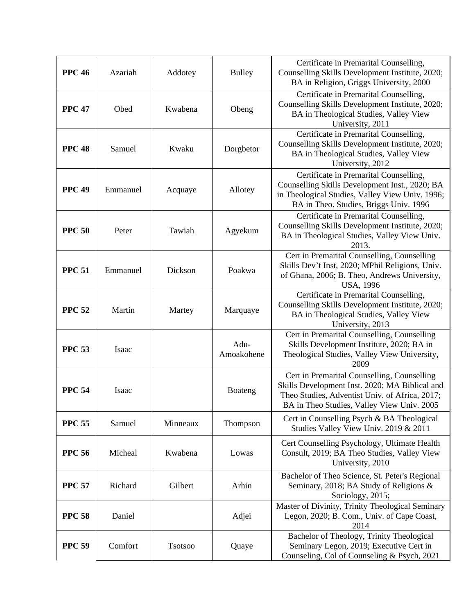| <b>PPC 46</b> | Azariah  | Addotey  | <b>Bulley</b>      | Certificate in Premarital Counselling,<br>Counselling Skills Development Institute, 2020;<br>BA in Religion, Griggs University, 2000                                                          |
|---------------|----------|----------|--------------------|-----------------------------------------------------------------------------------------------------------------------------------------------------------------------------------------------|
| <b>PPC 47</b> | Obed     | Kwabena  | Obeng              | Certificate in Premarital Counselling,<br>Counselling Skills Development Institute, 2020;<br>BA in Theological Studies, Valley View<br>University, 2011                                       |
| <b>PPC 48</b> | Samuel   | Kwaku    | Dorgbetor          | Certificate in Premarital Counselling,<br>Counselling Skills Development Institute, 2020;<br>BA in Theological Studies, Valley View<br>University, 2012                                       |
| <b>PPC 49</b> | Emmanuel | Acquaye  | Allotey            | Certificate in Premarital Counselling,<br>Counselling Skills Development Inst., 2020; BA<br>in Theological Studies, Valley View Univ. 1996;<br>BA in Theo. Studies, Briggs Univ. 1996         |
| <b>PPC 50</b> | Peter    | Tawiah   | Agyekum            | Certificate in Premarital Counselling,<br>Counselling Skills Development Institute, 2020;<br>BA in Theological Studies, Valley View Univ.<br>2013.                                            |
| <b>PPC 51</b> | Emmanuel | Dickson  | Poakwa             | Cert in Premarital Counselling, Counselling<br>Skills Dev't Inst, 2020; MPhil Religions, Univ.<br>of Ghana, 2006; B. Theo, Andrews University,<br><b>USA, 1996</b>                            |
| <b>PPC 52</b> | Martin   | Martey   | Marquaye           | Certificate in Premarital Counselling,<br>Counselling Skills Development Institute, 2020;<br>BA in Theological Studies, Valley View<br>University, 2013                                       |
| <b>PPC 53</b> | Isaac    |          | Adu-<br>Amoakohene | Cert in Premarital Counselling, Counselling<br>Skills Development Institute, 2020; BA in<br>Theological Studies, Valley View University,<br>2009                                              |
| <b>PPC 54</b> | Isaac    |          | Boateng            | Cert in Premarital Counselling, Counselling<br>Skills Development Inst. 2020; MA Biblical and<br>Theo Studies, Adventist Univ. of Africa, 2017;<br>BA in Theo Studies, Valley View Univ. 2005 |
| <b>PPC 55</b> | Samuel   | Minneaux | Thompson           | Cert in Counselling Psych & BA Theological<br>Studies Valley View Univ. 2019 & 2011                                                                                                           |
| <b>PPC 56</b> | Micheal  | Kwabena  | Lowas              | Cert Counselling Psychology, Ultimate Health<br>Consult, 2019; BA Theo Studies, Valley View<br>University, 2010                                                                               |
| <b>PPC 57</b> | Richard  | Gilbert  | Arhin              | Bachelor of Theo Science, St. Peter's Regional<br>Seminary, 2018; BA Study of Religions &<br>Sociology, 2015;                                                                                 |
| <b>PPC 58</b> | Daniel   |          | Adjei              | Master of Divinity, Trinity Theological Seminary<br>Legon, 2020; B. Com., Univ. of Cape Coast,<br>2014                                                                                        |
| <b>PPC 59</b> | Comfort  | Tsotsoo  | Quaye              | Bachelor of Theology, Trinity Theological<br>Seminary Legon, 2019; Executive Cert in<br>Counseling, Col of Counseling & Psych, 2021                                                           |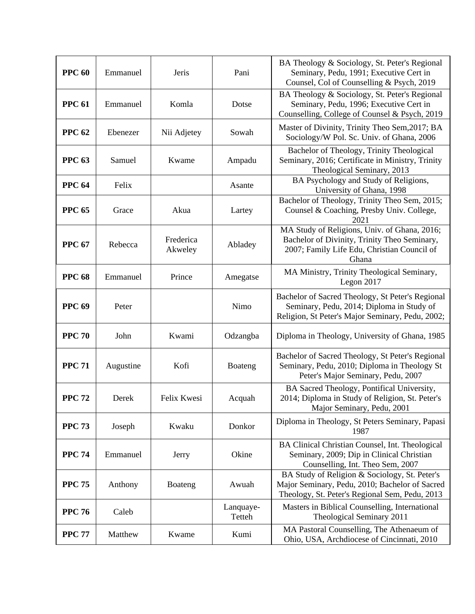| <b>PPC 60</b> | Emmanuel  | Jeris                | Pani                | BA Theology & Sociology, St. Peter's Regional<br>Seminary, Pedu, 1991; Executive Cert in<br>Counsel, Col of Counselling & Psych, 2019                |
|---------------|-----------|----------------------|---------------------|------------------------------------------------------------------------------------------------------------------------------------------------------|
| <b>PPC 61</b> | Emmanuel  | Komla                | Dotse               | BA Theology & Sociology, St. Peter's Regional<br>Seminary, Pedu, 1996; Executive Cert in<br>Counselling, College of Counsel & Psych, 2019            |
| <b>PPC 62</b> | Ebenezer  | Nii Adjetey          | Sowah               | Master of Divinity, Trinity Theo Sem, 2017; BA<br>Sociology/W Pol. Sc. Univ. of Ghana, 2006                                                          |
| <b>PPC 63</b> | Samuel    | Kwame                | Ampadu              | Bachelor of Theology, Trinity Theological<br>Seminary, 2016; Certificate in Ministry, Trinity<br>Theological Seminary, 2013                          |
| <b>PPC 64</b> | Felix     |                      | Asante              | BA Psychology and Study of Religions,<br>University of Ghana, 1998                                                                                   |
| <b>PPC 65</b> | Grace     | Akua                 | Lartey              | Bachelor of Theology, Trinity Theo Sem, 2015;<br>Counsel & Coaching, Presby Univ. College,<br>2021                                                   |
| <b>PPC 67</b> | Rebecca   | Frederica<br>Akweley | Abladey             | MA Study of Religions, Univ. of Ghana, 2016;<br>Bachelor of Divinity, Trinity Theo Seminary,<br>2007; Family Life Edu, Christian Council of<br>Ghana |
| <b>PPC 68</b> | Emmanuel  | Prince               | Amegatse            | MA Ministry, Trinity Theological Seminary,<br>Legon 2017                                                                                             |
| <b>PPC 69</b> | Peter     |                      | Nimo                | Bachelor of Sacred Theology, St Peter's Regional<br>Seminary, Pedu, 2014; Diploma in Study of<br>Religion, St Peter's Major Seminary, Pedu, 2002;    |
| <b>PPC 70</b> | John      | Kwami                | Odzangba            | Diploma in Theology, University of Ghana, 1985                                                                                                       |
| <b>PPC 71</b> | Augustine | Kofi                 | Boateng             | Bachelor of Sacred Theology, St Peter's Regional<br>Seminary, Pedu, 2010; Diploma in Theology St<br>Peter's Major Seminary, Pedu, 2007               |
| <b>PPC 72</b> | Derek     | Felix Kwesi          | Acquah              | BA Sacred Theology, Pontifical University,<br>2014; Diploma in Study of Religion, St. Peter's<br>Major Seminary, Pedu, 2001                          |
| <b>PPC 73</b> | Joseph    | Kwaku                | Donkor              | Diploma in Theology, St Peters Seminary, Papasi<br>1987                                                                                              |
| <b>PPC 74</b> | Emmanuel  | Jerry                | Okine               | BA Clinical Christian Counsel, Int. Theological<br>Seminary, 2009; Dip in Clinical Christian<br>Counselling, Int. Theo Sem, 2007                     |
| <b>PPC 75</b> | Anthony   | Boateng              | Awuah               | BA Study of Religion & Sociology, St. Peter's<br>Major Seminary, Pedu, 2010; Bachelor of Sacred<br>Theology, St. Peter's Regional Sem, Pedu, 2013    |
| <b>PPC 76</b> | Caleb     |                      | Lanquaye-<br>Tetteh | Masters in Biblical Counselling, International<br>Theological Seminary 2011                                                                          |
| <b>PPC 77</b> | Matthew   | Kwame                | Kumi                | MA Pastoral Counselling, The Athenaeum of<br>Ohio, USA, Archdiocese of Cincinnati, 2010                                                              |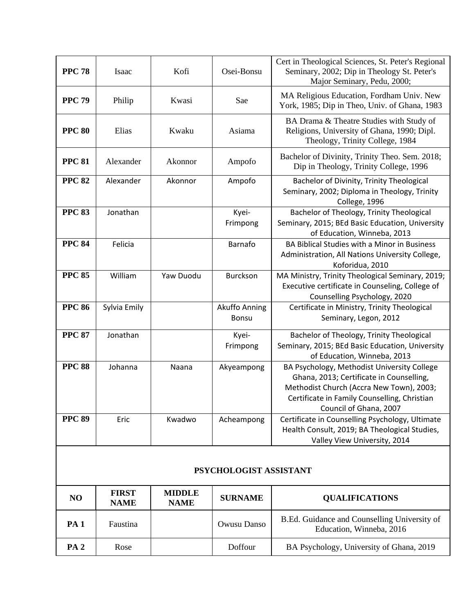| <b>PPC 78</b> | Isaac        | Kofi      | Osei-Bonsu                    | Cert in Theological Sciences, St. Peter's Regional<br>Seminary, 2002; Dip in Theology St. Peter's<br>Major Seminary, Pedu, 2000;                                                                              |
|---------------|--------------|-----------|-------------------------------|---------------------------------------------------------------------------------------------------------------------------------------------------------------------------------------------------------------|
| <b>PPC 79</b> | Philip       | Kwasi     | Sae                           | MA Religious Education, Fordham Univ. New<br>York, 1985; Dip in Theo, Univ. of Ghana, 1983                                                                                                                    |
| <b>PPC 80</b> | Elias        | Kwaku     | Asiama                        | BA Drama & Theatre Studies with Study of<br>Religions, University of Ghana, 1990; Dipl.<br>Theology, Trinity College, 1984                                                                                    |
| <b>PPC 81</b> | Alexander    | Akonnor   | Ampofo                        | Bachelor of Divinity, Trinity Theo. Sem. 2018;<br>Dip in Theology, Trinity College, 1996                                                                                                                      |
| <b>PPC 82</b> | Alexander    | Akonnor   | Ampofo                        | Bachelor of Divinity, Trinity Theological<br>Seminary, 2002; Diploma in Theology, Trinity<br>College, 1996                                                                                                    |
| <b>PPC 83</b> | Jonathan     |           | Kyei-<br>Frimpong             | Bachelor of Theology, Trinity Theological<br>Seminary, 2015; BEd Basic Education, University<br>of Education, Winneba, 2013                                                                                   |
| <b>PPC 84</b> | Felicia      |           | Barnafo                       | BA Biblical Studies with a Minor in Business<br>Administration, All Nations University College,<br>Koforidua, 2010                                                                                            |
| <b>PPC 85</b> | William      | Yaw Duodu | Burckson                      | MA Ministry, Trinity Theological Seminary, 2019;<br>Executive certificate in Counseling, College of<br>Counselling Psychology, 2020                                                                           |
| <b>PPC 86</b> | Sylvia Emily |           | Akuffo Anning<br><b>Bonsu</b> | Certificate in Ministry, Trinity Theological<br>Seminary, Legon, 2012                                                                                                                                         |
| <b>PPC 87</b> | Jonathan     |           | Kyei-<br>Frimpong             | Bachelor of Theology, Trinity Theological<br>Seminary, 2015; BEd Basic Education, University<br>of Education, Winneba, 2013                                                                                   |
| <b>PPC 88</b> | Johanna      | Naana     | Akyeampong                    | BA Psychology, Methodist University College<br>Ghana, 2013; Certificate in Counselling,<br>Methodist Church (Accra New Town), 2003;<br>Certificate in Family Counselling, Christian<br>Council of Ghana, 2007 |
| <b>PPC 89</b> | Eric         | Kwadwo    | Acheampong                    | Certificate in Counselling Psychology, Ultimate<br>Health Consult, 2019; BA Theological Studies,<br>Valley View University, 2014                                                                              |
|               |              |           |                               |                                                                                                                                                                                                               |

#### **PSYCHOLOGIST ASSISTANT**

| N <sub>O</sub>  | <b>FIRST</b><br><b>NAME</b> | <b>MIDDLE</b><br><b>NAME</b> | <b>SURNAME</b> | <b>QUALIFICATIONS</b>                                                    |
|-----------------|-----------------------------|------------------------------|----------------|--------------------------------------------------------------------------|
| <b>PA</b> 1     | Faustina                    |                              | Owusu Danso    | B.Ed. Guidance and Counselling University of<br>Education, Winneba, 2016 |
| PA <sub>2</sub> | Rose                        |                              | Doffour        | BA Psychology, University of Ghana, 2019                                 |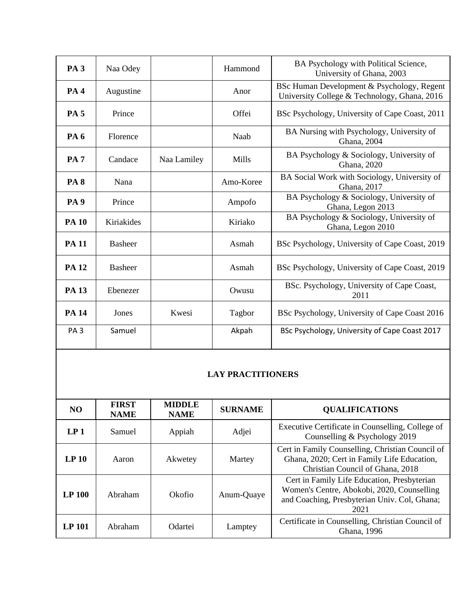| PA <sub>3</sub> | Naa Odey       |             | Hammond   | BA Psychology with Political Science,<br>University of Ghana, 2003                         |
|-----------------|----------------|-------------|-----------|--------------------------------------------------------------------------------------------|
| <b>PA4</b>      | Augustine      |             | Anor      | BSc Human Development & Psychology, Regent<br>University College & Technology, Ghana, 2016 |
| <b>PA5</b>      | Prince         |             | Offei     | BSc Psychology, University of Cape Coast, 2011                                             |
| <b>PA6</b>      | Florence       |             | Naab      | BA Nursing with Psychology, University of<br>Ghana, 2004                                   |
| <b>PA7</b>      | Candace        | Naa Lamiley | Mills     | BA Psychology & Sociology, University of<br>Ghana, 2020                                    |
| <b>PA8</b>      | Nana           |             | Amo-Koree | BA Social Work with Sociology, University of<br>Ghana, 2017                                |
| <b>PA9</b>      | Prince         |             | Ampofo    | BA Psychology & Sociology, University of<br>Ghana, Legon 2013                              |
| <b>PA 10</b>    | Kiriakides     |             | Kiriako   | BA Psychology & Sociology, University of<br>Ghana, Legon 2010                              |
| <b>PA 11</b>    | <b>Basheer</b> |             | Asmah     | BSc Psychology, University of Cape Coast, 2019                                             |
| <b>PA 12</b>    | <b>Basheer</b> |             | Asmah     | BSc Psychology, University of Cape Coast, 2019                                             |
| <b>PA 13</b>    | Ebenezer       |             | Owusu     | BSc. Psychology, University of Cape Coast,<br>2011                                         |
| <b>PA 14</b>    | Jones          | Kwesi       | Tagbor    | BSc Psychology, University of Cape Coast 2016                                              |
| PA <sub>3</sub> | Samuel         |             | Akpah     | BSc Psychology, University of Cape Coast 2017                                              |

## **LAY PRACTITIONERS**

| NO.              | <b>FIRST</b><br><b>NAME</b> | <b>MIDDLE</b><br><b>NAME</b> | <b>SURNAME</b> | <b>QUALIFICATIONS</b>                                                                                                                             |
|------------------|-----------------------------|------------------------------|----------------|---------------------------------------------------------------------------------------------------------------------------------------------------|
| LP <sub>1</sub>  | Samuel                      | Appiah                       | Adjei          | Executive Certificate in Counselling, College of<br>Counselling & Psychology 2019                                                                 |
| LP <sub>10</sub> | Aaron                       | Akwetey                      | Martey         | Cert in Family Counselling, Christian Council of<br>Ghana, 2020; Cert in Family Life Education,<br>Christian Council of Ghana, 2018               |
| <b>LP 100</b>    | Abraham                     | Okofio                       | Anum-Quaye     | Cert in Family Life Education, Presbyterian<br>Women's Centre, Abokobi, 2020, Counselling<br>and Coaching, Presbyterian Univ. Col, Ghana;<br>2021 |
| <b>LP</b> 101    | Abraham                     | <b>Odartei</b>               | Lamptey        | Certificate in Counselling, Christian Council of<br>Ghana, 1996                                                                                   |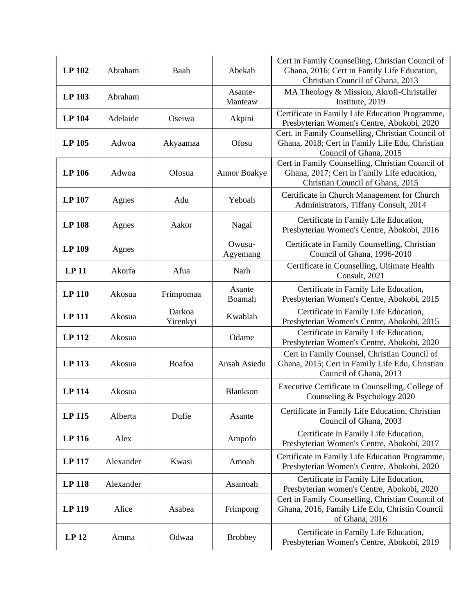| LP 102           | Abraham   | Baah               | Abekah              | Cert in Family Counselling, Christian Council of<br>Ghana, 2016; Cert in Family Life Education,<br>Christian Council of Ghana, 2013 |
|------------------|-----------|--------------------|---------------------|-------------------------------------------------------------------------------------------------------------------------------------|
| LP 103           | Abraham   |                    | Asante-<br>Manteaw  | MA Theology & Mission, Akrofi-Christaller<br>Institute, 2019                                                                        |
| <b>LP 104</b>    | Adelaide  | Oseiwa             | Akpini              | Certificate in Family Life Education Programme,<br>Presbyterian Women's Centre, Abokobi, 2020                                       |
| LP 105           | Adwoa     | Akyaamaa           | Ofosu               | Cert. in Family Counselling, Christian Council of<br>Ghana, 2018; Cert in Family Life Edu, Christian<br>Council of Ghana, 2015      |
| <b>LP 106</b>    | Adwoa     | Ofosua             | <b>Annor Boakye</b> | Cert in Family Counselling, Christian Council of<br>Ghana, 2017; Cert in Family Life education,<br>Christian Council of Ghana, 2015 |
| <b>LP 107</b>    | Agnes     | Adu                | Yeboah              | Certificate in Church Management for Church<br>Administrators, Tiffany Consult, 2014                                                |
| <b>LP 108</b>    | Agnes     | Aakor              | Nagai               | Certificate in Family Life Education,<br>Presbyterian Women's Centre, Abokobi, 2016                                                 |
| <b>LP 109</b>    | Agnes     |                    | Owusu-<br>Agyemang  | Certificate in Family Counselling, Christian<br>Council of Ghana, 1996-2010                                                         |
| LP <sub>11</sub> | Akorfa    | Afua               | Narh                | Certificate in Counselling, Ultimate Health<br>Consult, 2021                                                                        |
| <b>LP 110</b>    | Akosua    | Frimpomaa          | Asante<br>Boamah    | Certificate in Family Life Education,<br>Presbyterian Women's Centre, Abokobi, 2015                                                 |
| <b>LP 111</b>    | Akosua    | Darkoa<br>Yirenkyi | Kwablah             | Certificate in Family Life Education,<br>Presbyterian Women's Centre, Abokobi, 2015                                                 |
| <b>LP 112</b>    | Akosua    |                    | Odame               | Certificate in Family Life Education,<br>Presbyterian Women's Centre, Abokobi, 2020                                                 |
| <b>LP 113</b>    | Akosua    | Boafoa             | Ansah Asiedu        | Cert in Family Counsel, Christian Council of<br>Ghana, 2015; Cert in Family Life Edu, Christian<br>Council of Ghana, 2013           |
| <b>LP 114</b>    | Akosua    |                    | Blankson            | Executive Certificate in Counselling, College of<br>Counseling & Psychology 2020                                                    |
| <b>LP 115</b>    | Alberta   | Dufie              | Asante              | Certificate in Family Life Education, Christian<br>Council of Ghana, 2003                                                           |
| LP 116           | Alex      |                    | Ampofo              | Certificate in Family Life Education,<br>Presbyterian Women's Centre, Abokobi, 2017                                                 |
| LP 117           | Alexander | Kwasi              | Amoah               | Certificate in Family Life Education Programme,<br>Presbyterian Women's Centre, Abokobi, 2020                                       |
| LP 118           | Alexander |                    | Asamoah             | Certificate in Family Life Education,<br>Presbyterian women's Centre, Abokobi, 2020                                                 |
| LP 119           | Alice     | Asabea             | Frimpong            | Cert in Family Counselling, Christian Council of<br>Ghana, 2016, Family Life Edu, Christin Council<br>of Ghana, 2016                |
| LP <sub>12</sub> | Amma      | Odwaa              | <b>Brobbey</b>      | Certificate in Family Life Education,<br>Presbyterian Women's Centre, Abokobi, 2019                                                 |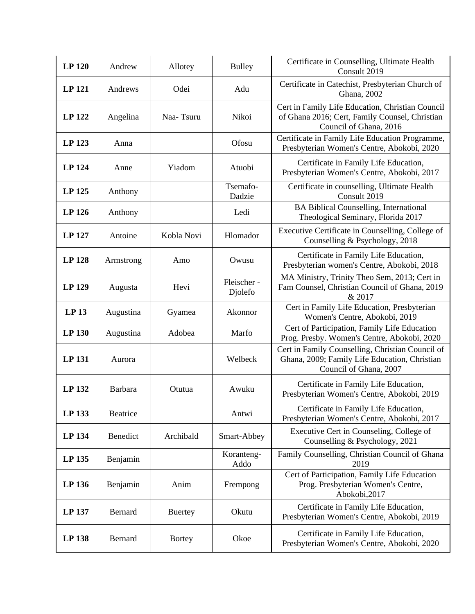| <b>LP 120</b>    | Andrew    | Allotey        | <b>Bulley</b>         | Certificate in Counselling, Ultimate Health<br>Consult 2019                                                                  |
|------------------|-----------|----------------|-----------------------|------------------------------------------------------------------------------------------------------------------------------|
| LP 121           | Andrews   | Odei           | Adu                   | Certificate in Catechist, Presbyterian Church of<br>Ghana, 2002                                                              |
| LP 122           | Angelina  | Naa-Tsuru      | Nikoi                 | Cert in Family Life Education, Christian Council<br>of Ghana 2016; Cert, Family Counsel, Christian<br>Council of Ghana, 2016 |
| LP 123           | Anna      |                | Ofosu                 | Certificate in Family Life Education Programme,<br>Presbyterian Women's Centre, Abokobi, 2020                                |
| <b>LP 124</b>    | Anne      | Yiadom         | Atuobi                | Certificate in Family Life Education,<br>Presbyterian Women's Centre, Abokobi, 2017                                          |
| LP 125           | Anthony   |                | Tsemafo-<br>Dadzie    | Certificate in counselling, Ultimate Health<br>Consult 2019                                                                  |
| LP 126           | Anthony   |                | Ledi                  | <b>BA Biblical Counselling, International</b><br>Theological Seminary, Florida 2017                                          |
| <b>LP 127</b>    | Antoine   | Kobla Novi     | Hlomador              | Executive Certificate in Counselling, College of<br>Counselling & Psychology, 2018                                           |
| <b>LP 128</b>    | Armstrong | Amo            | Owusu                 | Certificate in Family Life Education,<br>Presbyterian women's Centre, Abokobi, 2018                                          |
| LP 129           | Augusta   | Hevi           | Fleischer-<br>Djolefo | MA Ministry, Trinity Theo Sem, 2013; Cert in<br>Fam Counsel, Christian Council of Ghana, 2019<br>& 2017                      |
| LP <sub>13</sub> | Augustina | Gyamea         | Akonnor               | Cert in Family Life Education, Presbyterian<br>Women's Centre, Abokobi, 2019                                                 |
| LP 130           | Augustina | Adobea         | Marfo                 | Cert of Participation, Family Life Education<br>Prog. Presby. Women's Centre, Abokobi, 2020                                  |
| <b>LP 131</b>    | Aurora    |                | Welbeck               | Cert in Family Counselling, Christian Council of<br>Ghana, 2009; Family Life Education, Christian<br>Council of Ghana, 2007  |
| LP 132           | Barbara   | Otutua         | Awuku                 | Certificate in Family Life Education,<br>Presbyterian Women's Centre, Abokobi, 2019                                          |
| LP 133           | Beatrice  |                | Antwi                 | Certificate in Family Life Education,<br>Presbyterian Women's Centre, Abokobi, 2017                                          |
| LP 134           | Benedict  | Archibald      | Smart-Abbey           | Executive Cert in Counseling, College of<br>Counselling & Psychology, 2021                                                   |
| LP 135           | Benjamin  |                | Koranteng-<br>Addo    | Family Counselling, Christian Council of Ghana<br>2019                                                                       |
| LP 136           | Benjamin  | Anim           | Frempong              | Cert of Participation, Family Life Education<br>Prog. Presbyterian Women's Centre,<br>Abokobi, 2017                          |
| LP 137           | Bernard   | <b>Buertey</b> | Okutu                 | Certificate in Family Life Education,<br>Presbyterian Women's Centre, Abokobi, 2019                                          |
| LP 138           | Bernard   | <b>Bortey</b>  | Okoe                  | Certificate in Family Life Education,<br>Presbyterian Women's Centre, Abokobi, 2020                                          |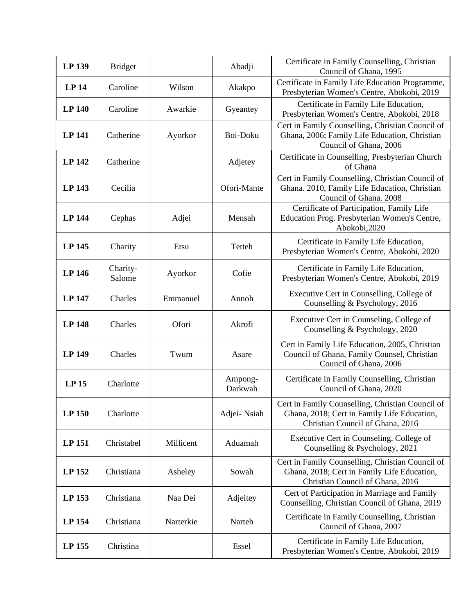| LP 139           | <b>Bridget</b>     |           | Abadji             | Certificate in Family Counselling, Christian<br>Council of Ghana, 1995                                                              |
|------------------|--------------------|-----------|--------------------|-------------------------------------------------------------------------------------------------------------------------------------|
| LP <sub>14</sub> | Caroline           | Wilson    | Akakpo             | Certificate in Family Life Education Programme,<br>Presbyterian Women's Centre, Abokobi, 2019                                       |
| <b>LP 140</b>    | Caroline           | Awarkie   | Gyeantey           | Certificate in Family Life Education,<br>Presbyterian Women's Centre, Abokobi, 2018                                                 |
| <b>LP 141</b>    | Catherine          | Ayorkor   | Boi-Doku           | Cert in Family Counselling, Christian Council of<br>Ghana, 2006; Family Life Education, Christian<br>Council of Ghana, 2006         |
| <b>LP 142</b>    | Catherine          |           | Adjetey            | Certificate in Counselling, Presbyterian Church<br>of Ghana                                                                         |
| <b>LP 143</b>    | Cecilia            |           | Ofori-Mante        | Cert in Family Counselling, Christian Council of<br>Ghana. 2010, Family Life Education, Christian<br>Council of Ghana. 2008         |
| <b>LP 144</b>    | Cephas             | Adjei     | Mensah             | Certificate of Participation, Family Life<br>Education Prog. Presbyterian Women's Centre,<br>Abokobi,2020                           |
| <b>LP 145</b>    | Charity            | Etsu      | Tetteh             | Certificate in Family Life Education,<br>Presbyterian Women's Centre, Abokobi, 2020                                                 |
| <b>LP 146</b>    | Charity-<br>Salome | Ayorkor   | Cofie              | Certificate in Family Life Education,<br>Presbyterian Women's Centre, Abokobi, 2019                                                 |
| <b>LP 147</b>    | Charles            | Emmanuel  | Annoh              | Executive Cert in Counselling, College of<br>Counselling & Psychology, 2016                                                         |
| <b>LP 148</b>    | Charles            | Ofori     | Akrofi             | Executive Cert in Counseling, College of<br>Counselling & Psychology, 2020                                                          |
| <b>LP 149</b>    | Charles            | Twum      | Asare              | Cert in Family Life Education, 2005, Christian<br>Council of Ghana, Family Counsel, Christian<br>Council of Ghana, 2006             |
| <b>LP15</b>      | Charlotte          |           | Ampong-<br>Darkwah | Certificate in Family Counselling, Christian<br>Council of Ghana, 2020                                                              |
| LP 150           | Charlotte          |           | Adjei-Nsiah        | Cert in Family Counselling, Christian Council of<br>Ghana, 2018; Cert in Family Life Education,<br>Christian Council of Ghana, 2016 |
| LP 151           | Christabel         | Millicent | Aduamah            | Executive Cert in Counseling, College of<br>Counselling & Psychology, 2021                                                          |
| LP 152           | Christiana         | Asheley   | Sowah              | Cert in Family Counselling, Christian Council of<br>Ghana, 2018; Cert in Family Life Education,<br>Christian Council of Ghana, 2016 |
| LP 153           | Christiana         | Naa Dei   | Adjeitey           | Cert of Participation in Marriage and Family<br>Counselling, Christian Council of Ghana, 2019                                       |
| LP 154           | Christiana         | Narterkie | Narteh             | Certificate in Family Counselling, Christian<br>Council of Ghana, 2007                                                              |
| LP 155           | Christina          |           | Essel              | Certificate in Family Life Education,<br>Presbyterian Women's Centre, Abokobi, 2019                                                 |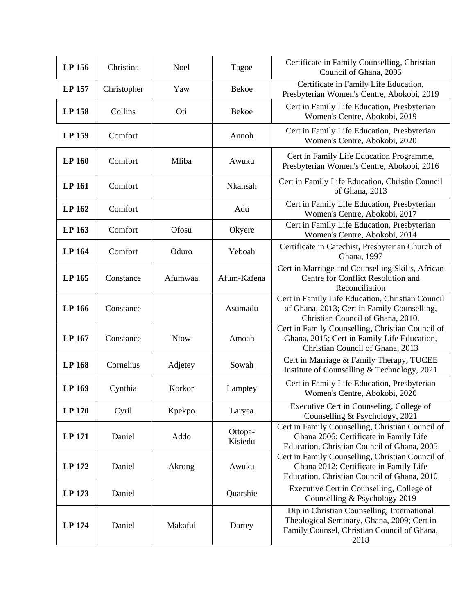| LP 156        | Christina   | <b>Noel</b> | Tagoe              | Certificate in Family Counselling, Christian<br>Council of Ghana, 2005                                                                           |
|---------------|-------------|-------------|--------------------|--------------------------------------------------------------------------------------------------------------------------------------------------|
| LP 157        | Christopher | Yaw         | Bekoe              | Certificate in Family Life Education,<br>Presbyterian Women's Centre, Abokobi, 2019                                                              |
| LP 158        | Collins     | Oti         | Bekoe              | Cert in Family Life Education, Presbyterian<br>Women's Centre, Abokobi, 2019                                                                     |
| LP 159        | Comfort     |             | Annoh              | Cert in Family Life Education, Presbyterian<br>Women's Centre, Abokobi, 2020                                                                     |
| LP 160        | Comfort     | Mliba       | Awuku              | Cert in Family Life Education Programme,<br>Presbyterian Women's Centre, Abokobi, 2016                                                           |
| LP 161        | Comfort     |             | Nkansah            | Cert in Family Life Education, Christin Council<br>of Ghana, 2013                                                                                |
| LP 162        | Comfort     |             | Adu                | Cert in Family Life Education, Presbyterian<br>Women's Centre, Abokobi, 2017                                                                     |
| LP 163        | Comfort     | Ofosu       | Okyere             | Cert in Family Life Education, Presbyterian<br>Women's Centre, Abokobi, 2014                                                                     |
| LP 164        | Comfort     | Oduro       | Yeboah             | Certificate in Catechist, Presbyterian Church of<br>Ghana, 1997                                                                                  |
| LP 165        | Constance   | Afumwaa     | Afum-Kafena        | Cert in Marriage and Counselling Skills, African<br>Centre for Conflict Resolution and<br>Reconciliation                                         |
| LP 166        | Constance   |             | Asumadu            | Cert in Family Life Education, Christian Council<br>of Ghana, 2013; Cert in Family Counselling,<br>Christian Council of Ghana, 2010.             |
| LP 167        | Constance   | <b>Ntow</b> | Amoah              | Cert in Family Counselling, Christian Council of<br>Ghana, 2015; Cert in Family Life Education,<br>Christian Council of Ghana, 2013              |
| <b>LP 168</b> | Cornelius   | Adjetey     | Sowah              | Cert in Marriage & Family Therapy, TUCEE<br>Institute of Counselling & Technology, 2021                                                          |
| LP 169        | Cynthia     | Korkor      | Lamptey            | Cert in Family Life Education, Presbyterian<br>Women's Centre, Abokobi, 2020                                                                     |
| <b>LP 170</b> | Cyril       | Kpekpo      | Laryea             | Executive Cert in Counseling, College of<br>Counselling & Psychology, 2021                                                                       |
| <b>LP 171</b> | Daniel      | Addo        | Ottopa-<br>Kisiedu | Cert in Family Counselling, Christian Council of<br>Ghana 2006; Certificate in Family Life<br>Education, Christian Council of Ghana, 2005        |
| LP 172        | Daniel      | Akrong      | Awuku              | Cert in Family Counselling, Christian Council of<br>Ghana 2012; Certificate in Family Life<br>Education, Christian Council of Ghana, 2010        |
| LP 173        | Daniel      |             | Quarshie           | Executive Cert in Counselling, College of<br>Counselling & Psychology 2019                                                                       |
| <b>LP 174</b> | Daniel      | Makafui     | Dartey             | Dip in Christian Counselling, International<br>Theological Seminary, Ghana, 2009; Cert in<br>Family Counsel, Christian Council of Ghana,<br>2018 |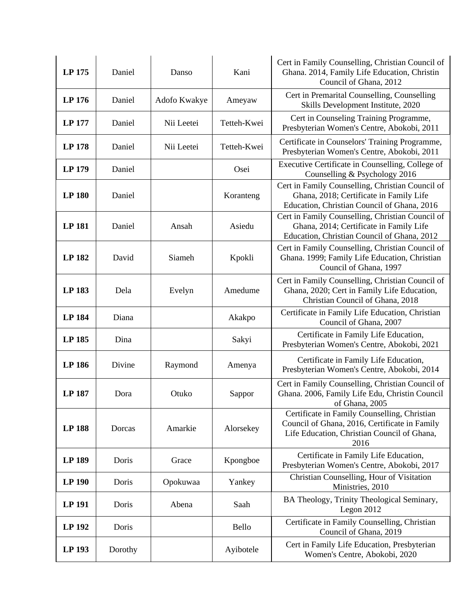| LP 175        | Daniel  | Danso        | Kani        | Cert in Family Counselling, Christian Council of<br>Ghana. 2014, Family Life Education, Christin<br>Council of Ghana, 2012                           |
|---------------|---------|--------------|-------------|------------------------------------------------------------------------------------------------------------------------------------------------------|
| LP 176        | Daniel  | Adofo Kwakye | Ameyaw      | Cert in Premarital Counselling, Counselling<br>Skills Development Institute, 2020                                                                    |
| LP 177        | Daniel  | Nii Leetei   | Tetteh-Kwei | Cert in Counseling Training Programme,<br>Presbyterian Women's Centre, Abokobi, 2011                                                                 |
| <b>LP 178</b> | Daniel  | Nii Leetei   | Tetteh-Kwei | Certificate in Counselors' Training Programme,<br>Presbyterian Women's Centre, Abokobi, 2011                                                         |
| LP 179        | Daniel  |              | Osei        | Executive Certificate in Counselling, College of<br>Counselling & Psychology 2016                                                                    |
| <b>LP 180</b> | Daniel  |              | Koranteng   | Cert in Family Counselling, Christian Council of<br>Ghana, 2018; Certificate in Family Life<br>Education, Christian Council of Ghana, 2016           |
| <b>LP 181</b> | Daniel  | Ansah        | Asiedu      | Cert in Family Counselling, Christian Council of<br>Ghana, 2014; Certificate in Family Life<br>Education, Christian Council of Ghana, 2012           |
| <b>LP 182</b> | David   | Siameh       | Kpokli      | Cert in Family Counselling, Christian Council of<br>Ghana. 1999; Family Life Education, Christian<br>Council of Ghana, 1997                          |
| LP 183        | Dela    | Evelyn       | Amedume     | Cert in Family Counselling, Christian Council of<br>Ghana, 2020; Cert in Family Life Education,<br>Christian Council of Ghana, 2018                  |
| <b>LP 184</b> | Diana   |              | Akakpo      | Certificate in Family Life Education, Christian<br>Council of Ghana, 2007                                                                            |
| LP 185        | Dina    |              | Sakyi       | Certificate in Family Life Education,<br>Presbyterian Women's Centre, Abokobi, 2021                                                                  |
| <b>LP 186</b> | Divine  | Raymond      | Amenya      | Certificate in Family Life Education,<br>Presbyterian Women's Centre, Abokobi, 2014                                                                  |
| <b>LP 187</b> | Dora    | Otuko        | Sappor      | Cert in Family Counselling, Christian Council of<br>Ghana. 2006, Family Life Edu, Christin Council<br>of Ghana, 2005                                 |
| <b>LP 188</b> | Dorcas  | Amarkie      | Alorsekey   | Certificate in Family Counselling, Christian<br>Council of Ghana, 2016, Certificate in Family<br>Life Education, Christian Council of Ghana,<br>2016 |
| LP 189        | Doris   | Grace        | Kpongboe    | Certificate in Family Life Education,<br>Presbyterian Women's Centre, Abokobi, 2017                                                                  |
| LP 190        | Doris   | Opokuwaa     | Yankey      | Christian Counselling, Hour of Visitation<br>Ministries, 2010                                                                                        |
| <b>LP 191</b> | Doris   | Abena        | Saah        | BA Theology, Trinity Theological Seminary,<br>Legon $2012$                                                                                           |
| LP 192        | Doris   |              | Bello       | Certificate in Family Counselling, Christian<br>Council of Ghana, 2019                                                                               |
| LP 193        | Dorothy |              | Ayibotele   | Cert in Family Life Education, Presbyterian<br>Women's Centre, Abokobi, 2020                                                                         |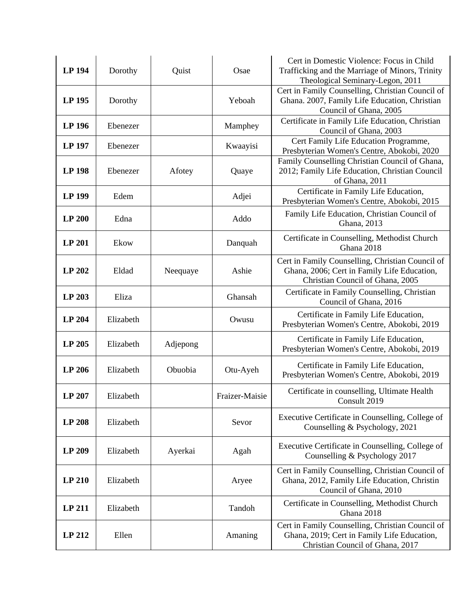|               |           |          |                | Cert in Domestic Violence: Focus in Child                                                       |
|---------------|-----------|----------|----------------|-------------------------------------------------------------------------------------------------|
| <b>LP 194</b> | Dorothy   | Quist    | Osae           | Trafficking and the Marriage of Minors, Trinity                                                 |
|               |           |          |                | Theological Seminary-Legon, 2011<br>Cert in Family Counselling, Christian Council of            |
| LP 195        | Dorothy   |          | Yeboah         | Ghana. 2007, Family Life Education, Christian                                                   |
|               |           |          |                | Council of Ghana, 2005                                                                          |
| <b>LP 196</b> | Ebenezer  |          | Mamphey        | Certificate in Family Life Education, Christian                                                 |
|               |           |          |                | Council of Ghana, 2003                                                                          |
| LP 197        | Ebenezer  |          | Kwaayisi       | Cert Family Life Education Programme,<br>Presbyterian Women's Centre, Abokobi, 2020             |
|               |           |          |                | Family Counselling Christian Council of Ghana,                                                  |
| <b>LP 198</b> | Ebenezer  | Afotey   | Quaye          | 2012; Family Life Education, Christian Council                                                  |
|               |           |          |                | of Ghana, 2011                                                                                  |
| LP 199        | Edem      |          | Adjei          | Certificate in Family Life Education,                                                           |
|               |           |          |                | Presbyterian Women's Centre, Abokobi, 2015                                                      |
| <b>LP 200</b> | Edna      |          | Addo           | Family Life Education, Christian Council of                                                     |
|               |           |          |                | Ghana, 2013                                                                                     |
| <b>LP 201</b> | Ekow      |          | Danquah        | Certificate in Counselling, Methodist Church                                                    |
|               |           |          |                | Ghana 2018                                                                                      |
|               |           |          |                | Cert in Family Counselling, Christian Council of                                                |
| LP 202        | Eldad     | Neequaye | Ashie          | Ghana, 2006; Cert in Family Life Education,<br>Christian Council of Ghana, 2005                 |
|               |           |          |                | Certificate in Family Counselling, Christian                                                    |
| LP 203        | Eliza     |          | Ghansah        | Council of Ghana, 2016                                                                          |
|               |           |          |                | Certificate in Family Life Education,                                                           |
| <b>LP 204</b> | Elizabeth |          | Owusu          | Presbyterian Women's Centre, Abokobi, 2019                                                      |
|               |           |          |                | Certificate in Family Life Education,                                                           |
| LP 205        | Elizabeth | Adjepong |                | Presbyterian Women's Centre, Abokobi, 2019                                                      |
|               |           |          |                | Certificate in Family Life Education,                                                           |
| <b>LP 206</b> | Elizabeth | Obuobia  | Otu-Ayeh       | Presbyterian Women's Centre, Abokobi, 2019                                                      |
|               |           |          |                | Certificate in counselling, Ultimate Health                                                     |
| LP 207        | Elizabeth |          | Fraizer-Maisie | Consult 2019                                                                                    |
|               |           |          |                |                                                                                                 |
| <b>LP 208</b> | Elizabeth |          | Sevor          | Executive Certificate in Counselling, College of<br>Counselling & Psychology, 2021              |
|               |           |          |                |                                                                                                 |
| LP 209        | Elizabeth | Ayerkai  | Agah           | Executive Certificate in Counselling, College of                                                |
|               |           |          |                | Counselling & Psychology 2017                                                                   |
|               |           |          |                | Cert in Family Counselling, Christian Council of                                                |
| <b>LP 210</b> | Elizabeth |          | Aryee          | Ghana, 2012, Family Life Education, Christin                                                    |
|               |           |          |                | Council of Ghana, 2010                                                                          |
| LP 211        | Elizabeth |          | Tandoh         | Certificate in Counselling, Methodist Church                                                    |
|               |           |          |                | Ghana 2018                                                                                      |
| LP 212        | Ellen     |          | Amaning        | Cert in Family Counselling, Christian Council of<br>Ghana, 2019; Cert in Family Life Education, |
|               |           |          |                | Christian Council of Ghana, 2017                                                                |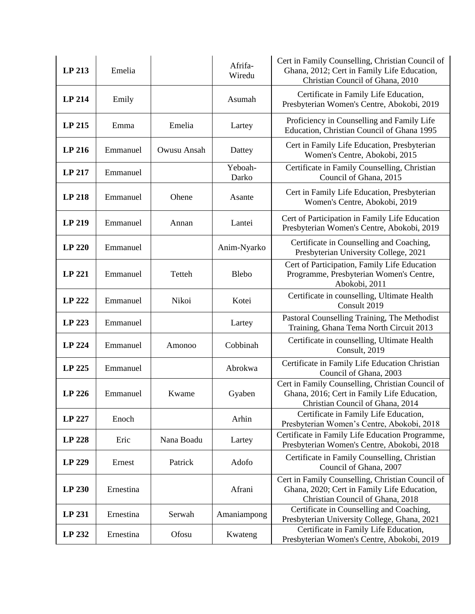| LP 213        | Emelia    |             | Afrifa-<br>Wiredu | Cert in Family Counselling, Christian Council of<br>Ghana, 2012; Cert in Family Life Education,<br>Christian Council of Ghana, 2010 |
|---------------|-----------|-------------|-------------------|-------------------------------------------------------------------------------------------------------------------------------------|
| LP 214        | Emily     |             | Asumah            | Certificate in Family Life Education,<br>Presbyterian Women's Centre, Abokobi, 2019                                                 |
| LP 215        | Emma      | Emelia      | Lartey            | Proficiency in Counselling and Family Life<br>Education, Christian Council of Ghana 1995                                            |
| LP 216        | Emmanuel  | Owusu Ansah | Dattey            | Cert in Family Life Education, Presbyterian<br>Women's Centre, Abokobi, 2015                                                        |
| LP 217        | Emmanuel  |             | Yeboah-<br>Darko  | Certificate in Family Counselling, Christian<br>Council of Ghana, 2015                                                              |
| LP 218        | Emmanuel  | Ohene       | Asante            | Cert in Family Life Education, Presbyterian<br>Women's Centre, Abokobi, 2019                                                        |
| LP 219        | Emmanuel  | Annan       | Lantei            | Cert of Participation in Family Life Education<br>Presbyterian Women's Centre, Abokobi, 2019                                        |
| <b>LP 220</b> | Emmanuel  |             | Anim-Nyarko       | Certificate in Counselling and Coaching,<br>Presbyterian University College, 2021                                                   |
| LP 221        | Emmanuel  | Tetteh      | <b>Blebo</b>      | Cert of Participation, Family Life Education<br>Programme, Presbyterian Women's Centre,<br>Abokobi, 2011                            |
| LP 222        | Emmanuel  | Nikoi       | Kotei             | Certificate in counselling, Ultimate Health<br>Consult 2019                                                                         |
| LP 223        | Emmanuel  |             | Lartey            | Pastoral Counselling Training, The Methodist<br>Training, Ghana Tema North Circuit 2013                                             |
| LP 224        | Emmanuel  | Amonoo      | Cobbinah          | Certificate in counselling, Ultimate Health<br>Consult, 2019                                                                        |
| LP 225        | Emmanuel  |             | Abrokwa           | Certificate in Family Life Education Christian<br>Council of Ghana, 2003                                                            |
| LP 226        | Emmanuel  | Kwame       | Gyaben            | Cert in Family Counselling, Christian Council of<br>Ghana, 2016; Cert in Family Life Education,<br>Christian Council of Ghana, 2014 |
| LP 227        | Enoch     |             | Arhin             | Certificate in Family Life Education,<br>Presbyterian Women's Centre, Abokobi, 2018                                                 |
| LP 228        | Eric      | Nana Boadu  | Lartey            | Certificate in Family Life Education Programme,<br>Presbyterian Women's Centre, Abokobi, 2018                                       |
| LP 229        | Ernest    | Patrick     | Adofo             | Certificate in Family Counselling, Christian<br>Council of Ghana, 2007                                                              |
| LP 230        | Ernestina |             | Afrani            | Cert in Family Counselling, Christian Council of<br>Ghana, 2020; Cert in Family Life Education,<br>Christian Council of Ghana, 2018 |
| LP 231        | Ernestina | Serwah      | Amaniampong       | Certificate in Counselling and Coaching,<br>Presbyterian University College, Ghana, 2021                                            |
| LP 232        | Ernestina | Ofosu       | Kwateng           | Certificate in Family Life Education,<br>Presbyterian Women's Centre, Abokobi, 2019                                                 |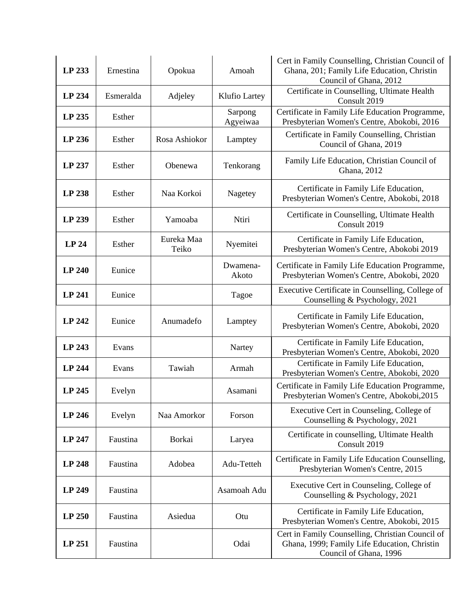| LP 233        | Ernestina | Opokua              | Amoah               | Cert in Family Counselling, Christian Council of<br>Ghana, 201; Family Life Education, Christin<br>Council of Ghana, 2012  |
|---------------|-----------|---------------------|---------------------|----------------------------------------------------------------------------------------------------------------------------|
| LP 234        | Esmeralda | Adjeley             | Klufio Lartey       | Certificate in Counselling, Ultimate Health<br>Consult 2019                                                                |
| LP 235        | Esther    |                     | Sarpong<br>Agyeiwaa | Certificate in Family Life Education Programme,<br>Presbyterian Women's Centre, Abokobi, 2016                              |
| LP 236        | Esther    | Rosa Ashiokor       | Lamptey             | Certificate in Family Counselling, Christian<br>Council of Ghana, 2019                                                     |
| LP 237        | Esther    | Obenewa             | Tenkorang           | Family Life Education, Christian Council of<br>Ghana, 2012                                                                 |
| <b>LP 238</b> | Esther    | Naa Korkoi          | Nagetey             | Certificate in Family Life Education,<br>Presbyterian Women's Centre, Abokobi, 2018                                        |
| LP 239        | Esther    | Yamoaba             | Ntiri               | Certificate in Counselling, Ultimate Health<br>Consult 2019                                                                |
| <b>LP 24</b>  | Esther    | Eureka Maa<br>Teiko | Nyemitei            | Certificate in Family Life Education,<br>Presbyterian Women's Centre, Abokobi 2019                                         |
| <b>LP 240</b> | Eunice    |                     | Dwamena-<br>Akoto   | Certificate in Family Life Education Programme,<br>Presbyterian Women's Centre, Abokobi, 2020                              |
| LP 241        | Eunice    |                     | Tagoe               | Executive Certificate in Counselling, College of<br>Counselling & Psychology, 2021                                         |
| LP 242        | Eunice    | Anumadefo           | Lamptey             | Certificate in Family Life Education,<br>Presbyterian Women's Centre, Abokobi, 2020                                        |
| LP 243        | Evans     |                     | Nartey              | Certificate in Family Life Education,<br>Presbyterian Women's Centre, Abokobi, 2020                                        |
| LP 244        | Evans     | Tawiah              | Armah               | Certificate in Family Life Education,<br>Presbyterian Women's Centre, Abokobi, 2020                                        |
| LP 245        | Evelyn    |                     | Asamani             | Certificate in Family Life Education Programme,<br>Presbyterian Women's Centre, Abokobi, 2015                              |
| <b>LP 246</b> | Evelyn    | Naa Amorkor         | Forson              | Executive Cert in Counseling, College of<br>Counselling & Psychology, 2021                                                 |
| LP 247        | Faustina  | Borkai              | Laryea              | Certificate in counselling, Ultimate Health<br>Consult 2019                                                                |
| <b>LP 248</b> | Faustina  | Adobea              | Adu-Tetteh          | Certificate in Family Life Education Counselling,<br>Presbyterian Women's Centre, 2015                                     |
| LP 249        | Faustina  |                     | Asamoah Adu         | Executive Cert in Counseling, College of<br>Counselling & Psychology, 2021                                                 |
| LP 250        | Faustina  | Asiedua             | Otu                 | Certificate in Family Life Education,<br>Presbyterian Women's Centre, Abokobi, 2015                                        |
| LP 251        | Faustina  |                     | Odai                | Cert in Family Counselling, Christian Council of<br>Ghana, 1999; Family Life Education, Christin<br>Council of Ghana, 1996 |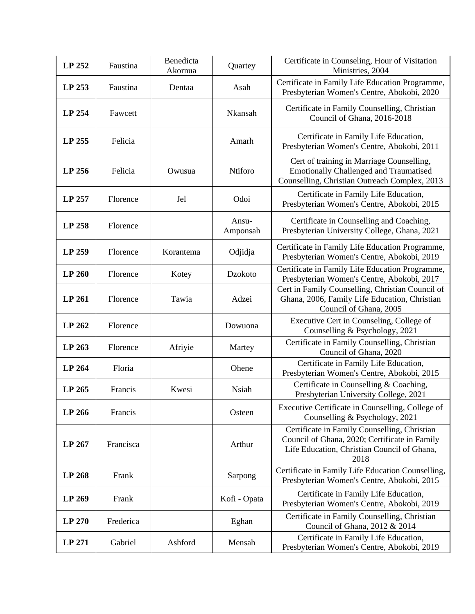| LP 252 | Faustina  | Benedicta<br>Akornua | Quartey           | Certificate in Counseling, Hour of Visitation<br>Ministries, 2004                                                                                    |
|--------|-----------|----------------------|-------------------|------------------------------------------------------------------------------------------------------------------------------------------------------|
| LP 253 | Faustina  | Dentaa               | Asah              | Certificate in Family Life Education Programme,<br>Presbyterian Women's Centre, Abokobi, 2020                                                        |
| LP 254 | Fawcett   |                      | Nkansah           | Certificate in Family Counselling, Christian<br>Council of Ghana, 2016-2018                                                                          |
| LP 255 | Felicia   |                      | Amarh             | Certificate in Family Life Education,<br>Presbyterian Women's Centre, Abokobi, 2011                                                                  |
| LP 256 | Felicia   | Owusua               | Ntiforo           | Cert of training in Marriage Counselling,<br><b>Emotionally Challenged and Traumatised</b><br>Counselling, Christian Outreach Complex, 2013          |
| LP 257 | Florence  | Jel                  | Odoi              | Certificate in Family Life Education,<br>Presbyterian Women's Centre, Abokobi, 2015                                                                  |
| LP 258 | Florence  |                      | Ansu-<br>Amponsah | Certificate in Counselling and Coaching,<br>Presbyterian University College, Ghana, 2021                                                             |
| LP 259 | Florence  | Korantema            | Odjidja           | Certificate in Family Life Education Programme,<br>Presbyterian Women's Centre, Abokobi, 2019                                                        |
| LP 260 | Florence  | Kotey                | Dzokoto           | Certificate in Family Life Education Programme,<br>Presbyterian Women's Centre, Abokobi, 2017                                                        |
| LP 261 | Florence  | Tawia                | Adzei             | Cert in Family Counselling, Christian Council of<br>Ghana, 2006, Family Life Education, Christian<br>Council of Ghana, 2005                          |
| LP 262 | Florence  |                      | Dowuona           | Executive Cert in Counseling, College of<br>Counselling & Psychology, 2021                                                                           |
| LP 263 | Florence  | Afriyie              | Martey            | Certificate in Family Counselling, Christian<br>Council of Ghana, 2020                                                                               |
| LP 264 | Floria    |                      | Ohene             | Certificate in Family Life Education,<br>Presbyterian Women's Centre, Abokobi, 2015                                                                  |
| LP 265 | Francis   | Kwesi                | <b>Nsiah</b>      | Certificate in Counselling & Coaching,<br>Presbyterian University College, 2021                                                                      |
| LP 266 | Francis   |                      | Osteen            | Executive Certificate in Counselling, College of<br>Counselling & Psychology, 2021                                                                   |
| LP 267 | Francisca |                      | Arthur            | Certificate in Family Counselling, Christian<br>Council of Ghana, 2020; Certificate in Family<br>Life Education, Christian Council of Ghana,<br>2018 |
| LP 268 | Frank     |                      | Sarpong           | Certificate in Family Life Education Counselling,<br>Presbyterian Women's Centre, Abokobi, 2015                                                      |
| LP 269 | Frank     |                      | Kofi - Opata      | Certificate in Family Life Education,<br>Presbyterian Women's Centre, Abokobi, 2019                                                                  |
| LP 270 | Frederica |                      | Eghan             | Certificate in Family Counselling, Christian<br>Council of Ghana, 2012 & 2014                                                                        |
| LP 271 | Gabriel   | Ashford              | Mensah            | Certificate in Family Life Education,<br>Presbyterian Women's Centre, Abokobi, 2019                                                                  |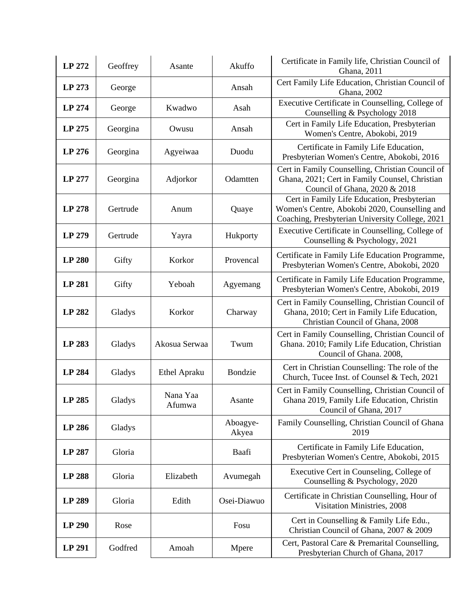| LP 272        | Geoffrey | Asante             | Akuffo            | Certificate in Family life, Christian Council of<br>Ghana, 2011                                                                                 |
|---------------|----------|--------------------|-------------------|-------------------------------------------------------------------------------------------------------------------------------------------------|
| LP 273        | George   |                    | Ansah             | Cert Family Life Education, Christian Council of<br>Ghana, 2002                                                                                 |
| LP 274        | George   | Kwadwo             | Asah              | Executive Certificate in Counselling, College of<br>Counselling & Psychology 2018                                                               |
| LP 275        | Georgina | Owusu              | Ansah             | Cert in Family Life Education, Presbyterian<br>Women's Centre, Abokobi, 2019                                                                    |
| LP 276        | Georgina | Agyeiwaa           | Duodu             | Certificate in Family Life Education,<br>Presbyterian Women's Centre, Abokobi, 2016                                                             |
| LP 277        | Georgina | Adjorkor           | Odamtten          | Cert in Family Counselling, Christian Council of<br>Ghana, 2021; Cert in Family Counsel, Christian<br>Council of Ghana, 2020 & 2018             |
| LP 278        | Gertrude | Anum               | Quaye             | Cert in Family Life Education, Presbyterian<br>Women's Centre, Abokobi 2020, Counselling and<br>Coaching, Presbyterian University College, 2021 |
| LP 279        | Gertrude | Yayra              | Hukporty          | Executive Certificate in Counselling, College of<br>Counselling & Psychology, 2021                                                              |
| <b>LP 280</b> | Gifty    | Korkor             | Provencal         | Certificate in Family Life Education Programme,<br>Presbyterian Women's Centre, Abokobi, 2020                                                   |
| <b>LP 281</b> | Gifty    | Yeboah             | Agyemang          | Certificate in Family Life Education Programme,<br>Presbyterian Women's Centre, Abokobi, 2019                                                   |
| LP 282        | Gladys   | Korkor             | Charway           | Cert in Family Counselling, Christian Council of<br>Ghana, 2010; Cert in Family Life Education,<br>Christian Council of Ghana, 2008             |
| LP 283        | Gladys   | Akosua Serwaa      | Twum              | Cert in Family Counselling, Christian Council of<br>Ghana. 2010; Family Life Education, Christian<br>Council of Ghana. 2008,                    |
| <b>LP 284</b> | Gladys   | Ethel Apraku       | Bondzie           | Cert in Christian Counselling: The role of the<br>Church, Tucee Inst. of Counsel & Tech, 2021                                                   |
| LP 285        | Gladys   | Nana Yaa<br>Afumwa | Asante            | Cert in Family Counselling, Christian Council of<br>Ghana 2019, Family Life Education, Christin<br>Council of Ghana, 2017                       |
| LP 286        | Gladys   |                    | Aboagye-<br>Akyea | Family Counselling, Christian Council of Ghana<br>2019                                                                                          |
| LP 287        | Gloria   |                    | Baafi             | Certificate in Family Life Education,<br>Presbyterian Women's Centre, Abokobi, 2015                                                             |
| <b>LP 288</b> | Gloria   | Elizabeth          | Avumegah          | Executive Cert in Counseling, College of<br>Counselling & Psychology, 2020                                                                      |
| LP 289        | Gloria   | Edith              | Osei-Diawuo       | Certificate in Christian Counselling, Hour of<br>Visitation Ministries, 2008                                                                    |
| LP 290        | Rose     |                    | Fosu              | Cert in Counselling & Family Life Edu.,<br>Christian Council of Ghana, 2007 & 2009                                                              |
| LP 291        | Godfred  | Amoah              | Mpere             | Cert, Pastoral Care & Premarital Counselling,<br>Presbyterian Church of Ghana, 2017                                                             |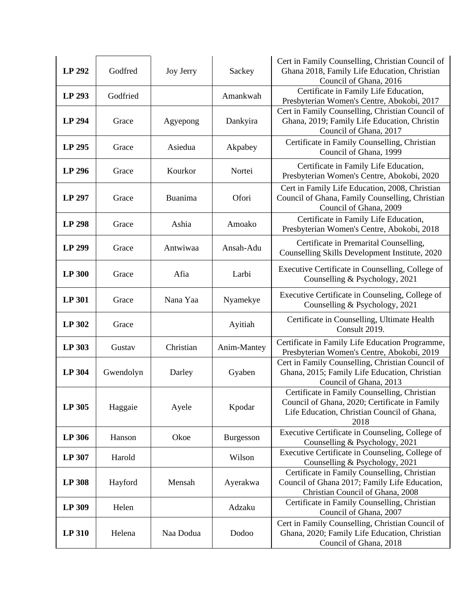| LP 292        | Godfred   | <b>Joy Jerry</b> | Sackey      | Cert in Family Counselling, Christian Council of<br>Ghana 2018, Family Life Education, Christian<br>Council of Ghana, 2016                           |
|---------------|-----------|------------------|-------------|------------------------------------------------------------------------------------------------------------------------------------------------------|
| LP 293        | Godfried  |                  | Amankwah    | Certificate in Family Life Education,<br>Presbyterian Women's Centre, Abokobi, 2017                                                                  |
| LP 294        | Grace     | Agyepong         | Dankyira    | Cert in Family Counselling, Christian Council of<br>Ghana, 2019; Family Life Education, Christin<br>Council of Ghana, 2017                           |
| LP 295        | Grace     | Asiedua          | Akpabey     | Certificate in Family Counselling, Christian<br>Council of Ghana, 1999                                                                               |
| LP 296        | Grace     | Kourkor          | Nortei      | Certificate in Family Life Education,<br>Presbyterian Women's Centre, Abokobi, 2020                                                                  |
| LP 297        | Grace     | Buanima          | Ofori       | Cert in Family Life Education, 2008, Christian<br>Council of Ghana, Family Counselling, Christian<br>Council of Ghana, 2009                          |
| LP 298        | Grace     | Ashia            | Amoako      | Certificate in Family Life Education,<br>Presbyterian Women's Centre, Abokobi, 2018                                                                  |
| LP 299        | Grace     | Antwiwaa         | Ansah-Adu   | Certificate in Premarital Counselling,<br>Counselling Skills Development Institute, 2020                                                             |
| <b>LP 300</b> | Grace     | Afia             | Larbi       | Executive Certificate in Counselling, College of<br>Counselling & Psychology, 2021                                                                   |
| LP 301        | Grace     | Nana Yaa         | Nyamekye    | Executive Certificate in Counseling, College of<br>Counselling & Psychology, 2021                                                                    |
| LP 302        | Grace     |                  | Ayitiah     | Certificate in Counselling, Ultimate Health<br>Consult 2019.                                                                                         |
| LP 303        | Gustav    | Christian        | Anim-Mantey | Certificate in Family Life Education Programme,<br>Presbyterian Women's Centre, Abokobi, 2019                                                        |
| LP 304        | Gwendolyn | Darley           | Gyaben      | Cert in Family Counselling, Christian Council of<br>Ghana, 2015; Family Life Education, Christian<br>Council of Ghana, 2013                          |
| LP 305        | Haggaie   | Ayele            | Kpodar      | Certificate in Family Counselling, Christian<br>Council of Ghana, 2020; Certificate in Family<br>Life Education, Christian Council of Ghana,<br>2018 |
| LP 306        | Hanson    | Okoe             | Burgesson   | Executive Certificate in Counseling, College of<br>Counselling & Psychology, 2021                                                                    |
| LP 307        | Harold    |                  | Wilson      | Executive Certificate in Counseling, College of<br>Counselling & Psychology, 2021                                                                    |
| LP 308        | Hayford   | Mensah           | Ayerakwa    | Certificate in Family Counselling, Christian<br>Council of Ghana 2017; Family Life Education,<br>Christian Council of Ghana, 2008                    |
| LP 309        | Helen     |                  | Adzaku      | Certificate in Family Counselling, Christian<br>Council of Ghana, 2007                                                                               |
| LP 310        | Helena    | Naa Dodua        | Dodoo       | Cert in Family Counselling, Christian Council of<br>Ghana, 2020; Family Life Education, Christian<br>Council of Ghana, 2018                          |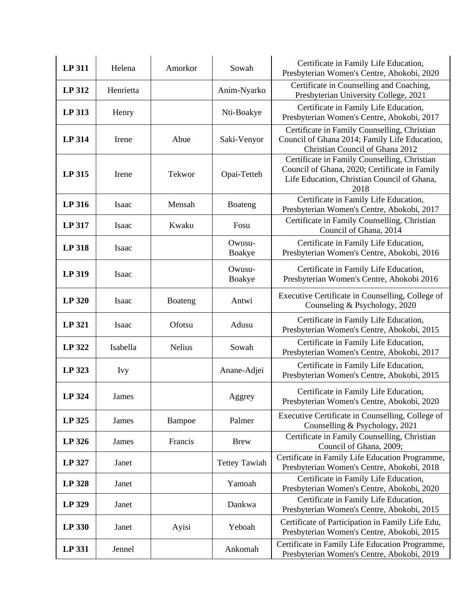| <b>LP 311</b> | Helena     | Amorkor       | Sowah                | Certificate in Family Life Education,<br>Presbyterian Women's Centre, Abokobi, 2020                                                                  |
|---------------|------------|---------------|----------------------|------------------------------------------------------------------------------------------------------------------------------------------------------|
| LP 312        | Henrietta  |               | Anim-Nyarko          | Certificate in Counselling and Coaching,<br>Presbyterian University College, 2021                                                                    |
| LP 313        | Henry      |               | Nti-Boakye           | Certificate in Family Life Education,<br>Presbyterian Women's Centre, Abokobi, 2017                                                                  |
| LP 314        | Irene      | Abue          | Saki-Venyor          | Certificate in Family Counselling, Christian<br>Council of Ghana 2014; Family Life Education,<br>Christian Council of Ghana 2012                     |
| LP 315        | Irene      | Tekwor        | Opai-Tetteh          | Certificate in Family Counselling, Christian<br>Council of Ghana, 2020; Certificate in Family<br>Life Education, Christian Council of Ghana,<br>2018 |
| LP 316        | Isaac      | Mensah        | Boateng              | Certificate in Family Life Education,<br>Presbyterian Women's Centre, Abokobi, 2017                                                                  |
| LP 317        | Isaac      | Kwaku         | Fosu                 | Certificate in Family Counselling, Christian<br>Council of Ghana, 2014                                                                               |
| <b>LP 318</b> | Isaac      |               | Owusu-<br>Boakye     | Certificate in Family Life Education,<br>Presbyterian Women's Centre, Abokobi, 2016                                                                  |
| <b>LP 319</b> | Isaac      |               | Owusu-<br>Boakye     | Certificate in Family Life Education,<br>Presbyterian Women's Centre, Abokobi 2016                                                                   |
| <b>LP 320</b> | Isaac      | Boateng       | Antwi                | Executive Certificate in Counselling, College of<br>Counseling & Psychology, 2020                                                                    |
| LP 321        | Isaac      | Ofotsu        | Adusu                | Certificate in Family Life Education,<br>Presbyterian Women's Centre, Abokobi, 2015                                                                  |
| LP 322        | Isabella   | <b>Nelius</b> | Sowah                | Certificate in Family Life Education,<br>Presbyterian Women's Centre, Abokobi, 2017                                                                  |
| LP 323        | <b>Ivy</b> |               | Anane-Adjei          | Certificate in Family Life Education,<br>Presbyterian Women's Centre, Abokobi, 2015                                                                  |
| <b>LP 324</b> | James      |               | Aggrey               | Certificate in Family Life Education,<br>Presbyterian Women's Centre, Abokobi, 2020                                                                  |
| LP 325        | James      | Bampoe        | Palmer               | Executive Certificate in Counselling, College of<br>Counselling & Psychology, 2021                                                                   |
| LP 326        | James      | Francis       | <b>Brew</b>          | Certificate in Family Counselling, Christian<br>Council of Ghana, 2009;                                                                              |
| LP 327        | Janet      |               | <b>Tettey Tawiah</b> | Certificate in Family Life Education Programme,<br>Presbyterian Women's Centre, Abokobi, 2018                                                        |
| <b>LP 328</b> | Janet      |               | Yamoah               | Certificate in Family Life Education,<br>Presbyterian Women's Centre, Abokobi, 2020                                                                  |
| LP 329        | Janet      |               | Dankwa               | Certificate in Family Life Education,<br>Presbyterian Women's Centre, Abokobi, 2015                                                                  |
| LP 330        | Janet      | Ayisi         | Yeboah               | Certificate of Participation in Family Life Edu,<br>Presbyterian Women's Centre, Abokobi, 2015                                                       |
| LP 331        | Jennel     |               | Ankomah              | Certificate in Family Life Education Programme,<br>Presbyterian Women's Centre, Abokobi, 2019                                                        |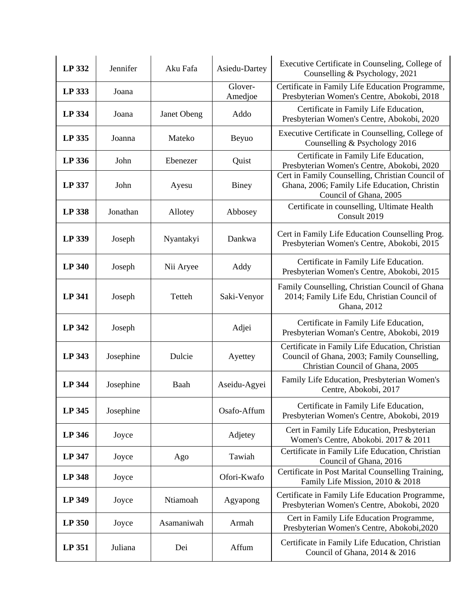| LP 332        | Jennifer  | Aku Fafa    | Asiedu-Dartey      | Executive Certificate in Counseling, College of<br>Counselling & Psychology, 2021                                                  |
|---------------|-----------|-------------|--------------------|------------------------------------------------------------------------------------------------------------------------------------|
| LP 333        | Joana     |             | Glover-<br>Amedjoe | Certificate in Family Life Education Programme,<br>Presbyterian Women's Centre, Abokobi, 2018                                      |
| LP 334        | Joana     | Janet Obeng | Addo               | Certificate in Family Life Education,<br>Presbyterian Women's Centre, Abokobi, 2020                                                |
| LP 335        | Joanna    | Mateko      | Beyuo              | Executive Certificate in Counselling, College of<br>Counselling & Psychology 2016                                                  |
| LP 336        | John      | Ebenezer    | Quist              | Certificate in Family Life Education,<br>Presbyterian Women's Centre, Abokobi, 2020                                                |
| LP 337        | John      | Ayesu       | Biney              | Cert in Family Counselling, Christian Council of<br>Ghana, 2006; Family Life Education, Christin<br>Council of Ghana, 2005         |
| <b>LP 338</b> | Jonathan  | Allotey     | Abbosey            | Certificate in counselling, Ultimate Health<br>Consult 2019                                                                        |
| LP 339        | Joseph    | Nyantakyi   | Dankwa             | Cert in Family Life Education Counselling Prog.<br>Presbyterian Women's Centre, Abokobi, 2015                                      |
| <b>LP 340</b> | Joseph    | Nii Aryee   | Addy               | Certificate in Family Life Education.<br>Presbyterian Women's Centre, Abokobi, 2015                                                |
| <b>LP 341</b> | Joseph    | Tetteh      | Saki-Venyor        | Family Counselling, Christian Council of Ghana<br>2014; Family Life Edu, Christian Council of<br>Ghana, 2012                       |
| LP 342        | Joseph    |             | Adjei              | Certificate in Family Life Education,<br>Presbyterian Woman's Centre, Abokobi, 2019                                                |
| LP 343        | Josephine | Dulcie      | Ayettey            | Certificate in Family Life Education, Christian<br>Council of Ghana, 2003; Family Counselling,<br>Christian Council of Ghana, 2005 |
| <b>LP 344</b> | Josephine | Baah        | Aseidu-Agyei       | Family Life Education, Presbyterian Women's<br>Centre, Abokobi, 2017                                                               |
| LP 345        | Josephine |             | Osafo-Affum        | Certificate in Family Life Education,<br>Presbyterian Women's Centre, Abokobi, 2019                                                |
| <b>LP 346</b> | Joyce     |             | Adjetey            | Cert in Family Life Education, Presbyterian<br>Women's Centre, Abokobi. 2017 & 2011                                                |
| LP 347        | Joyce     | Ago         | Tawiah             | Certificate in Family Life Education, Christian<br>Council of Ghana, 2016                                                          |
| <b>LP 348</b> | Joyce     |             | Ofori-Kwafo        | Certificate in Post Marital Counselling Training,<br>Family Life Mission, 2010 & 2018                                              |
| <b>LP 349</b> | Joyce     | Ntiamoah    | Agyapong           | Certificate in Family Life Education Programme,<br>Presbyterian Women's Centre, Abokobi, 2020                                      |
| LP 350        | Joyce     | Asamaniwah  | Armah              | Cert in Family Life Education Programme,<br>Presbyterian Women's Centre, Abokobi, 2020                                             |
| LP 351        | Juliana   | Dei         | Affum              | Certificate in Family Life Education, Christian<br>Council of Ghana, 2014 & 2016                                                   |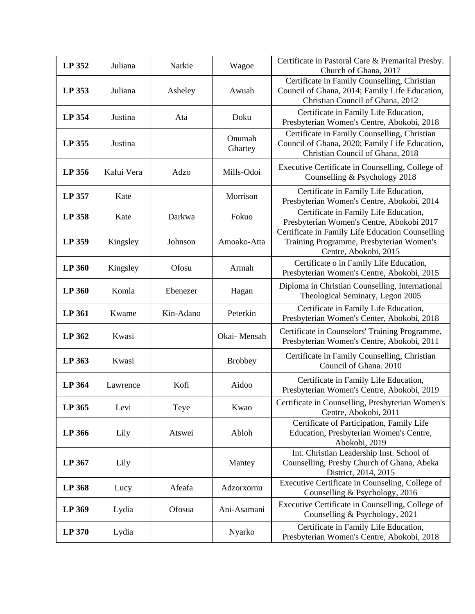| LP 352 | Juliana    | Narkie    | Wagoe             | Certificate in Pastoral Care & Premarital Presby.<br>Church of Ghana, 2017                                                         |
|--------|------------|-----------|-------------------|------------------------------------------------------------------------------------------------------------------------------------|
| LP 353 | Juliana    | Asheley   | Awuah             | Certificate in Family Counselling, Christian<br>Council of Ghana, 2014; Family Life Education,<br>Christian Council of Ghana, 2012 |
| LP 354 | Justina    | Ata       | Doku              | Certificate in Family Life Education,<br>Presbyterian Women's Centre, Abokobi, 2018                                                |
| LP 355 | Justina    |           | Onumah<br>Ghartey | Certificate in Family Counselling, Christian<br>Council of Ghana, 2020; Family Life Education,<br>Christian Council of Ghana, 2018 |
| LP 356 | Kafui Vera | Adzo      | Mills-Odoi        | Executive Certificate in Counselling, College of<br>Counselling & Psychology 2018                                                  |
| LP 357 | Kate       |           | Morrison          | Certificate in Family Life Education,<br>Presbyterian Women's Centre, Abokobi, 2014                                                |
| LP 358 | Kate       | Darkwa    | Fokuo             | Certificate in Family Life Education,<br>Presbyterian Women's Centre, Abokobi 2017                                                 |
| LP 359 | Kingsley   | Johnson   | Amoako-Atta       | Certificate in Family Life Education Counselling<br>Training Programme, Presbyterian Women's<br>Centre, Abokobi, 2015              |
| LP 360 | Kingsley   | Ofosu     | Armah             | Certificate o in Family Life Education,<br>Presbyterian Women's Centre, Abokobi, 2015                                              |
| LP 360 | Komla      | Ebenezer  | Hagan             | Diploma in Christian Counselling, International<br>Theological Seminary, Legon 2005                                                |
| LP 361 | Kwame      | Kin-Adano | Peterkin          | Certificate in Family Life Education,<br>Presbyterian Women's Center, Abokobi, 2018                                                |
| LP 362 | Kwasi      |           | Okai-Mensah       | Certificate in Counselors' Training Programme,<br>Presbyterian Women's Centre, Abokobi, 2011                                       |
| LP 363 | Kwasi      |           | <b>Brobbey</b>    | Certificate in Family Counselling, Christian<br>Council of Ghana. 2010                                                             |
| LP 364 | Lawrence   | Kofi      | Aidoo             | Certificate in Family Life Education,<br>Presbyterian Women's Centre, Abokobi, 2019                                                |
| LP 365 | Levi       | Teye      | Kwao              | Certificate in Counselling, Presbyterian Women's<br>Centre, Abokobi, 2011                                                          |
| LP 366 | Lily       | Atswei    | Abloh             | Certificate of Participation, Family Life<br>Education, Presbyterian Women's Centre,<br>Abokobi, 2019                              |
| LP 367 | Lily       |           | Mantey            | Int. Christian Leadership Inst. School of<br>Counselling, Presby Church of Ghana, Abeka<br>District, 2014, 2015                    |
| LP 368 | Lucy       | Afeafa    | Adzorxornu        | Executive Certificate in Counseling, College of<br>Counselling & Psychology, 2016                                                  |
| LP 369 | Lydia      | Ofosua    | Ani-Asamani       | Executive Certificate in Counselling, College of<br>Counselling & Psychology, 2021                                                 |
| LP 370 | Lydia      |           | Nyarko            | Certificate in Family Life Education,<br>Presbyterian Women's Centre, Abokobi, 2018                                                |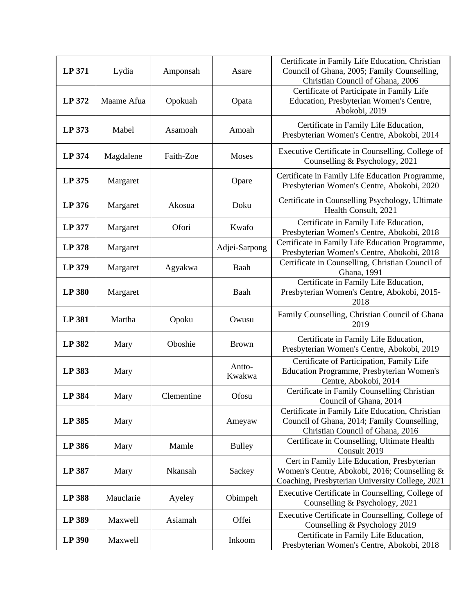| LP 371        | Lydia      | Amponsah   | Asare            | Certificate in Family Life Education, Christian<br>Council of Ghana, 2005; Family Counselling,<br>Christian Council of Ghana, 2006             |
|---------------|------------|------------|------------------|------------------------------------------------------------------------------------------------------------------------------------------------|
| LP 372        | Maame Afua | Opokuah    | Opata            | Certificate of Participate in Family Life<br>Education, Presbyterian Women's Centre,<br>Abokobi, 2019                                          |
| LP 373        | Mabel      | Asamoah    | Amoah            | Certificate in Family Life Education,<br>Presbyterian Women's Centre, Abokobi, 2014                                                            |
| LP 374        | Magdalene  | Faith-Zoe  | Moses            | Executive Certificate in Counselling, College of<br>Counselling & Psychology, 2021                                                             |
| LP 375        | Margaret   |            | Opare            | Certificate in Family Life Education Programme,<br>Presbyterian Women's Centre, Abokobi, 2020                                                  |
| LP 376        | Margaret   | Akosua     | Doku             | Certificate in Counselling Psychology, Ultimate<br>Health Consult, 2021                                                                        |
| LP 377        | Margaret   | Ofori      | Kwafo            | Certificate in Family Life Education,<br>Presbyterian Women's Centre, Abokobi, 2018                                                            |
| LP 378        | Margaret   |            | Adjei-Sarpong    | Certificate in Family Life Education Programme,<br>Presbyterian Women's Centre, Abokobi, 2018                                                  |
| LP 379        | Margaret   | Agyakwa    | Baah             | Certificate in Counselling, Christian Council of<br>Ghana, 1991                                                                                |
| <b>LP 380</b> | Margaret   |            | Baah             | Certificate in Family Life Education,<br>Presbyterian Women's Centre, Abokobi, 2015-<br>2018                                                   |
| LP 381        | Martha     | Opoku      | Owusu            | Family Counselling, Christian Council of Ghana<br>2019                                                                                         |
| LP 382        | Mary       | Oboshie    | <b>Brown</b>     | Certificate in Family Life Education,<br>Presbyterian Women's Centre, Abokobi, 2019                                                            |
| LP 383        | Mary       |            | Antto-<br>Kwakwa | Certificate of Participation, Family Life<br>Education Programme, Presbyterian Women's<br>Centre, Abokobi, 2014                                |
| <b>LP 384</b> | Mary       | Clementine | Ofosu            | Certificate in Family Counselling Christian<br>Council of Ghana, 2014                                                                          |
| LP 385        | Mary       |            | Ameyaw           | Certificate in Family Life Education, Christian<br>Council of Ghana, 2014; Family Counselling,<br>Christian Council of Ghana, 2016             |
| LP 386        | Mary       | Mamle      | <b>Bulley</b>    | Certificate in Counselling, Ultimate Health<br>Consult 2019                                                                                    |
| LP 387        | Mary       | Nkansah    | Sackey           | Cert in Family Life Education, Presbyterian<br>Women's Centre, Abokobi, 2016; Counselling &<br>Coaching, Presbyterian University College, 2021 |
| <b>LP 388</b> | Mauclarie  | Ayeley     | Obimpeh          | Executive Certificate in Counselling, College of<br>Counselling & Psychology, 2021                                                             |
| LP 389        | Maxwell    | Asiamah    | Offei            | Executive Certificate in Counselling, College of<br>Counselling & Psychology 2019                                                              |
| LP 390        | Maxwell    |            | Inkoom           | Certificate in Family Life Education,<br>Presbyterian Women's Centre, Abokobi, 2018                                                            |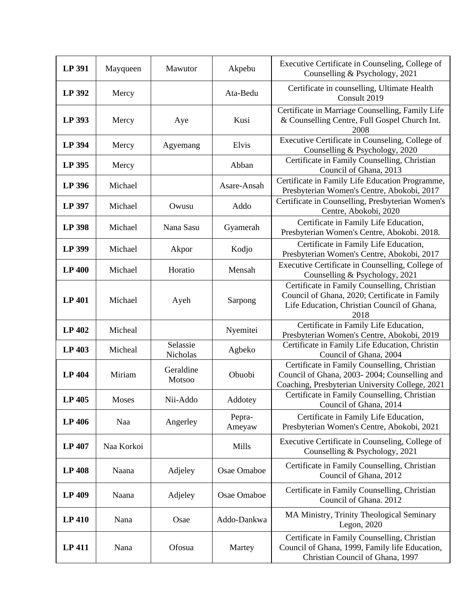| <b>LP 391</b> | Mayqueen   | Mawutor              | Akpebu           | Executive Certificate in Counseling, College of<br>Counselling & Psychology, 2021                                                                    |
|---------------|------------|----------------------|------------------|------------------------------------------------------------------------------------------------------------------------------------------------------|
| LP 392        | Mercy      |                      | Ata-Bedu         | Certificate in counselling, Ultimate Health<br>Consult 2019                                                                                          |
| LP 393        | Mercy      | Aye                  | Kusi             | Certificate in Marriage Counselling, Family Life<br>& Counselling Centre, Full Gospel Church Int.<br>2008                                            |
| LP 394        | Mercy      | Agyemang             | Elvis            | Executive Certificate in Counseling, College of<br>Counselling & Psychology, 2020                                                                    |
| LP 395        | Mercy      |                      | Abban            | Certificate in Family Counselling, Christian<br>Council of Ghana, 2013                                                                               |
| LP 396        | Michael    |                      | Asare-Ansah      | Certificate in Family Life Education Programme,<br>Presbyterian Women's Centre, Abokobi, 2017                                                        |
| LP 397        | Michael    | Owusu                | Addo             | Certificate in Counselling, Presbyterian Women's<br>Centre, Abokobi, 2020                                                                            |
| <b>LP 398</b> | Michael    | Nana Sasu            | Gyamerah         | Certificate in Family Life Education,<br>Presbyterian Women's Centre, Abokobi. 2018.                                                                 |
| LP 399        | Michael    | Akpor                | Kodjo            | Certificate in Family Life Education,<br>Presbyterian Women's Centre, Abokobi, 2017                                                                  |
| <b>LP 400</b> | Michael    | Horatio              | Mensah           | Executive Certificate in Counselling, College of<br>Counselling & Psychology, 2021                                                                   |
| <b>LP 401</b> | Michael    | Ayeh                 | Sarpong          | Certificate in Family Counselling, Christian<br>Council of Ghana, 2020; Certificate in Family<br>Life Education, Christian Council of Ghana,<br>2018 |
| <b>LP 402</b> | Micheal    |                      | Nyemitei         | Certificate in Family Life Education,<br>Presbyterian Women's Centre, Abokobi, 2019                                                                  |
| LP 403        | Micheal    | Selassie<br>Nicholas | Agbeko           | Certificate in Family Life Education, Christin<br>Council of Ghana, 2004                                                                             |
| <b>LP 404</b> | Miriam     | Geraldine<br>Motsoo  | Obuobi           | Certificate in Family Counselling, Christian<br>Council of Ghana, 2003-2004; Counselling and<br>Coaching, Presbyterian University College, 2021      |
| LP 405        | Moses      | Nii-Addo             | Addotey          | Certificate in Family Counselling, Christian<br>Council of Ghana, 2014                                                                               |
| LP 406        | Naa        | Angerley             | Pepra-<br>Ameyaw | Certificate in Family Life Education,<br>Presbyterian Women's Centre, Abokobi, 2021                                                                  |
| <b>LP 407</b> | Naa Korkoi |                      | Mills            | Executive Certificate in Counseling, College of<br>Counselling & Psychology, 2021                                                                    |
| <b>LP 408</b> | Naana      | Adjeley              | Osae Omaboe      | Certificate in Family Counselling, Christian<br>Council of Ghana, 2012                                                                               |
| LP 409        | Naana      | Adjeley              | Osae Omaboe      | Certificate in Family Counselling, Christian<br>Council of Ghana. 2012                                                                               |
| <b>LP 410</b> | Nana       | Osae                 | Addo-Dankwa      | MA Ministry, Trinity Theological Seminary<br>Legon, 2020                                                                                             |
| <b>LP 411</b> | Nana       | Ofosua               | Martey           | Certificate in Family Counselling, Christian<br>Council of Ghana, 1999, Family life Education,<br>Christian Council of Ghana, 1997                   |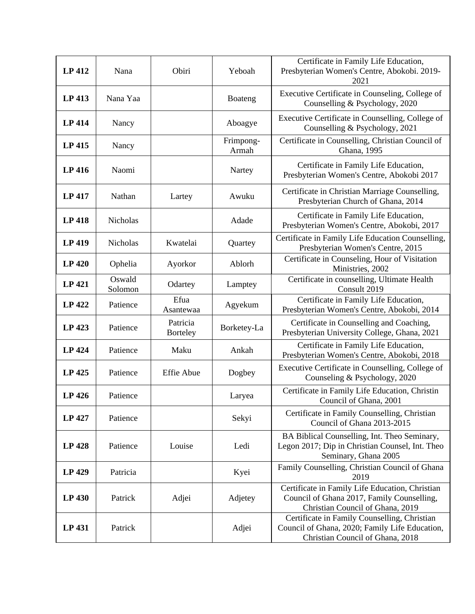| <b>LP 412</b> | Nana              | Obiri                       | Yeboah             | Certificate in Family Life Education,<br>Presbyterian Women's Centre, Abokobi. 2019-<br>2021                                       |
|---------------|-------------------|-----------------------------|--------------------|------------------------------------------------------------------------------------------------------------------------------------|
| LP 413        | Nana Yaa          |                             | Boateng            | Executive Certificate in Counseling, College of<br>Counselling & Psychology, 2020                                                  |
| <b>LP</b> 414 | Nancy             |                             | Aboagye            | Executive Certificate in Counselling, College of<br>Counselling & Psychology, 2021                                                 |
| LP 415        | Nancy             |                             | Frimpong-<br>Armah | Certificate in Counselling, Christian Council of<br>Ghana, 1995                                                                    |
| <b>LP 416</b> | Naomi             |                             | Nartey             | Certificate in Family Life Education,<br>Presbyterian Women's Centre, Abokobi 2017                                                 |
| <b>LP 417</b> | Nathan            | Lartey                      | Awuku              | Certificate in Christian Marriage Counselling,<br>Presbyterian Church of Ghana, 2014                                               |
| <b>LP 418</b> | Nicholas          |                             | Adade              | Certificate in Family Life Education,<br>Presbyterian Women's Centre, Abokobi, 2017                                                |
| <b>LP 419</b> | Nicholas          | Kwatelai                    | Quartey            | Certificate in Family Life Education Counselling,<br>Presbyterian Women's Centre, 2015                                             |
| <b>LP 420</b> | Ophelia           | Ayorkor                     | Ablorh             | Certificate in Counseling, Hour of Visitation<br>Ministries, 2002                                                                  |
| <b>LP 421</b> | Oswald<br>Solomon | Odartey                     | Lamptey            | Certificate in counselling, Ultimate Health<br>Consult 2019                                                                        |
| <b>LP 422</b> | Patience          | Efua<br>Asantewaa           | Agyekum            | Certificate in Family Life Education,<br>Presbyterian Women's Centre, Abokobi, 2014                                                |
| LP 423        | Patience          | Patricia<br><b>Borteley</b> | Borketey-La        | Certificate in Counselling and Coaching,<br>Presbyterian University College, Ghana, 2021                                           |
| LP 424        | Patience          | Maku                        | Ankah              | Certificate in Family Life Education,<br>Presbyterian Women's Centre, Abokobi, 2018                                                |
| LP 425        | Patience          | <b>Effie Abue</b>           | Dogbey             | Executive Certificate in Counselling, College of<br>Counseling & Psychology, 2020                                                  |
| LP 426        | Patience          |                             | Laryea             | Certificate in Family Life Education, Christin<br>Council of Ghana, 2001                                                           |
| <b>LP 427</b> | Patience          |                             | Sekyi              | Certificate in Family Counselling, Christian<br>Council of Ghana 2013-2015                                                         |
| LP 428        | Patience          | Louise                      | Ledi               | BA Biblical Counselling, Int. Theo Seminary,<br>Legon 2017; Dip in Christian Counsel, Int. Theo<br>Seminary, Ghana 2005            |
| LP 429        | Patricia          |                             | Kyei               | Family Counselling, Christian Council of Ghana<br>2019                                                                             |
| LP 430        | Patrick           | Adjei                       | Adjetey            | Certificate in Family Life Education, Christian<br>Council of Ghana 2017, Family Counselling,<br>Christian Council of Ghana, 2019  |
| LP 431        | Patrick           |                             | Adjei              | Certificate in Family Counselling, Christian<br>Council of Ghana, 2020; Family Life Education,<br>Christian Council of Ghana, 2018 |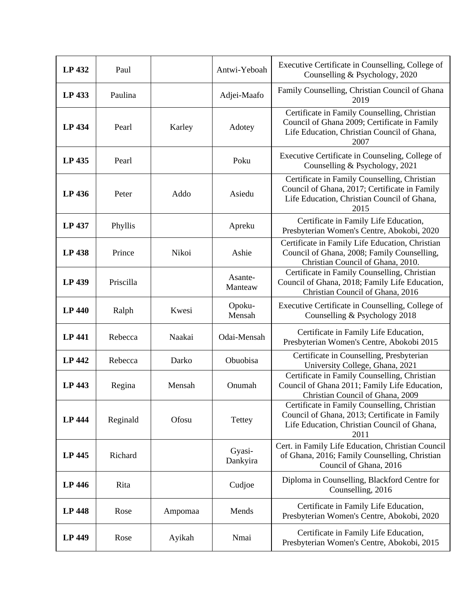| LP 432        | Paul      |         | Antwi-Yeboah       | Executive Certificate in Counselling, College of<br>Counselling & Psychology, 2020                                                                   |
|---------------|-----------|---------|--------------------|------------------------------------------------------------------------------------------------------------------------------------------------------|
| LP 433        | Paulina   |         | Adjei-Maafo        | Family Counselling, Christian Council of Ghana<br>2019                                                                                               |
| <b>LP 434</b> | Pearl     | Karley  | Adotey             | Certificate in Family Counselling, Christian<br>Council of Ghana 2009; Certificate in Family<br>Life Education, Christian Council of Ghana,<br>2007  |
| LP 435        | Pearl     |         | Poku               | Executive Certificate in Counseling, College of<br>Counselling & Psychology, 2021                                                                    |
| LP 436        | Peter     | Addo    | Asiedu             | Certificate in Family Counselling, Christian<br>Council of Ghana, 2017; Certificate in Family<br>Life Education, Christian Council of Ghana,<br>2015 |
| LP 437        | Phyllis   |         | Apreku             | Certificate in Family Life Education,<br>Presbyterian Women's Centre, Abokobi, 2020                                                                  |
| <b>LP 438</b> | Prince    | Nikoi   | Ashie              | Certificate in Family Life Education, Christian<br>Council of Ghana, 2008; Family Counselling,<br>Christian Council of Ghana, 2010.                  |
| LP 439        | Priscilla |         | Asante-<br>Manteaw | Certificate in Family Counselling, Christian<br>Council of Ghana, 2018; Family Life Education,<br>Christian Council of Ghana, 2016                   |
| <b>LP 440</b> | Ralph     | Kwesi   | Opoku-<br>Mensah   | Executive Certificate in Counselling, College of<br>Counselling & Psychology 2018                                                                    |
| <b>LP 441</b> | Rebecca   | Naakai  | Odai-Mensah        | Certificate in Family Life Education,<br>Presbyterian Women's Centre, Abokobi 2015                                                                   |
| LP 442        | Rebecca   | Darko   | Obuobisa           | Certificate in Counselling, Presbyterian<br>University College, Ghana, 2021                                                                          |
| LP 443        | Regina    | Mensah  | Onumah             | Certificate in Family Counselling, Christian<br>Council of Ghana 2011; Family Life Education,<br>Christian Council of Ghana, 2009                    |
| <b>LP 444</b> | Reginald  | Ofosu   | Tettey             | Certificate in Family Counselling, Christian<br>Council of Ghana, 2013; Certificate in Family<br>Life Education, Christian Council of Ghana,<br>2011 |
| LP 445        | Richard   |         | Gyasi-<br>Dankyira | Cert. in Family Life Education, Christian Council<br>of Ghana, 2016; Family Counselling, Christian<br>Council of Ghana, 2016                         |
| <b>LP 446</b> | Rita      |         | Cudjoe             | Diploma in Counselling, Blackford Centre for<br>Counselling, 2016                                                                                    |
| <b>LP 448</b> | Rose      | Ampomaa | Mends              | Certificate in Family Life Education,<br>Presbyterian Women's Centre, Abokobi, 2020                                                                  |
| <b>LP 449</b> | Rose      | Ayikah  | Nmai               | Certificate in Family Life Education,<br>Presbyterian Women's Centre, Abokobi, 2015                                                                  |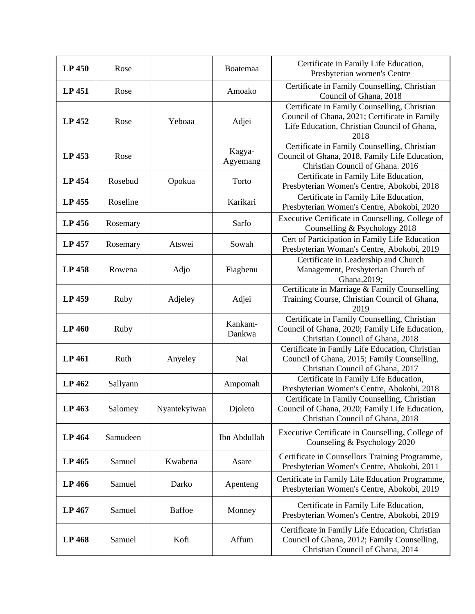| LP 450        | Rose     |               | Boatemaa           | Certificate in Family Life Education,<br>Presbyterian women's Centre                                                                                 |
|---------------|----------|---------------|--------------------|------------------------------------------------------------------------------------------------------------------------------------------------------|
| LP 451        | Rose     |               | Amoako             | Certificate in Family Counselling, Christian<br>Council of Ghana, 2018                                                                               |
| LP 452        | Rose     | Yeboaa        | Adjei              | Certificate in Family Counselling, Christian<br>Council of Ghana, 2021; Certificate in Family<br>Life Education, Christian Council of Ghana,<br>2018 |
| LP 453        | Rose     |               | Kagya-<br>Agyemang | Certificate in Family Counselling, Christian<br>Council of Ghana, 2018, Family Life Education,<br>Christian Council of Ghana. 2016                   |
| LP 454        | Rosebud  | Opokua        | Torto              | Certificate in Family Life Education,<br>Presbyterian Women's Centre, Abokobi, 2018                                                                  |
| LP 455        | Roseline |               | Karikari           | Certificate in Family Life Education,<br>Presbyterian Women's Centre, Abokobi, 2020                                                                  |
| LP 456        | Rosemary |               | Sarfo              | Executive Certificate in Counselling, College of<br>Counselling & Psychology 2018                                                                    |
| LP 457        | Rosemary | Atswei        | Sowah              | Cert of Participation in Family Life Education<br>Presbyterian Woman's Centre, Abokobi, 2019                                                         |
| LP 458        | Rowena   | Adjo          | Fiagbenu           | Certificate in Leadership and Church<br>Management, Presbyterian Church of<br>Ghana, 2019;                                                           |
| LP 459        | Ruby     | Adjeley       | Adjei              | Certificate in Marriage & Family Counselling<br>Training Course, Christian Council of Ghana,<br>2019                                                 |
| <b>LP 460</b> | Ruby     |               | Kankam-<br>Dankwa  | Certificate in Family Counselling, Christian<br>Council of Ghana, 2020; Family Life Education,<br>Christian Council of Ghana, 2018                   |
| <b>LP 461</b> | Ruth     | Anyeley       | Nai                | Certificate in Family Life Education, Christian<br>Council of Ghana, 2015; Family Counselling,<br>Christian Council of Ghana, 2017                   |
| LP 462        | Sallyann |               | Ampomah            | Certificate in Family Life Education,<br>Presbyterian Women's Centre, Abokobi, 2018                                                                  |
| LP 463        | Salomey  | Nyantekyiwaa  | Djoleto            | Certificate in Family Counselling, Christian<br>Council of Ghana, 2020; Family Life Education,<br>Christian Council of Ghana, 2018                   |
| LP 464        | Samudeen |               | Ibn Abdullah       | Executive Certificate in Counselling, College of<br>Counseling & Psychology 2020                                                                     |
| LP 465        | Samuel   | Kwabena       | Asare              | Certificate in Counsellors Training Programme,<br>Presbyterian Women's Centre, Abokobi, 2011                                                         |
| LP 466        | Samuel   | Darko         | Apenteng           | Certificate in Family Life Education Programme,<br>Presbyterian Women's Centre, Abokobi, 2019                                                        |
| LP 467        | Samuel   | <b>Baffoe</b> | Monney             | Certificate in Family Life Education,<br>Presbyterian Women's Centre, Abokobi, 2019                                                                  |
| LP 468        | Samuel   | Kofi          | Affum              | Certificate in Family Life Education, Christian<br>Council of Ghana, 2012; Family Counselling,<br>Christian Council of Ghana, 2014                   |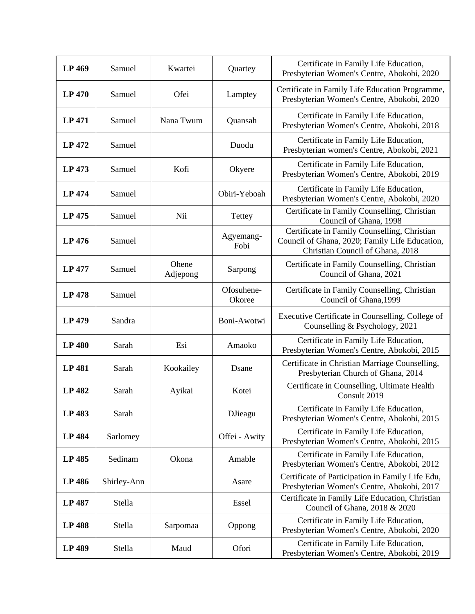| LP 469        | Samuel      | Kwartei           | Quartey              | Certificate in Family Life Education,<br>Presbyterian Women's Centre, Abokobi, 2020                                                |
|---------------|-------------|-------------------|----------------------|------------------------------------------------------------------------------------------------------------------------------------|
| <b>LP 470</b> | Samuel      | Ofei              | Lamptey              | Certificate in Family Life Education Programme,<br>Presbyterian Women's Centre, Abokobi, 2020                                      |
| <b>LP 471</b> | Samuel      | Nana Twum         | Quansah              | Certificate in Family Life Education,<br>Presbyterian Women's Centre, Abokobi, 2018                                                |
| LP 472        | Samuel      |                   | Duodu                | Certificate in Family Life Education,<br>Presbyterian women's Centre, Abokobi, 2021                                                |
| <b>LP 473</b> | Samuel      | Kofi              | Okyere               | Certificate in Family Life Education,<br>Presbyterian Women's Centre, Abokobi, 2019                                                |
| LP 474        | Samuel      |                   | Obiri-Yeboah         | Certificate in Family Life Education,<br>Presbyterian Women's Centre, Abokobi, 2020                                                |
| LP 475        | Samuel      | Nii               | <b>Tettey</b>        | Certificate in Family Counselling, Christian<br>Council of Ghana, 1998                                                             |
| LP 476        | Samuel      |                   | Agyemang-<br>Fobi    | Certificate in Family Counselling, Christian<br>Council of Ghana, 2020; Family Life Education,<br>Christian Council of Ghana, 2018 |
| <b>LP 477</b> | Samuel      | Ohene<br>Adjepong | Sarpong              | Certificate in Family Counselling, Christian<br>Council of Ghana, 2021                                                             |
| <b>LP 478</b> | Samuel      |                   | Ofosuhene-<br>Okoree | Certificate in Family Counselling, Christian<br>Council of Ghana, 1999                                                             |
| LP 479        | Sandra      |                   | Boni-Awotwi          | Executive Certificate in Counselling, College of<br>Counselling & Psychology, 2021                                                 |
| <b>LP 480</b> | Sarah       | Esi               | Amaoko               | Certificate in Family Life Education,<br>Presbyterian Women's Centre, Abokobi, 2015                                                |
| <b>LP 481</b> | Sarah       | Kookailey         | Dsane                | Certificate in Christian Marriage Counselling,<br>Presbyterian Church of Ghana, 2014                                               |
| <b>LP 482</b> | Sarah       | Ayikai            | Kotei                | Certificate in Counselling, Ultimate Health<br>Consult 2019                                                                        |
| <b>LP 483</b> | Sarah       |                   | <b>DJ</b> ieagu      | Certificate in Family Life Education,<br>Presbyterian Women's Centre, Abokobi, 2015                                                |
| <b>LP 484</b> | Sarlomey    |                   | Offei - Awity        | Certificate in Family Life Education,<br>Presbyterian Women's Centre, Abokobi, 2015                                                |
| LP 485        | Sedinam     | Okona             | Amable               | Certificate in Family Life Education,<br>Presbyterian Women's Centre, Abokobi, 2012                                                |
| <b>LP 486</b> | Shirley-Ann |                   | Asare                | Certificate of Participation in Family Life Edu,<br>Presbyterian Women's Centre, Abokobi, 2017                                     |
| LP 487        | Stella      |                   | Essel                | Certificate in Family Life Education, Christian<br>Council of Ghana, 2018 & 2020                                                   |
| <b>LP 488</b> | Stella      | Sarpomaa          | Oppong               | Certificate in Family Life Education,<br>Presbyterian Women's Centre, Abokobi, 2020                                                |
| LP 489        | Stella      | Maud              | Ofori                | Certificate in Family Life Education,<br>Presbyterian Women's Centre, Abokobi, 2019                                                |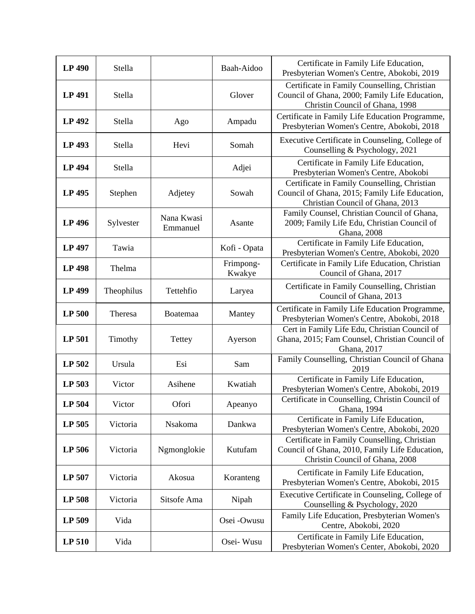| <b>LP 490</b> | Stella     |                        | Baah-Aidoo          | Certificate in Family Life Education,<br>Presbyterian Women's Centre, Abokobi, 2019                                                |
|---------------|------------|------------------------|---------------------|------------------------------------------------------------------------------------------------------------------------------------|
| LP 491        | Stella     |                        | Glover              | Certificate in Family Counselling, Christian<br>Council of Ghana, 2000; Family Life Education,<br>Christin Council of Ghana, 1998  |
| LP 492        | Stella     | Ago                    | Ampadu              | Certificate in Family Life Education Programme,<br>Presbyterian Women's Centre, Abokobi, 2018                                      |
| LP 493        | Stella     | Hevi                   | Somah               | Executive Certificate in Counseling, College of<br>Counselling & Psychology, 2021                                                  |
| LP 494        | Stella     |                        | Adjei               | Certificate in Family Life Education,<br>Presbyterian Women's Centre, Abokobi                                                      |
| LP 495        | Stephen    | Adjetey                | Sowah               | Certificate in Family Counselling, Christian<br>Council of Ghana, 2015; Family Life Education,<br>Christian Council of Ghana, 2013 |
| LP 496        | Sylvester  | Nana Kwasi<br>Emmanuel | Asante              | Family Counsel, Christian Council of Ghana,<br>2009; Family Life Edu, Christian Council of<br>Ghana, 2008                          |
| LP 497        | Tawia      |                        | Kofi - Opata        | Certificate in Family Life Education,<br>Presbyterian Women's Centre, Abokobi, 2020                                                |
| <b>LP 498</b> | Thelma     |                        | Frimpong-<br>Kwakye | Certificate in Family Life Education, Christian<br>Council of Ghana, 2017                                                          |
| LP 499        | Theophilus | Tettehfio              | Laryea              | Certificate in Family Counselling, Christian<br>Council of Ghana, 2013                                                             |
| LP 500        | Theresa    | Boatemaa               | Mantey              | Certificate in Family Life Education Programme,<br>Presbyterian Women's Centre, Abokobi, 2018                                      |
| LP 501        | Timothy    | Tettey                 | Ayerson             | Cert in Family Life Edu, Christian Council of<br>Ghana, 2015; Fam Counsel, Christian Council of<br>Ghana, 2017                     |
| LP 502        | Ursula     | Esi                    | Sam                 | Family Counselling, Christian Council of Ghana<br>2019                                                                             |
| LP 503        | Victor     | Asihene                | Kwatiah             | Certificate in Family Life Education,<br>Presbyterian Women's Centre, Abokobi, 2019                                                |
| LP 504        | Victor     | Ofori                  | Apeanyo             | Certificate in Counselling, Christin Council of<br>Ghana, 1994                                                                     |
| LP 505        | Victoria   | Nsakoma                | Dankwa              | Certificate in Family Life Education,<br>Presbyterian Women's Centre, Abokobi, 2020                                                |
| LP 506        | Victoria   | Ngmonglokie            | Kutufam             | Certificate in Family Counselling, Christian<br>Council of Ghana, 2010, Family Life Education,<br>Christin Council of Ghana, 2008  |
| LP 507        | Victoria   | Akosua                 | Koranteng           | Certificate in Family Life Education,<br>Presbyterian Women's Centre, Abokobi, 2015                                                |
| <b>LP 508</b> | Victoria   | Sitsofe Ama            | Nipah               | Executive Certificate in Counseling, College of<br>Counselling & Psychology, 2020                                                  |
| LP 509        | Vida       |                        | Osei -Owusu         | Family Life Education, Presbyterian Women's<br>Centre, Abokobi, 2020                                                               |
| LP 510        | Vida       |                        | Osei- Wusu          | Certificate in Family Life Education,<br>Presbyterian Women's Center, Abokobi, 2020                                                |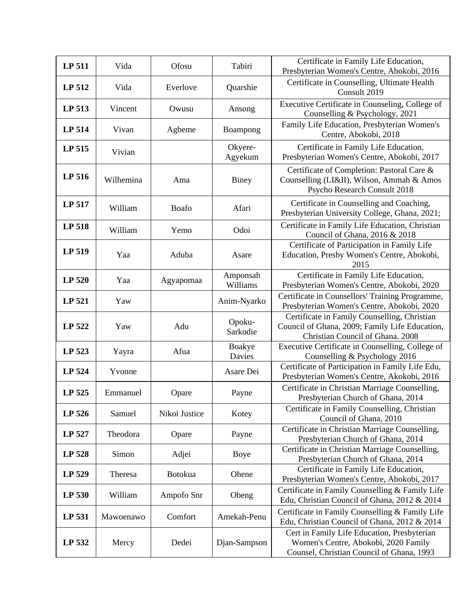| LP 511        | Vida      | Ofosu         | Tabiri               | Certificate in Family Life Education,<br>Presbyterian Women's Centre, Abokobi, 2016                                                |
|---------------|-----------|---------------|----------------------|------------------------------------------------------------------------------------------------------------------------------------|
| LP 512        | Vida      | Everlove      | Quarshie             | Certificate in Counselling, Ultimate Health<br>Consult 2019                                                                        |
| <b>LP 513</b> | Vincent   | Owusu         | Ansong               | Executive Certificate in Counseling, College of<br>Counselling & Psychology, 2021                                                  |
| LP 514        | Vivan     | Agbeme        | Boampong             | Family Life Education, Presbyterian Women's<br>Centre, Abokobi, 2018                                                               |
| LP 515        | Vivian    |               | Okyere-<br>Agyekum   | Certificate in Family Life Education,<br>Presbyterian Women's Centre, Abokobi, 2017                                                |
| LP 516        | Wilhemina | Ama           | Biney                | Certificate of Completion: Pastoral Care &<br>Counselling (LI&II), Wilson, Ammah & Amos<br>Psycho Research Consult 2018            |
| LP 517        | William   | Boafo         | Afari                | Certificate in Counselling and Coaching,<br>Presbyterian University College, Ghana, 2021;                                          |
| LP 518        | William   | Yemo          | Odoi                 | Certificate in Family Life Education, Christian<br>Council of Ghana, 2016 & 2018                                                   |
| LP 519        | Yaa       | Aduba         | Asare                | Certificate of Participation in Family Life<br>Education, Presby Women's Centre, Abokobi,<br>2015                                  |
| LP 520        | Yaa       | Agyapomaa     | Amponsah<br>Williams | Certificate in Family Life Education,<br>Presbyterian Women's Centre, Abokobi, 2020                                                |
| LP 521        | Yaw       |               | Anim-Nyarko          | Certificate in Counsellors' Training Programme,<br>Presbyterian Women's Centre, Abokobi, 2020                                      |
| LP 522        | Yaw       | Adu           | Opoku-<br>Sarkodie   | Certificate in Family Counselling, Christian<br>Council of Ghana, 2009; Family Life Education,<br>Christian Council of Ghana. 2008 |
| LP 523        | Yayra     | Afua          | Boakye<br>Davies     | Executive Certificate in Counselling, College of<br>Counselling & Psychology 2016                                                  |
| LP 524        | Yvonne    |               | Asare Dei            | Certificate of Participation in Family Life Edu,<br>Presbyterian Women's Centre, Akokobi, 2016                                     |
| LP 525        | Emmanuel  | Opare         | Payne                | Certificate in Christian Marriage Counselling,<br>Presbyterian Church of Ghana, 2014                                               |
| LP 526        | Samuel    | Nikoi Justice | Kotey                | Certificate in Family Counselling, Christian<br>Council of Ghana, 2010                                                             |
| LP 527        | Theodora  | Opare         | Payne                | Certificate in Christian Marriage Counselling,<br>Presbyterian Church of Ghana, 2014                                               |
| LP 528        | Simon     | Adjei         | Boye                 | Certificate in Christian Marriage Counselling,<br>Presbyterian Church of Ghana, 2014                                               |
| LP 529        | Theresa   | Botokua       | Ohene                | Certificate in Family Life Education,<br>Presbyterian Women's Centre, Abokobi, 2017                                                |
| LP 530        | William   | Ampofo Snr    | Obeng                | Certificate in Family Counselling & Family Life<br>Edu, Christian Council of Ghana, 2012 & 2014                                    |
| LP 531        | Mawoenawo | Comfort       | Amekah-Penu          | Certificate in Family Counselling & Family Life<br>Edu, Christian Council of Ghana, 2012 & 2014                                    |
| LP 532        | Mercy     | Dedei         | Djan-Sampson         | Cert in Family Life Education, Presbyterian<br>Women's Centre, Abokobi, 2020 Family<br>Counsel, Christian Council of Ghana, 1993   |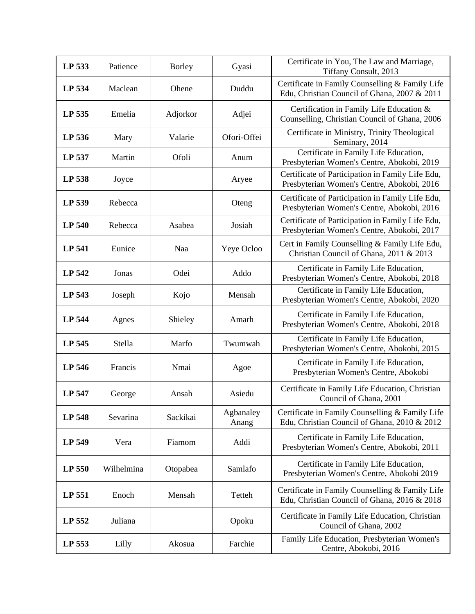| LP 533        | Patience   | <b>Borley</b> | Gyasi              | Certificate in You, The Law and Marriage,<br>Tiffany Consult, 2013                              |
|---------------|------------|---------------|--------------------|-------------------------------------------------------------------------------------------------|
| LP 534        | Maclean    | Ohene         | Duddu              | Certificate in Family Counselling & Family Life<br>Edu, Christian Council of Ghana, 2007 & 2011 |
| LP 535        | Emelia     | Adjorkor      | Adjei              | Certification in Family Life Education &<br>Counselling, Christian Council of Ghana, 2006       |
| LP 536        | Mary       | Valarie       | Ofori-Offei        | Certificate in Ministry, Trinity Theological<br>Seminary, 2014                                  |
| LP 537        | Martin     | Ofoli         | Anum               | Certificate in Family Life Education,<br>Presbyterian Women's Centre, Abokobi, 2019             |
| LP 538        | Joyce      |               | Aryee              | Certificate of Participation in Family Life Edu,<br>Presbyterian Women's Centre, Abokobi, 2016  |
| LP 539        | Rebecca    |               | Oteng              | Certificate of Participation in Family Life Edu,<br>Presbyterian Women's Centre, Abokobi, 2016  |
| <b>LP 540</b> | Rebecca    | Asabea        | Josiah             | Certificate of Participation in Family Life Edu,<br>Presbyterian Women's Centre, Abokobi, 2017  |
| <b>LP 541</b> | Eunice     | Naa           | Yeye Ocloo         | Cert in Family Counselling & Family Life Edu,<br>Christian Council of Ghana, 2011 & 2013        |
| <b>LP 542</b> | Jonas      | Odei          | Addo               | Certificate in Family Life Education,<br>Presbyterian Women's Centre, Abokobi, 2018             |
| LP 543        | Joseph     | Kojo          | Mensah             | Certificate in Family Life Education,<br>Presbyterian Women's Centre, Abokobi, 2020             |
| LP 544        | Agnes      | Shieley       | Amarh              | Certificate in Family Life Education,<br>Presbyterian Women's Centre, Abokobi, 2018             |
| LP 545        | Stella     | Marfo         | Twumwah            | Certificate in Family Life Education,<br>Presbyterian Women's Centre, Abokobi, 2015             |
| LP 546        | Francis    | Nmai          | Agoe               | Certificate in Family Life Education,<br>Presbyterian Women's Centre, Abokobi                   |
| LP 547        | George     | Ansah         | Asiedu             | Certificate in Family Life Education, Christian<br>Council of Ghana, 2001                       |
| <b>LP 548</b> | Sevarina   | Sackikai      | Agbanaley<br>Anang | Certificate in Family Counselling & Family Life<br>Edu, Christian Council of Ghana, 2010 & 2012 |
| LP 549        | Vera       | Fiamom        | Addi               | Certificate in Family Life Education,<br>Presbyterian Women's Centre, Abokobi, 2011             |
| LP 550        | Wilhelmina | Otopabea      | Samlafo            | Certificate in Family Life Education,<br>Presbyterian Women's Centre, Abokobi 2019              |
| LP 551        | Enoch      | Mensah        | Tetteh             | Certificate in Family Counselling & Family Life<br>Edu, Christian Council of Ghana, 2016 & 2018 |
| LP 552        | Juliana    |               | Opoku              | Certificate in Family Life Education, Christian<br>Council of Ghana, 2002                       |
| LP 553        | Lilly      | Akosua        | Farchie            | Family Life Education, Presbyterian Women's<br>Centre, Abokobi, 2016                            |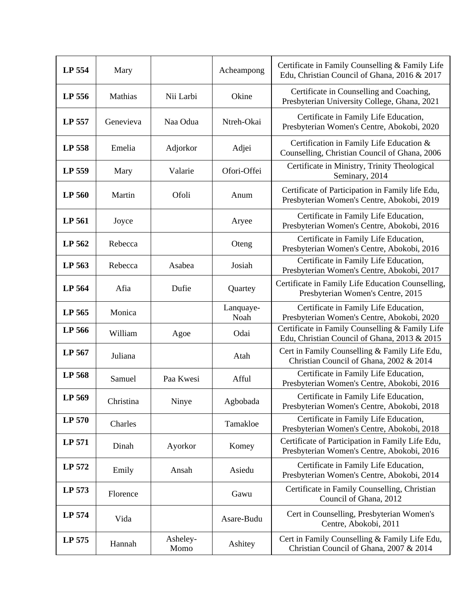| LP 554 | Mary      |                  | Acheampong        | Certificate in Family Counselling & Family Life<br>Edu, Christian Council of Ghana, 2016 & 2017 |
|--------|-----------|------------------|-------------------|-------------------------------------------------------------------------------------------------|
| LP 556 | Mathias   | Nii Larbi        | Okine             | Certificate in Counselling and Coaching,<br>Presbyterian University College, Ghana, 2021        |
| LP 557 | Genevieva | Naa Odua         | Ntreh-Okai        | Certificate in Family Life Education,<br>Presbyterian Women's Centre, Abokobi, 2020             |
| LP 558 | Emelia    | Adjorkor         | Adjei             | Certification in Family Life Education &<br>Counselling, Christian Council of Ghana, 2006       |
| LP 559 | Mary      | Valarie          | Ofori-Offei       | Certificate in Ministry, Trinity Theological<br>Seminary, 2014                                  |
| LP 560 | Martin    | Ofoli            | Anum              | Certificate of Participation in Family life Edu,<br>Presbyterian Women's Centre, Abokobi, 2019  |
| LP 561 | Joyce     |                  | Aryee             | Certificate in Family Life Education,<br>Presbyterian Women's Centre, Abokobi, 2016             |
| LP 562 | Rebecca   |                  | Oteng             | Certificate in Family Life Education,<br>Presbyterian Women's Centre, Abokobi, 2016             |
| LP 563 | Rebecca   | Asabea           | Josiah            | Certificate in Family Life Education,<br>Presbyterian Women's Centre, Abokobi, 2017             |
| LP 564 | Afia      | Dufie            | Quartey           | Certificate in Family Life Education Counselling,<br>Presbyterian Women's Centre, 2015          |
| LP 565 | Monica    |                  | Lanquaye-<br>Noah | Certificate in Family Life Education,<br>Presbyterian Women's Centre, Abokobi, 2020             |
| LP 566 | William   | Agoe             | Odai              | Certificate in Family Counselling & Family Life<br>Edu, Christian Council of Ghana, 2013 & 2015 |
| LP 567 | Juliana   |                  | Atah              | Cert in Family Counselling & Family Life Edu,<br>Christian Council of Ghana, 2002 & 2014        |
| LP 568 | Samuel    | Paa Kwesi        | Afful             | Certificate in Family Life Education,<br>Presbyterian Women's Centre, Abokobi, 2016             |
| LP 569 | Christina | Ninye            | Agbobada          | Certificate in Family Life Education,<br>Presbyterian Women's Centre, Abokobi, 2018             |
| LP 570 | Charles   |                  | Tamakloe          | Certificate in Family Life Education,<br>Presbyterian Women's Centre, Abokobi, 2018             |
| LP 571 | Dinah     | Ayorkor          | Komey             | Certificate of Participation in Family Life Edu,<br>Presbyterian Women's Centre, Abokobi, 2016  |
| LP 572 | Emily     | Ansah            | Asiedu            | Certificate in Family Life Education,<br>Presbyterian Women's Centre, Abokobi, 2014             |
| LP 573 | Florence  |                  | Gawu              | Certificate in Family Counselling, Christian<br>Council of Ghana, 2012                          |
| LP 574 | Vida      |                  | Asare-Budu        | Cert in Counselling, Presbyterian Women's<br>Centre, Abokobi, 2011                              |
| LP 575 | Hannah    | Asheley-<br>Momo | Ashitey           | Cert in Family Counselling & Family Life Edu,<br>Christian Council of Ghana, 2007 & 2014        |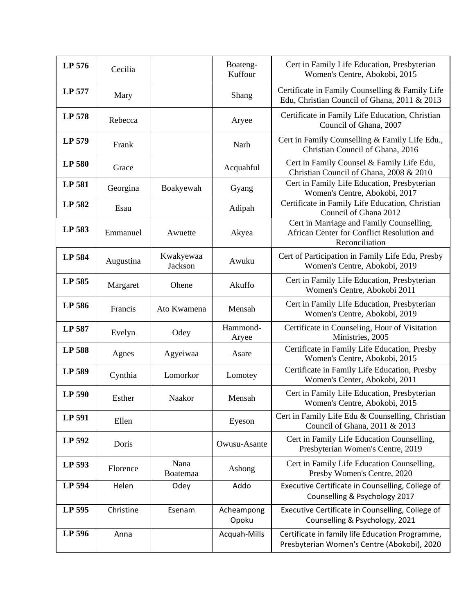| LP 576 | Cecilia   |                      | Boateng-<br>Kuffour | Cert in Family Life Education, Presbyterian<br>Women's Centre, Abokobi, 2015                             |
|--------|-----------|----------------------|---------------------|----------------------------------------------------------------------------------------------------------|
| LP 577 | Mary      |                      | Shang               | Certificate in Family Counselling & Family Life<br>Edu, Christian Council of Ghana, 2011 & 2013          |
| LP 578 | Rebecca   |                      | Aryee               | Certificate in Family Life Education, Christian<br>Council of Ghana, 2007                                |
| LP 579 | Frank     |                      | Narh                | Cert in Family Counselling & Family Life Edu.,<br>Christian Council of Ghana, 2016                       |
| LP 580 | Grace     |                      | Acquahful           | Cert in Family Counsel & Family Life Edu,<br>Christian Council of Ghana, 2008 & 2010                     |
| LP 581 | Georgina  | Boakyewah            | Gyang               | Cert in Family Life Education, Presbyterian<br>Women's Centre, Abokobi, 2017                             |
| LP 582 | Esau      |                      | Adipah              | Certificate in Family Life Education, Christian<br>Council of Ghana 2012                                 |
| LP 583 | Emmanuel  | Awuette              | Akyea               | Cert in Marriage and Family Counselling,<br>African Center for Conflict Resolution and<br>Reconciliation |
| LP 584 | Augustina | Kwakyewaa<br>Jackson | Awuku               | Cert of Participation in Family Life Edu, Presby<br>Women's Centre, Abokobi, 2019                        |
| LP 585 | Margaret  | Ohene                | Akuffo              | Cert in Family Life Education, Presbyterian<br>Women's Centre, Abokobi 2011                              |
| LP 586 | Francis   | Ato Kwamena          | Mensah              | Cert in Family Life Education, Presbyterian<br>Women's Centre, Abokobi, 2019                             |
| LP 587 | Evelyn    | Odey                 | Hammond-<br>Aryee   | Certificate in Counseling, Hour of Visitation<br>Ministries, 2005                                        |
| LP 588 | Agnes     | Agyeiwaa             | Asare               | Certificate in Family Life Education, Presby<br>Women's Centre, Abokobi, 2015                            |
| LP 589 | Cynthia   | Lomorkor             | Lomotey             | Certificate in Family Life Education, Presby<br>Women's Center, Abokobi, 2011                            |
| LP 590 | Esther    | Naakor               | Mensah              | Cert in Family Life Education, Presbyterian<br>Women's Centre, Abokobi, 2015                             |
| LP 591 | Ellen     |                      | Eyeson              | Cert in Family Life Edu & Counselling, Christian<br>Council of Ghana, 2011 & 2013                        |
| LP 592 | Doris     |                      | Owusu-Asante        | Cert in Family Life Education Counselling,<br>Presbyterian Women's Centre, 2019                          |
| LP 593 | Florence  | Nana<br>Boatemaa     | Ashong              | Cert in Family Life Education Counselling,<br>Presby Women's Centre, 2020                                |
| LP 594 | Helen     | Odey                 | Addo                | Executive Certificate in Counselling, College of<br>Counselling & Psychology 2017                        |
| LP 595 | Christine | Esenam               | Acheampong<br>Opoku | Executive Certificate in Counselling, College of<br>Counselling & Psychology, 2021                       |
| LP 596 | Anna      |                      | Acquah-Mills        | Certificate in family life Education Programme,<br>Presbyterian Women's Centre (Abokobi), 2020           |